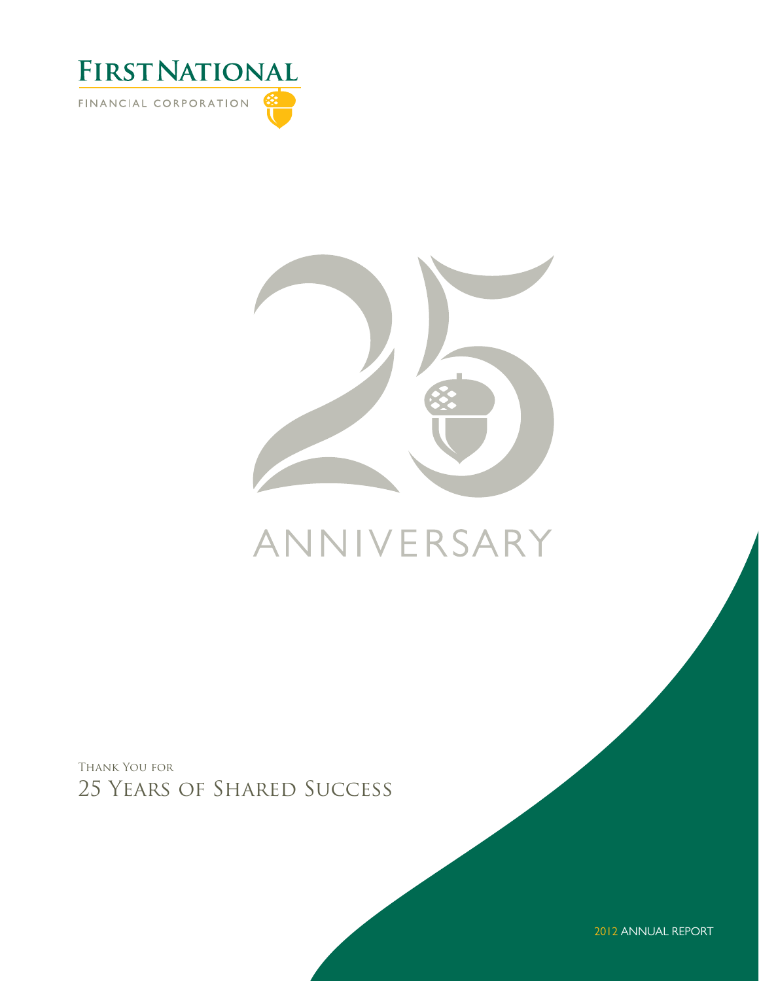



# ANNIVERSARY

Thank You for 25 Years of Shared Success

2012 ANNUAL REPORT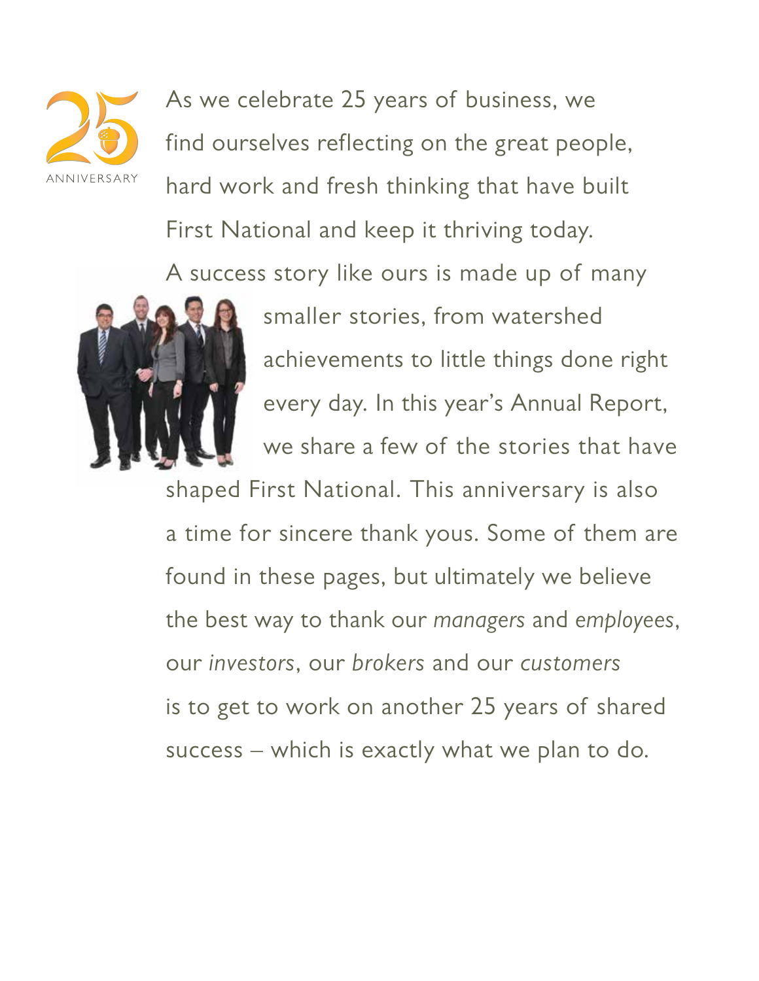

As we celebrate 25 years of business, we find ourselves reflecting on the great people, hard work and fresh thinking that have built First National and keep it thriving today.

A success story like ours is made up of many



smaller stories, from watershed achievements to little things done right every day. In this year's Annual Report, we share a few of the stories that have

shaped First National. This anniversary is also a time for sincere thank yous. Some of them are found in these pages, but ultimately we believe the best way to thank our *managers* and *employees*, our *investors*, our *brokers* and our *customers* is to get to work on another 25 years of shared success – which is exactly what we plan to do.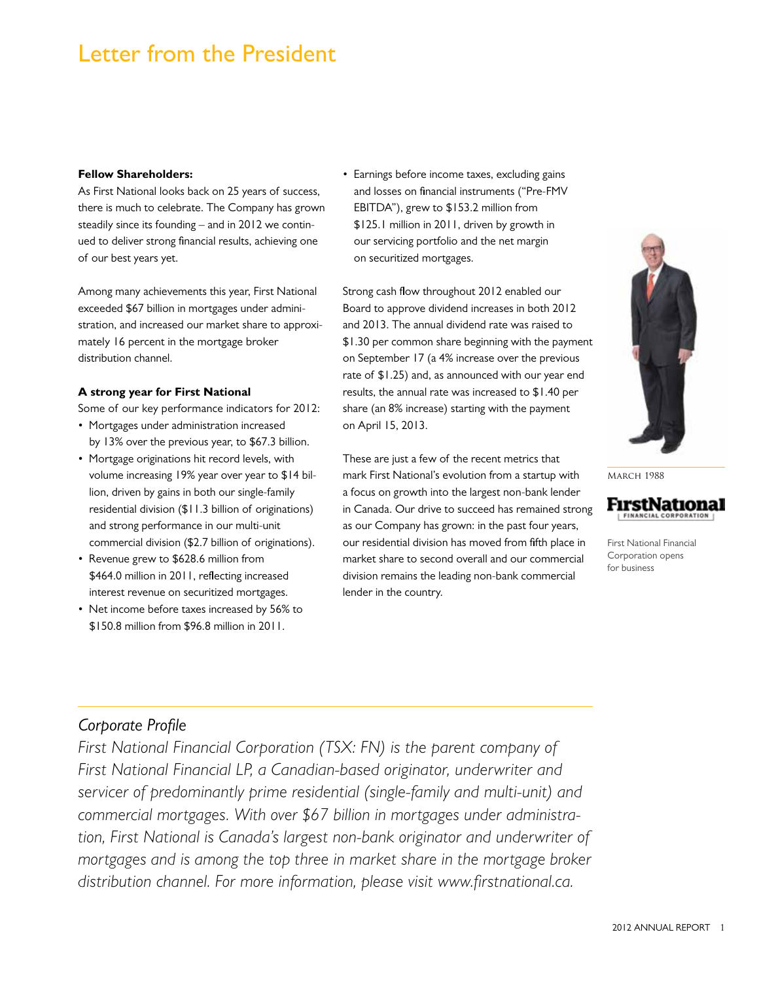# Letter from the President

#### **Fellow Shareholders:**

As First National looks back on 25 years of success, there is much to celebrate. The Company has grown steadily since its founding – and in 2012 we continued to deliver strong financial results, achieving one of our best years yet.

Among many achievements this year, First National exceeded \$67 billion in mortgages under administration, and increased our market share to approximately 16 percent in the mortgage broker distribution channel.

#### **A strong year for First National**

Some of our key performance indicators for 2012:

- Mortgages under administration increased by 13% over the previous year, to \$67.3 billion.
- Mortgage originations hit record levels, with volume increasing 19% year over year to \$14 billion, driven by gains in both our single-family residential division (\$11.3 billion of originations) and strong performance in our multi-unit commercial division (\$2.7 billion of originations).
- Revenue grew to \$628.6 million from \$464.0 million in 2011, reflecting increased interest revenue on securitized mortgages.
- Net income before taxes increased by 56% to \$150.8 million from \$96.8 million in 2011.

• Earnings before income taxes, excluding gains and losses on financial instruments ("Pre-FMV EBITDA"), grew to \$153.2 million from \$125.1 million in 2011, driven by growth in our servicing portfolio and the net margin on securitized mortgages.

Strong cash flow throughout 2012 enabled our Board to approve dividend increases in both 2012 and 2013. The annual dividend rate was raised to \$1.30 per common share beginning with the payment on September 17 (a 4% increase over the previous rate of \$1.25) and, as announced with our year end results, the annual rate was increased to \$1.40 per share (an 8% increase) starting with the payment on April 15, 2013.

These are just a few of the recent metrics that mark First National's evolution from a startup with a focus on growth into the largest non-bank lender in Canada. Our drive to succeed has remained strong as our Company has grown: in the past four years, our residential division has moved from fifth place in market share to second overall and our commercial division remains the leading non-bank commercial lender in the country.



March 1988



First National Financial Corporation opens for business

# *Corporate Profile*

*First National Financial Corporation (TSX: FN) is the parent company of First National Financial LP, a Canadian-based originator, underwriter and servicer of predominantly prime residential (single-family and multi-unit) and commercial mortgages. With over \$67 billion in mortgages under administration, First National is Canada's largest non-bank originator and underwriter of mortgages and is among the top three in market share in the mortgage broker distribution channel. For more information, please visit www.firstnational.ca.*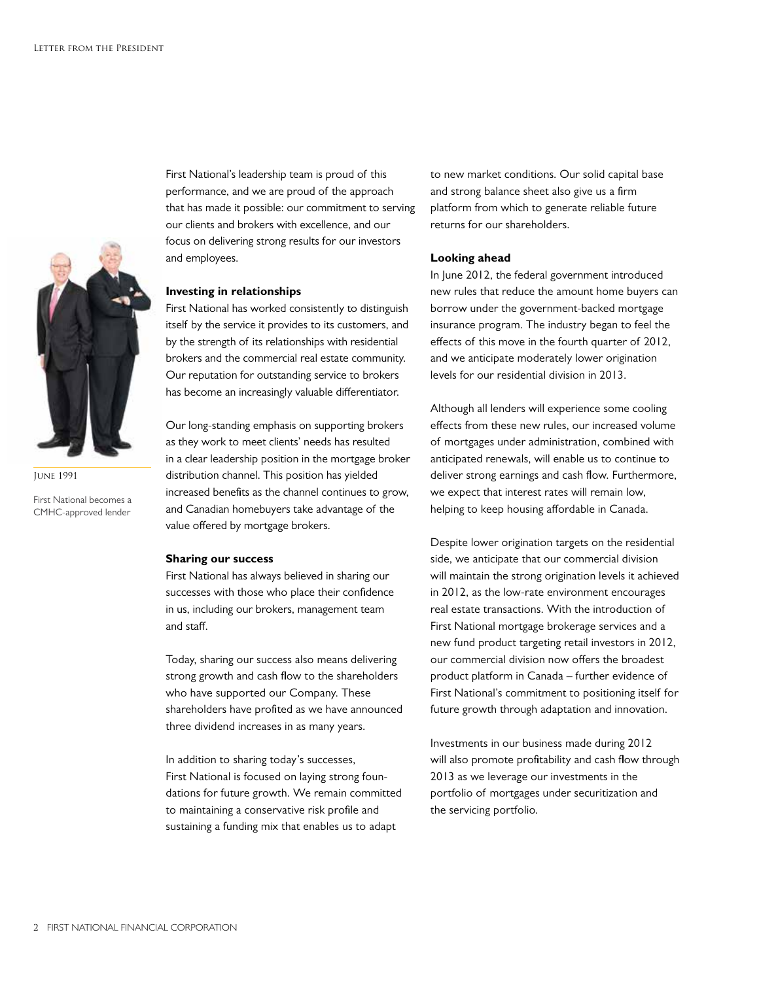

June 1991

First National becomes a CMHC-approved lender First National's leadership team is proud of this performance, and we are proud of the approach that has made it possible: our commitment to serving our clients and brokers with excellence, and our focus on delivering strong results for our investors and employees.

#### **Investing in relationships**

First National has worked consistently to distinguish itself by the service it provides to its customers, and by the strength of its relationships with residential brokers and the commercial real estate community. Our reputation for outstanding service to brokers has become an increasingly valuable differentiator.

Our long-standing emphasis on supporting brokers as they work to meet clients' needs has resulted in a clear leadership position in the mortgage broker distribution channel. This position has yielded increased benefits as the channel continues to grow, and Canadian homebuyers take advantage of the value offered by mortgage brokers.

#### **Sharing our success**

First National has always believed in sharing our successes with those who place their confidence in us, including our brokers, management team and staff.

Today, sharing our success also means delivering strong growth and cash flow to the shareholders who have supported our Company. These shareholders have profited as we have announced three dividend increases in as many years.

In addition to sharing today's successes, First National is focused on laying strong foundations for future growth. We remain committed to maintaining a conservative risk profile and sustaining a funding mix that enables us to adapt

to new market conditions. Our solid capital base and strong balance sheet also give us a firm platform from which to generate reliable future returns for our shareholders.

#### **Looking ahead**

In June 2012, the federal government introduced new rules that reduce the amount home buyers can borrow under the government-backed mortgage insurance program. The industry began to feel the effects of this move in the fourth quarter of 2012, and we anticipate moderately lower origination levels for our residential division in 2013.

Although all lenders will experience some cooling effects from these new rules, our increased volume of mortgages under administration, combined with anticipated renewals, will enable us to continue to deliver strong earnings and cash flow. Furthermore, we expect that interest rates will remain low, helping to keep housing affordable in Canada.

Despite lower origination targets on the residential side, we anticipate that our commercial division will maintain the strong origination levels it achieved in 2012, as the low-rate environment encourages real estate transactions. With the introduction of First National mortgage brokerage services and a new fund product targeting retail investors in 2012, our commercial division now offers the broadest product platform in Canada – further evidence of First National's commitment to positioning itself for future growth through adaptation and innovation.

Investments in our business made during 2012 will also promote profitability and cash flow through 2013 as we leverage our investments in the portfolio of mortgages under securitization and the servicing portfolio.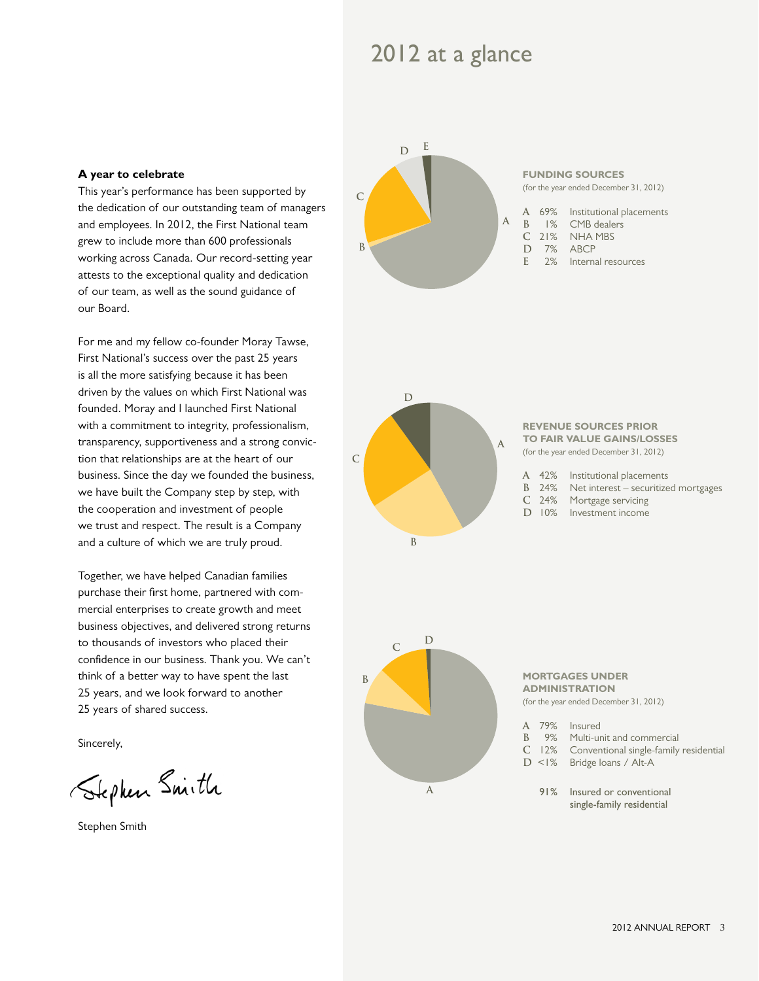# 2012 at a glance

#### **A year to celebrate**

This year's performance has been supported by the dedication of our outstanding team of managers and employees. In 2012, the First National team grew to include more than 600 professionals working across Canada. Our record-setting year attests to the exceptional quality and dedication of our team, as well as the sound guidance of our Board.

For me and my fellow co-founder Moray Tawse, First National's success over the past 25 years is all the more satisfying because it has been driven by the values on which First National was founded. Moray and I launched First National with a commitment to integrity, professionalism, transparency, supportiveness and a strong conviction that relationships are at the heart of our business. Since the day we founded the business, we have built the Company step by step, with the cooperation and investment of people we trust and respect. The result is a Company and a culture of which we are truly proud.

Together, we have helped Canadian families purchase their first home, partnered with commercial enterprises to create growth and meet business objectives, and delivered strong returns to thousands of investors who placed their confidence in our business. Thank you. We can't think of a better way to have spent the last 25 years, and we look forward to another 25 years of shared success.

Sincerely,

Stephen Smith

Stephen Smith







**MORTGAGES UNDER ADMINISTRATION** (for the year ended December 31, 2012)

|  | A 79% Insured                                |
|--|----------------------------------------------|
|  | B 9% Multi-unit and commercial               |
|  | C 12% Conventional single-family residential |
|  | $D \leq 1\%$ Bridge loans / Alt-A            |
|  |                                              |

91% Insured or conventional single-family residential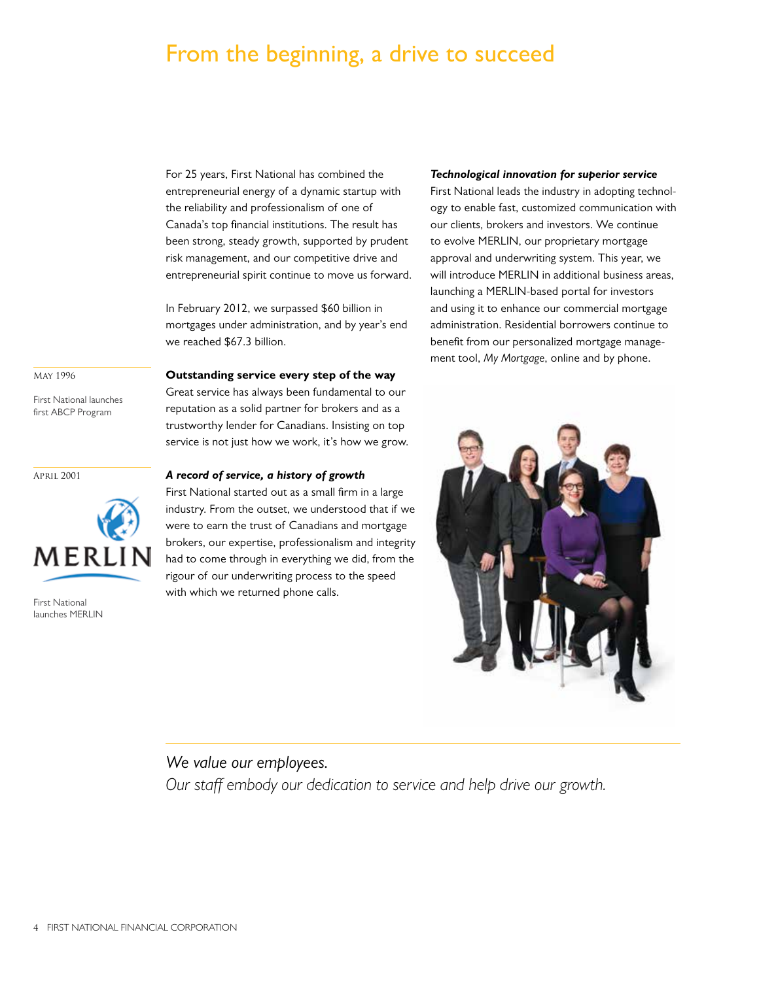# From the beginning, a drive to succeed

For 25 years, First National has combined the entrepreneurial energy of a dynamic startup with the reliability and professionalism of one of Canada's top financial institutions. The result has been strong, steady growth, supported by prudent risk management, and our competitive drive and entrepreneurial spirit continue to move us forward.

In February 2012, we surpassed \$60 billion in mortgages under administration, and by year's end we reached \$67.3 billion.

#### May 1996

First National launches first ABCP Program

April 2001



First National launches MERLIN

#### **Outstanding service every step of the way**

Great service has always been fundamental to our reputation as a solid partner for brokers and as a trustworthy lender for Canadians. Insisting on top service is not just how we work, it's how we grow.

#### *A record of service, a history of growth*

First National started out as a small firm in a large industry. From the outset, we understood that if we were to earn the trust of Canadians and mortgage brokers, our expertise, professionalism and integrity had to come through in everything we did, from the rigour of our underwriting process to the speed with which we returned phone calls.

#### *Technological innovation for superior service*

First National leads the industry in adopting technology to enable fast, customized communication with our clients, brokers and investors. We continue to evolve MERLIN, our proprietary mortgage approval and underwriting system. This year, we will introduce MERLIN in additional business areas, launching a MERLIN-based portal for investors and using it to enhance our commercial mortgage administration. Residential borrowers continue to benefit from our personalized mortgage management tool, *My Mortgage*, online and by phone.



*We value our employees. Our staff embody our dedication to service and help drive our growth.*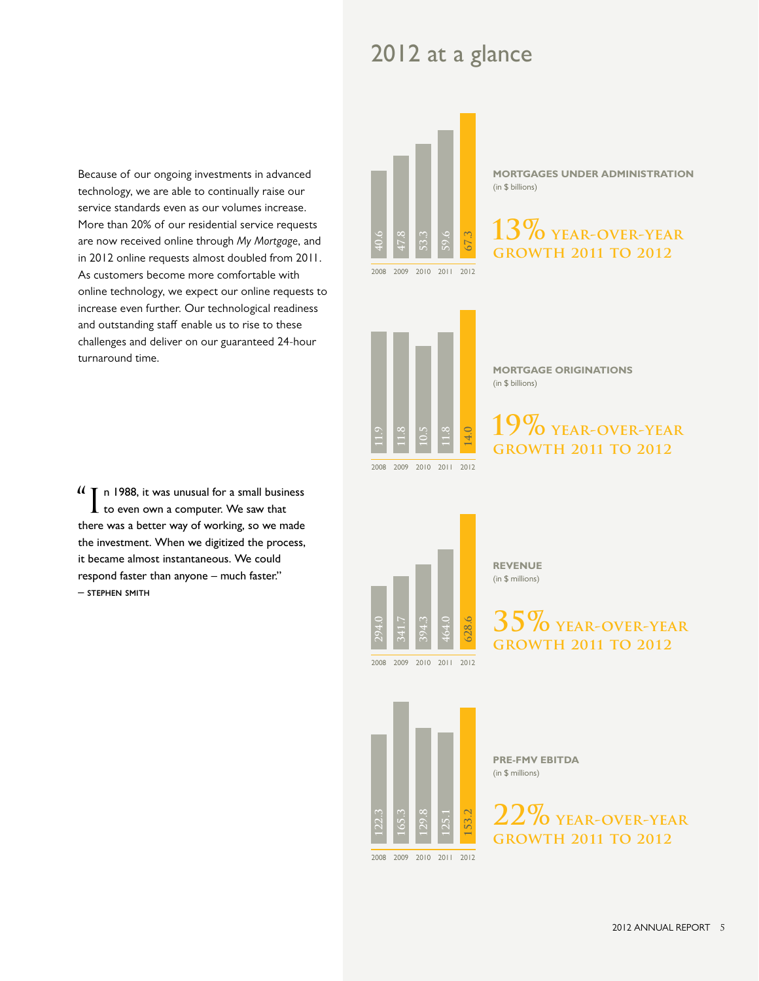# 2012 at a glance

Because of our ongoing investments in advanced technology, we are able to continually raise our service standards even as our volumes increase. More than 20% of our residential service requests are now received online through *My Mortgage*, and in 2012 online requests almost doubled from 2011. As customers become more comfortable with online technology, we expect our online requests to increase even further. Our technological readiness and outstanding staff enable us to rise to these challenges and deliver on our guaranteed 24-hour turnaround time.

 $\prod_{i=1}^{n}$  n 1988, it was unusual for a small business<br>to even own a computer. We saw that there was a better way of working, so we made the investment. When we digitized the process, it became almost instantaneous. We could respond faster than anyone – much faster." – Stephen Smith

**47.8 53.3 59.6 67.3**

**MORTGAGES UNDER ADMINISTRATION** (in \$ billions)

# **13% year-over-year growth 2011 to 2012**



2008 2009 2010 2011 2012

**40.6**

**294.0 341.7 394.3 464.0 628.6**

**122.3 165.3 129.8 125.1 153.2**

2008 2009 2010 2011 2012

2008 2009 2010 2011 2012

**MORTGAGE Originations** (in \$ billions)

# **19% year-over-year growth 2011 to 2012**

**REVENUE** (in \$ millions)

# **35% year-over-year growth 2011 to 2012**

**PRE-FMV EBITDA** (in \$ millions)

**22% year-over-year growth 2011 to 2012**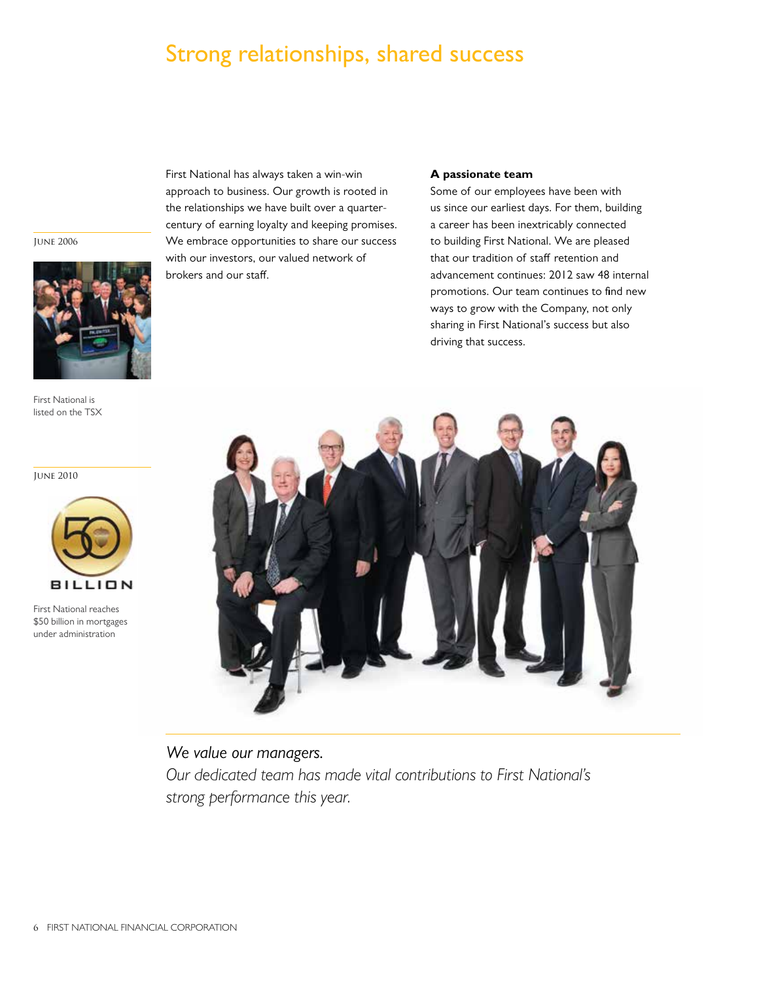# Strong relationships, shared success

June 2006



First National is listed on the TSX

June 2010



First National reaches \$50 billion in mortgages under administration

First National has always taken a win-win approach to business. Our growth is rooted in the relationships we have built over a quartercentury of earning loyalty and keeping promises. We embrace opportunities to share our success with our investors, our valued network of brokers and our staff.

#### **A passionate team**

Some of our employees have been with us since our earliest days. For them, building a career has been inextricably connected to building First National. We are pleased that our tradition of staff retention and advancement continues: 2012 saw 48 internal promotions. Our team continues to find new ways to grow with the Company, not only sharing in First National's success but also driving that success.



# *We value our managers.*

*Our dedicated team has made vital contributions to First National's strong performance this year.*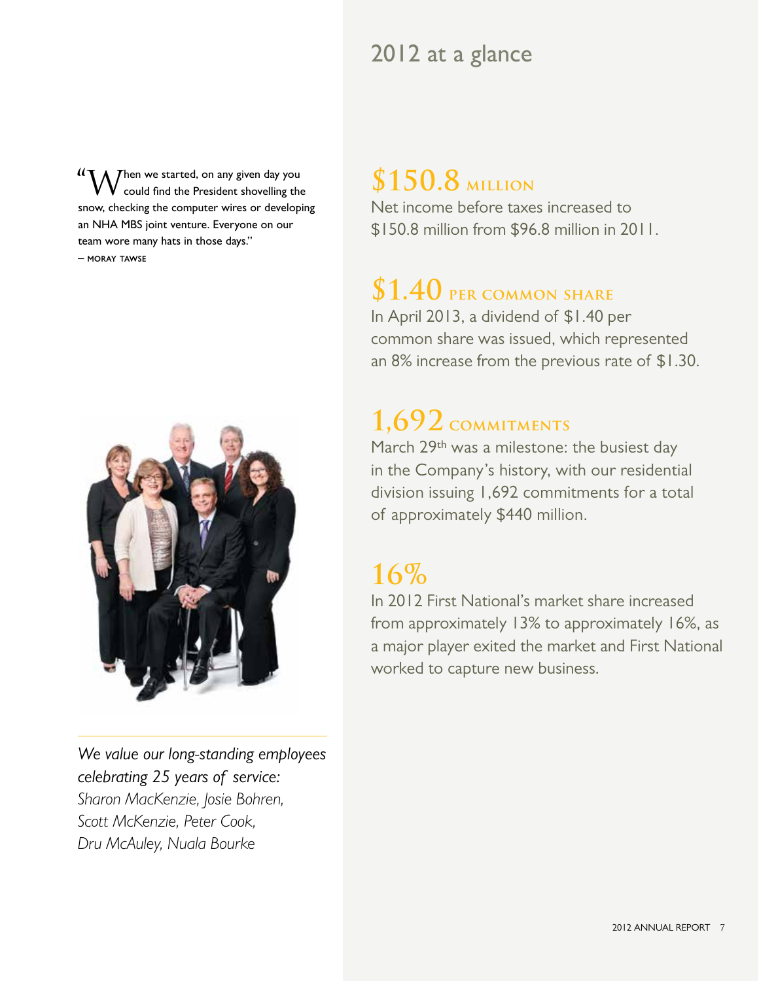# 2012 at a glance

"When we started, on any given day you could find the President shovelling the snow, checking the computer wires or developing an NHA MBS joint venture. Everyone on our team wore many hats in those days." – Moray Tawse



*We value our long-standing employees celebrating 25 years of service: Sharon MacKenzie, Josie Bohren, Scott McKenzie, Peter Cook, Dru McAuley, Nuala Bourke*

# **\$150.8 million**

Net income before taxes increased to \$150.8 million from \$96.8 million in 2011.

# **\$1.40 per common share**

In April 2013, a dividend of \$1.40 per common share was issued, which represented an 8% increase from the previous rate of \$1.30.

# **1,692 commitments**

March 29<sup>th</sup> was a milestone: the busiest day in the Company's history, with our residential division issuing 1,692 commitments for a total of approximately \$440 million.

# **16%**

In 2012 First National's market share increased from approximately 13% to approximately 16%, as a major player exited the market and First National worked to capture new business.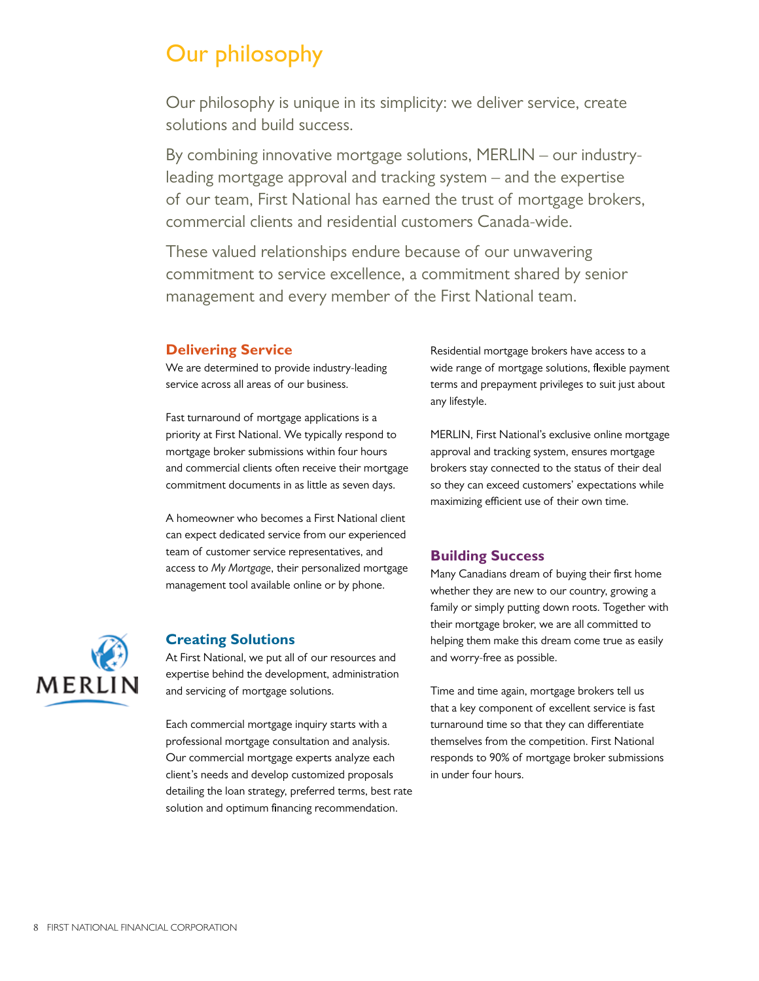# Our philosophy

Our philosophy is unique in its simplicity: we deliver service, create solutions and build success.

By combining innovative mortgage solutions, MERLIN – our industryleading mortgage approval and tracking system – and the expertise of our team, First National has earned the trust of mortgage brokers, commercial clients and residential customers Canada-wide.

These valued relationships endure because of our unwavering commitment to service excellence, a commitment shared by senior management and every member of the First National team.

### **Delivering Service**

We are determined to provide industry-leading service across all areas of our business.

Fast turnaround of mortgage applications is a priority at First National. We typically respond to mortgage broker submissions within four hours and commercial clients often receive their mortgage commitment documents in as little as seven days.

A homeowner who becomes a First National client can expect dedicated service from our experienced team of customer service representatives, and access to *My Mortgage*, their personalized mortgage management tool available online or by phone.

Residential mortgage brokers have access to a wide range of mortgage solutions, flexible payment terms and prepayment privileges to suit just about any lifestyle.

MERLIN, First National's exclusive online mortgage approval and tracking system, ensures mortgage brokers stay connected to the status of their deal so they can exceed customers' expectations while maximizing efficient use of their own time.

# **Building Success**

Many Canadians dream of buying their first home whether they are new to our country, growing a family or simply putting down roots. Together with their mortgage broker, we are all committed to helping them make this dream come true as easily and worry-free as possible.

Time and time again, mortgage brokers tell us that a key component of excellent service is fast turnaround time so that they can differentiate themselves from the competition. First National responds to 90% of mortgage broker submissions in under four hours.



### **Creating Solutions**

At First National, we put all of our resources and expertise behind the development, administration and servicing of mortgage solutions.

Each commercial mortgage inquiry starts with a professional mortgage consultation and analysis. Our commercial mortgage experts analyze each client's needs and develop customized proposals detailing the loan strategy, preferred terms, best rate solution and optimum financing recommendation.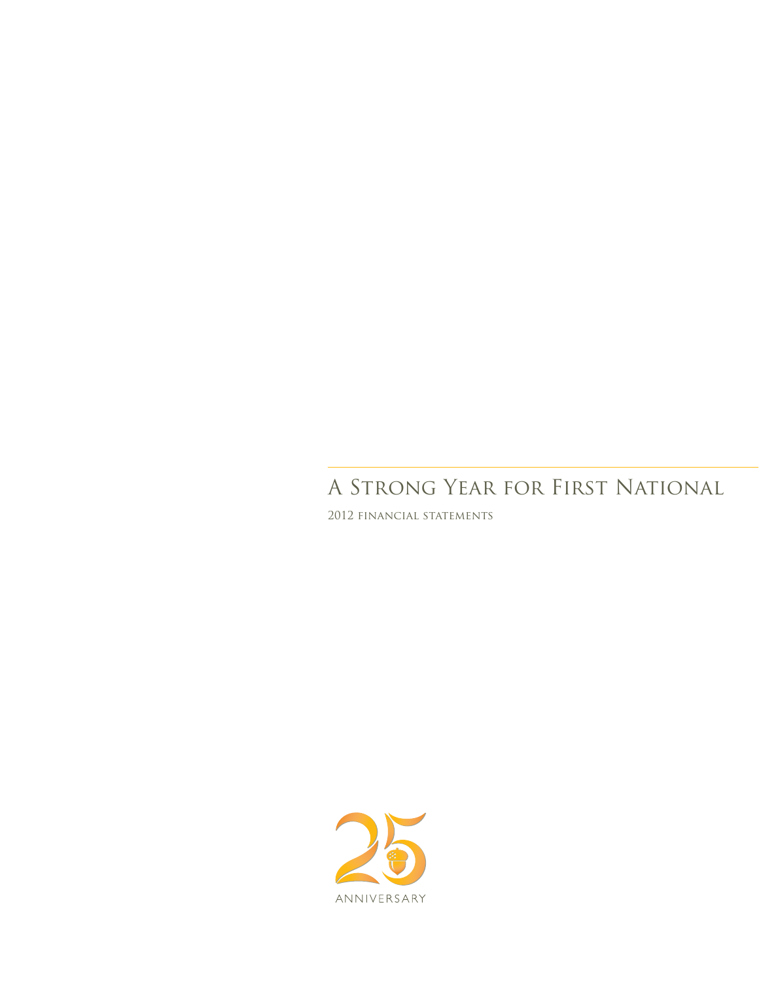# A Strong Year for First National

2012 financial statements

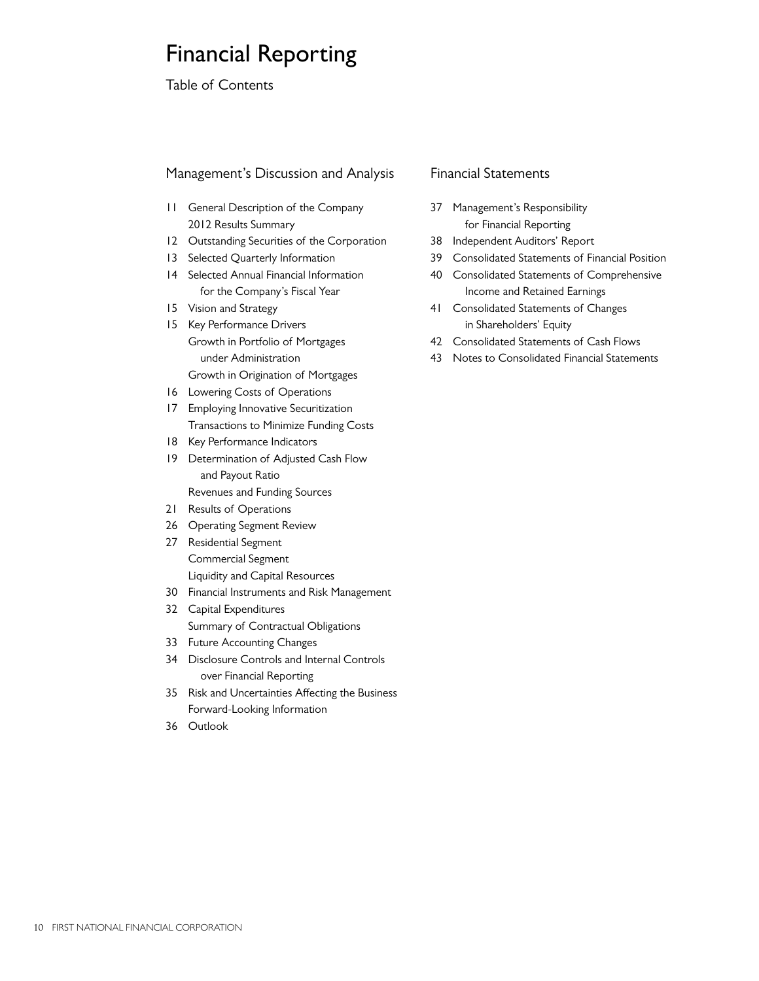# Financial Reporting

Table of Contents

# Management's Discussion and Analysis

- 11 General Description of the Company 2012 Results Summary
- 12 Outstanding Securities of the Corporation
- 13 Selected Quarterly Information
- 14 Selected Annual Financial Information for the Company's Fiscal Year
- 15 Vision and Strategy
- 15 Key Performance Drivers Growth in Portfolio of Mortgages under Administration Growth in Origination of Mortgages
- 16 Lowering Costs of Operations
- 17 Employing Innovative Securitization Transactions to Minimize Funding Costs
- 18 Key Performance Indicators
- 19 Determination of Adjusted Cash Flow and Payout Ratio Revenues and Funding Sources
- 21 Results of Operations
- 26 Operating Segment Review
- 27 Residential Segment Commercial Segment Liquidity and Capital Resources
- 30 Financial Instruments and Risk Management
- 32 Capital Expenditures Summary of Contractual Obligations
- 33 Future Accounting Changes
- 34 Disclosure Controls and Internal Controls over Financial Reporting
- 35 Risk and Uncertainties Affecting the Business Forward-Looking Information
- 36 Outlook

# Financial Statements

- 37 Management's Responsibility for Financial Reporting
- 38 Independent Auditors' Report
- 39 Consolidated Statements of Financial Position
- 40 Consolidated Statements of Comprehensive Income and Retained Earnings
- 41 Consolidated Statements of Changes in Shareholders' Equity
- 42 Consolidated Statements of Cash Flows
- 43 Notes to Consolidated Financial Statements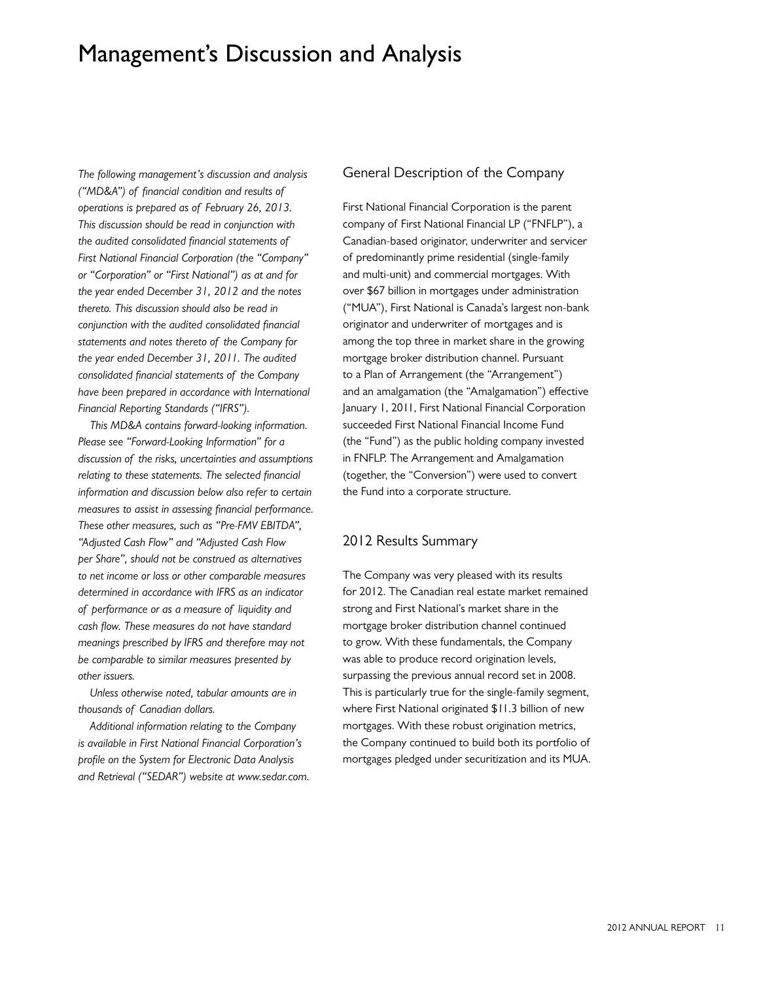# Management's Discussion and Analysis

*The following management's discussion and analysis ("MD&A") of financial condition and results of operations is prepared as of February 26, 2013. This discussion should be read in conjunction with the audited consolidated financial statements of First National Financial Corporation (the "Company" or "Corporation" or "First National") as at and for the year ended December 31, 2012 and the notes thereto. This discussion should also be read in conjunction with the audited consolidated financial statements and notes thereto of the Company for the year ended December 31, 2011. The audited consolidated financial statements of the Company have been prepared in accordance with International Financial Reporting Standards ("IFRS").*

*This MD&A contains forward-looking information. Please see "Forward-Looking Information" for a discussion of the risks, uncertainties and assumptions relating to these statements. The selected financial information and discussion below also refer to certain measures to assist in assessing financial performance. These other measures, such as "Pre-FMV EBITDA", "Adjusted Cash Flow" and "Adjusted Cash Flow per Share", should not be construed as alternatives to net income or loss or other comparable measures determined in accordance with IFRS as an indicator of performance or as a measure of liquidity and cash flow. These measures do not have standard meanings prescribed by IFRS and therefore may not be comparable to similar measures presented by other issuers.*

*Unless otherwise noted, tabular amounts are in thousands of Canadian dollars.*

*Additional information relating to the Company is available in First National Financial Corporation's profile on the System for Electronic Data Analysis and Retrieval ("SEDAR") website at www.sedar.com.*

### General Description of the Company

First National Financial Corporation is the parent company of First National Financial LP ("FNFLP"), a Canadian-based originator, underwriter and servicer of predominantly prime residential (single-family and multi-unit) and commercial mortgages. With over \$67 billion in mortgages under administration ("MUA"), First National is Canada's largest non-bank originator and underwriter of mortgages and is among the top three in market share in the growing mortgage broker distribution channel. Pursuant to a Plan of Arrangement (the "Arrangement") and an amalgamation (the "Amalgamation") effective January 1, 2011, First National Financial Corporation succeeded First National Financial Income Fund (the "Fund") as the public holding company invested in FNFLP. The Arrangement and Amalgamation (together, the "Conversion") were used to convert the Fund into a corporate structure.

### 2012 Results Summary

The Company was very pleased with its results for 2012. The Canadian real estate market remained strong and First National's market share in the mortgage broker distribution channel continued to grow. With these fundamentals, the Company was able to produce record origination levels, surpassing the previous annual record set in 2008. This is particularly true for the single-family segment, where First National originated \$11.3 billion of new mortgages. With these robust origination metrics, the Company continued to build both its portfolio of mortgages pledged under securitization and its MUA.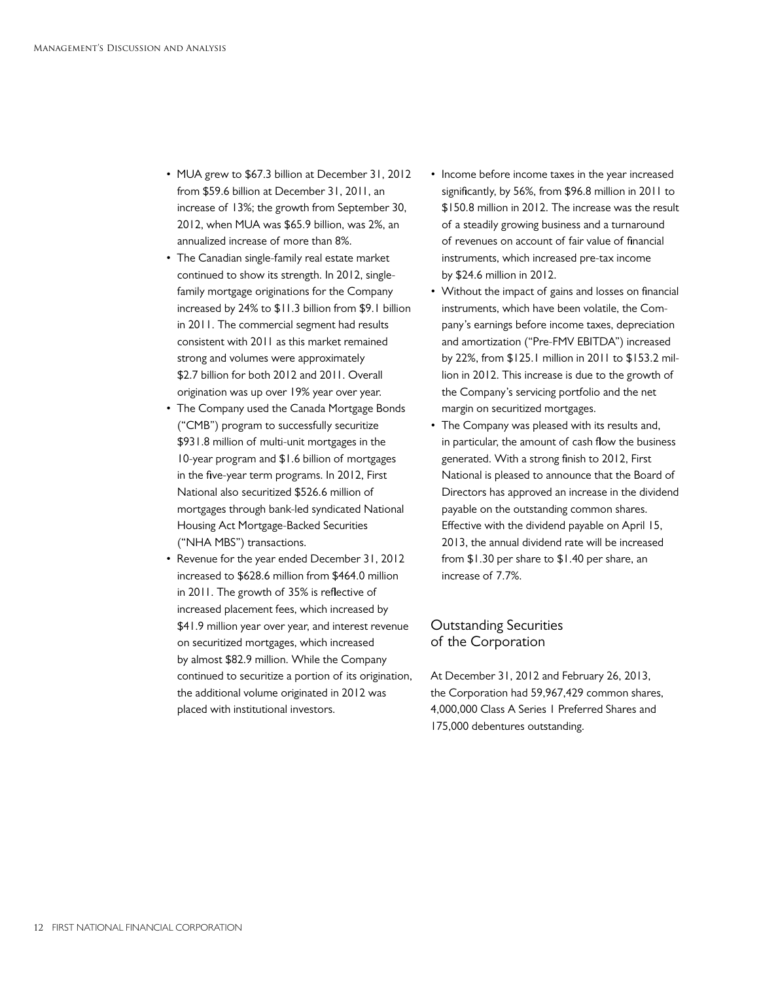- MUA grew to \$67.3 billion at December 31, 2012 from \$59.6 billion at December 31, 2011, an increase of 13%; the growth from September 30, 2012, when MUA was \$65.9 billion, was 2%, an annualized increase of more than 8%.
- The Canadian single-family real estate market continued to show its strength. In 2012, singlefamily mortgage originations for the Company increased by 24% to \$11.3 billion from \$9.1 billion in 2011. The commercial segment had results consistent with 2011 as this market remained strong and volumes were approximately \$2.7 billion for both 2012 and 2011. Overall origination was up over 19% year over year.
- The Company used the Canada Mortgage Bonds ("CMB") program to successfully securitize \$931.8 million of multi-unit mortgages in the 10-year program and \$1.6 billion of mortgages in the five-year term programs. In 2012, First National also securitized \$526.6 million of mortgages through bank-led syndicated National Housing Act Mortgage-Backed Securities ("NHA MBS") transactions.
- Revenue for the year ended December 31, 2012 increased to \$628.6 million from \$464.0 million in 2011. The growth of 35% is reflective of increased placement fees, which increased by \$41.9 million year over year, and interest revenue on securitized mortgages, which increased by almost \$82.9 million. While the Company continued to securitize a portion of its origination, the additional volume originated in 2012 was placed with institutional investors.
- Income before income taxes in the year increased significantly, by 56%, from \$96.8 million in 2011 to \$150.8 million in 2012. The increase was the result of a steadily growing business and a turnaround of revenues on account of fair value of financial instruments, which increased pre-tax income by \$24.6 million in 2012.
- Without the impact of gains and losses on financial instruments, which have been volatile, the Company's earnings before income taxes, depreciation and amortization ("Pre-FMV EBITDA") increased by 22%, from \$125.1 million in 2011 to \$153.2 million in 2012. This increase is due to the growth of the Company's servicing portfolio and the net margin on securitized mortgages.
- The Company was pleased with its results and, in particular, the amount of cash flow the business generated. With a strong finish to 2012, First National is pleased to announce that the Board of Directors has approved an increase in the dividend payable on the outstanding common shares. Effective with the dividend payable on April 15, 2013, the annual dividend rate will be increased from \$1.30 per share to \$1.40 per share, an increase of 7.7%.

# Outstanding Securities of the Corporation

At December 31, 2012 and February 26, 2013, the Corporation had 59,967,429 common shares, 4,000,000 Class A Series 1 Preferred Shares and 175,000 debentures outstanding.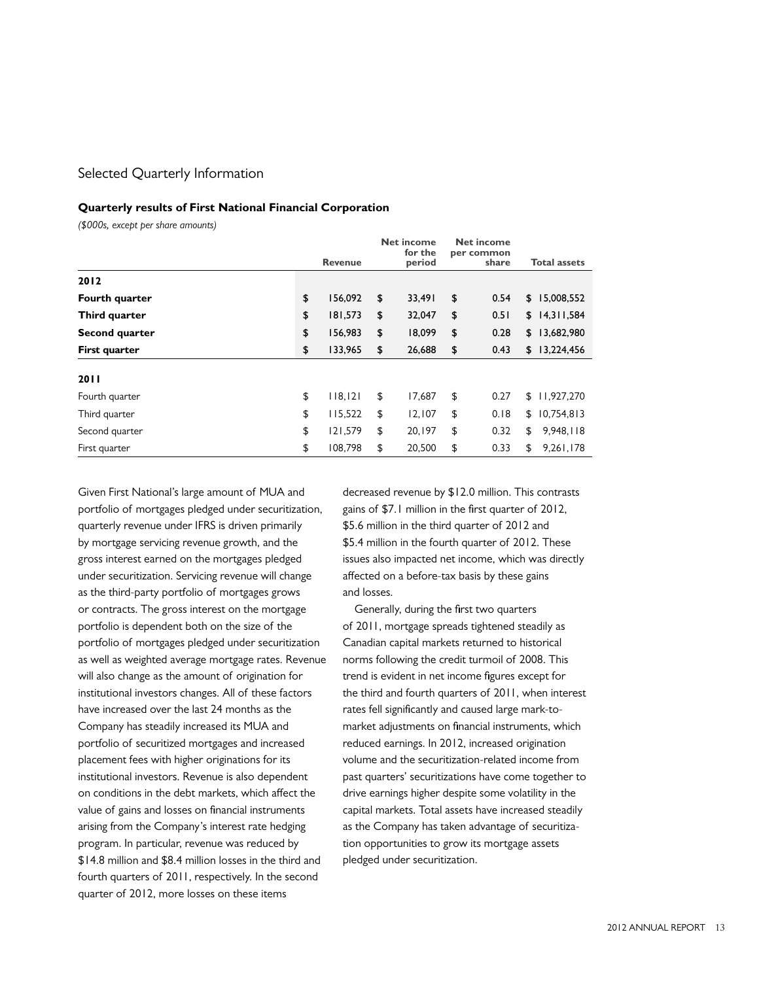# Selected Quarterly Information

#### **Quarterly results of First National Financial Corporation**

*(\$000s, except per share amounts)*

|                       | <b>Revenue</b> | <b>Net income</b><br>for the<br>period | <b>Net income</b><br>per common<br>share | <b>Total assets</b> |
|-----------------------|----------------|----------------------------------------|------------------------------------------|---------------------|
| 2012                  |                |                                        |                                          |                     |
| Fourth quarter        | \$<br>156,092  | \$<br>33,491                           | \$<br>0.54                               | \$15,008,552        |
| Third quarter         | \$<br>181,573  | \$<br>32,047                           | \$<br>0.51                               | \$<br>14,311,584    |
| <b>Second quarter</b> | \$<br>156,983  | \$<br>18,099                           | \$<br>0.28                               | \$<br>13,682,980    |
| <b>First quarter</b>  | \$<br>133,965  | \$<br>26,688                           | \$<br>0.43                               | \$13,224,456        |
| <b>2011</b>           |                |                                        |                                          |                     |
| Fourth quarter        | \$<br> 18,  2  | \$<br>17,687                           | \$<br>0.27                               | \$11,927,270        |
| Third quarter         | \$<br>115,522  | \$<br>12,107                           | \$<br>0.18                               | \$<br>10,754,813    |
| Second quarter        | \$<br>121,579  | \$<br>20.197                           | \$<br>0.32                               | \$<br>9,948,118     |
| First quarter         | \$<br>108,798  | \$<br>20,500                           | \$<br>0.33                               | \$<br>9,261,178     |

Given First National's large amount of MUA and portfolio of mortgages pledged under securitization, quarterly revenue under IFRS is driven primarily by mortgage servicing revenue growth, and the gross interest earned on the mortgages pledged under securitization. Servicing revenue will change as the third-party portfolio of mortgages grows or contracts. The gross interest on the mortgage portfolio is dependent both on the size of the portfolio of mortgages pledged under securitization as well as weighted average mortgage rates. Revenue will also change as the amount of origination for institutional investors changes. All of these factors have increased over the last 24 months as the Company has steadily increased its MUA and portfolio of securitized mortgages and increased placement fees with higher originations for its institutional investors. Revenue is also dependent on conditions in the debt markets, which affect the value of gains and losses on financial instruments arising from the Company's interest rate hedging program. In particular, revenue was reduced by \$14.8 million and \$8.4 million losses in the third and fourth quarters of 2011, respectively. In the second quarter of 2012, more losses on these items

decreased revenue by \$12.0 million. This contrasts gains of \$7.1 million in the first quarter of 2012, \$5.6 million in the third quarter of 2012 and \$5.4 million in the fourth quarter of 2012. These issues also impacted net income, which was directly affected on a before-tax basis by these gains and losses.

Generally, during the first two quarters of 2011, mortgage spreads tightened steadily as Canadian capital markets returned to historical norms following the credit turmoil of 2008. This trend is evident in net income figures except for the third and fourth quarters of 2011, when interest rates fell significantly and caused large mark-tomarket adjustments on financial instruments, which reduced earnings. In 2012, increased origination volume and the securitization-related income from past quarters' securitizations have come together to drive earnings higher despite some volatility in the capital markets. Total assets have increased steadily as the Company has taken advantage of securitization opportunities to grow its mortgage assets pledged under securitization.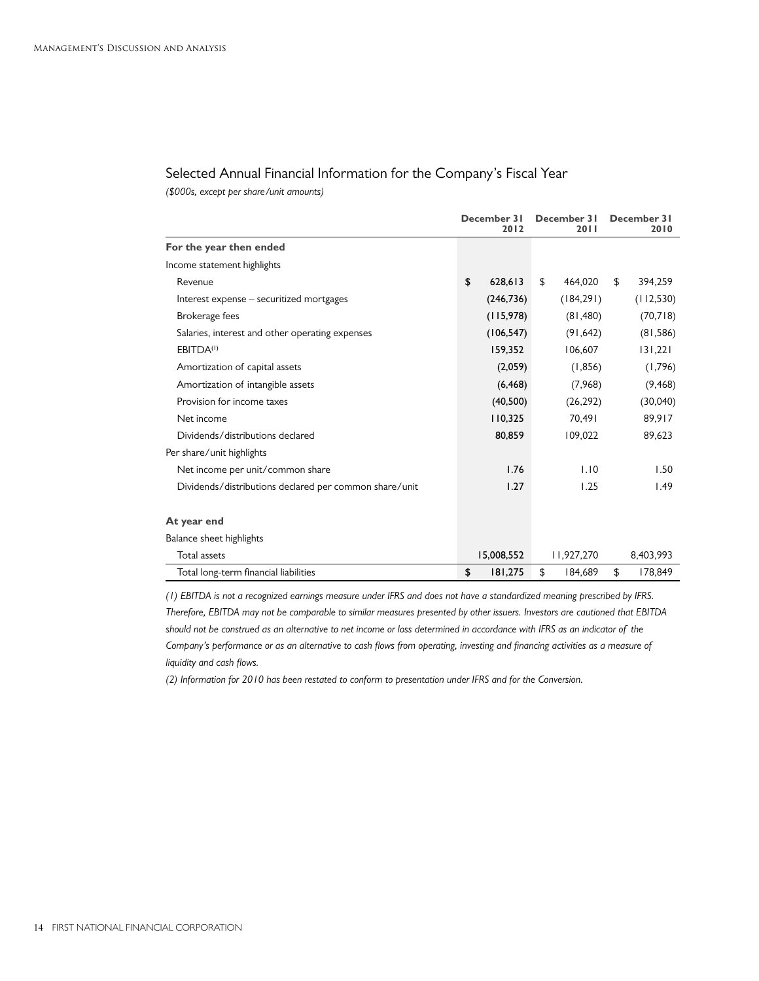# Selected Annual Financial Information for the Company's Fiscal Year

*(\$000s, except per share/unit amounts)*

|                                                        | December 31<br>2012 | December 31<br><b>2011</b> | December 31<br>2010 |
|--------------------------------------------------------|---------------------|----------------------------|---------------------|
| For the year then ended                                |                     |                            |                     |
| Income statement highlights                            |                     |                            |                     |
| Revenue                                                | \$<br>628,613       | \$<br>464.020              | \$<br>394,259       |
| Interest expense - securitized mortgages               | (246, 736)          | (184, 291)                 | (112, 530)          |
| Brokerage fees                                         | (115,978)           | (81, 480)                  | (70,718)            |
| Salaries, interest and other operating expenses        | (106, 547)          | (91, 642)                  | (81, 586)           |
| EBITDA <sup>(I)</sup>                                  | 159,352             | 106,607                    | 131,221             |
| Amortization of capital assets                         | (2,059)             | (1, 856)                   | (1,796)             |
| Amortization of intangible assets                      | (6, 468)            | (7,968)                    | (9, 468)            |
| Provision for income taxes                             | (40, 500)           | (26, 292)                  | (30,040)            |
| Net income                                             | 110,325             | 70.491                     | 89,917              |
| Dividends/distributions declared                       | 80,859              | 109,022                    | 89,623              |
| Per share/unit highlights                              |                     |                            |                     |
| Net income per unit/common share                       | 1.76                | 1.10                       | 1.50                |
| Dividends/distributions declared per common share/unit | 1.27                | 1.25                       | 1.49                |
| At year end                                            |                     |                            |                     |
| Balance sheet highlights                               |                     |                            |                     |
| Total assets                                           | 15,008,552          | 11,927,270                 | 8,403,993           |
| Total long-term financial liabilities                  | \$<br>181,275       | \$<br>184,689              | \$<br>178,849       |

*(1) EBITDA is not a recognized earnings measure under IFRS and does not have a standardized meaning prescribed by IFRS. Therefore, EBITDA may not be comparable to similar measures presented by other issuers. Investors are cautioned that EBITDA should not be construed as an alternative to net income or loss determined in accordance with IFRS as an indicator of the Company's performance or as an alternative to cash flows from operating, investing and financing activities as a measure of liquidity and cash flows.* 

*(2) Information for 2010 has been restated to conform to presentation under IFRS and for the Conversion.*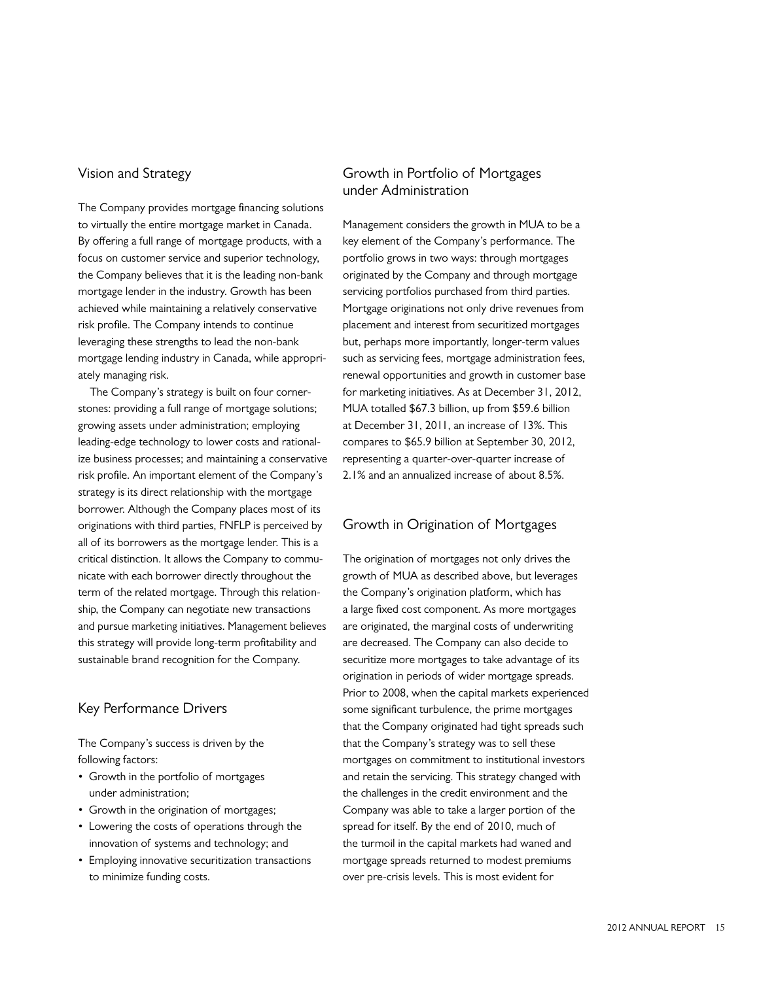# Vision and Strategy

The Company provides mortgage financing solutions to virtually the entire mortgage market in Canada. By offering a full range of mortgage products, with a focus on customer service and superior technology, the Company believes that it is the leading non-bank mortgage lender in the industry. Growth has been achieved while maintaining a relatively conservative risk profile. The Company intends to continue leveraging these strengths to lead the non-bank mortgage lending industry in Canada, while appropriately managing risk.

The Company's strategy is built on four cornerstones: providing a full range of mortgage solutions; growing assets under administration; employing leading-edge technology to lower costs and rationalize business processes; and maintaining a conservative risk profile. An important element of the Company's strategy is its direct relationship with the mortgage borrower. Although the Company places most of its originations with third parties, FNFLP is perceived by all of its borrowers as the mortgage lender. This is a critical distinction. It allows the Company to communicate with each borrower directly throughout the term of the related mortgage. Through this relationship, the Company can negotiate new transactions and pursue marketing initiatives. Management believes this strategy will provide long-term profitability and sustainable brand recognition for the Company.

# Key Performance Drivers

The Company's success is driven by the following factors:

- Growth in the portfolio of mortgages under administration;
- Growth in the origination of mortgages;
- Lowering the costs of operations through the innovation of systems and technology; and
- Employing innovative securitization transactions to minimize funding costs.

# Growth in Portfolio of Mortgages under Administration

Management considers the growth in MUA to be a key element of the Company's performance. The portfolio grows in two ways: through mortgages originated by the Company and through mortgage servicing portfolios purchased from third parties. Mortgage originations not only drive revenues from placement and interest from securitized mortgages but, perhaps more importantly, longer-term values such as servicing fees, mortgage administration fees, renewal opportunities and growth in customer base for marketing initiatives. As at December 31, 2012, MUA totalled \$67.3 billion, up from \$59.6 billion at December 31, 2011, an increase of 13%. This compares to \$65.9 billion at September 30, 2012, representing a quarter-over-quarter increase of 2.1% and an annualized increase of about 8.5%.

# Growth in Origination of Mortgages

The origination of mortgages not only drives the growth of MUA as described above, but leverages the Company's origination platform, which has a large fixed cost component. As more mortgages are originated, the marginal costs of underwriting are decreased. The Company can also decide to securitize more mortgages to take advantage of its origination in periods of wider mortgage spreads. Prior to 2008, when the capital markets experienced some significant turbulence, the prime mortgages that the Company originated had tight spreads such that the Company's strategy was to sell these mortgages on commitment to institutional investors and retain the servicing. This strategy changed with the challenges in the credit environment and the Company was able to take a larger portion of the spread for itself. By the end of 2010, much of the turmoil in the capital markets had waned and mortgage spreads returned to modest premiums over pre-crisis levels. This is most evident for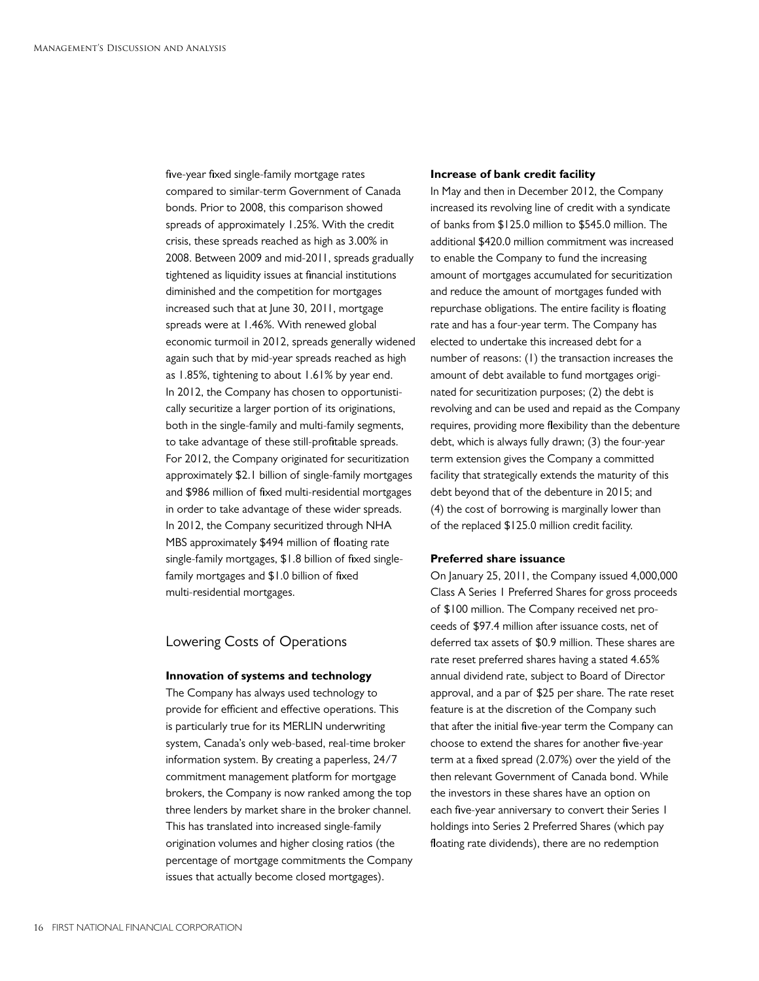five-year fixed single-family mortgage rates compared to similar-term Government of Canada bonds. Prior to 2008, this comparison showed spreads of approximately 1.25%. With the credit crisis, these spreads reached as high as 3.00% in 2008. Between 2009 and mid-2011, spreads gradually tightened as liquidity issues at financial institutions diminished and the competition for mortgages increased such that at June 30, 2011, mortgage spreads were at 1.46%. With renewed global economic turmoil in 2012, spreads generally widened again such that by mid-year spreads reached as high as 1.85%, tightening to about 1.61% by year end. In 2012, the Company has chosen to opportunistically securitize a larger portion of its originations, both in the single-family and multi-family segments, to take advantage of these still-profitable spreads. For 2012, the Company originated for securitization approximately \$2.1 billion of single-family mortgages and \$986 million of fixed multi-residential mortgages in order to take advantage of these wider spreads. In 2012, the Company securitized through NHA MBS approximately \$494 million of floating rate single-family mortgages, \$1.8 billion of fixed singlefamily mortgages and \$1.0 billion of fixed multi-residential mortgages.

### Lowering Costs of Operations

#### **Innovation of systems and technology**

The Company has always used technology to provide for efficient and effective operations. This is particularly true for its MERLIN underwriting system, Canada's only web-based, real-time broker information system. By creating a paperless, 24/7 commitment management platform for mortgage brokers, the Company is now ranked among the top three lenders by market share in the broker channel. This has translated into increased single-family origination volumes and higher closing ratios (the percentage of mortgage commitments the Company issues that actually become closed mortgages).

#### **Increase of bank credit facility**

In May and then in December 2012, the Company increased its revolving line of credit with a syndicate of banks from \$125.0 million to \$545.0 million. The additional \$420.0 million commitment was increased to enable the Company to fund the increasing amount of mortgages accumulated for securitization and reduce the amount of mortgages funded with repurchase obligations. The entire facility is floating rate and has a four-year term. The Company has elected to undertake this increased debt for a number of reasons: (1) the transaction increases the amount of debt available to fund mortgages originated for securitization purposes; (2) the debt is revolving and can be used and repaid as the Company requires, providing more flexibility than the debenture debt, which is always fully drawn; (3) the four-year term extension gives the Company a committed facility that strategically extends the maturity of this debt beyond that of the debenture in 2015; and (4) the cost of borrowing is marginally lower than of the replaced \$125.0 million credit facility.

#### **Preferred share issuance**

On January 25, 2011, the Company issued 4,000,000 Class A Series 1 Preferred Shares for gross proceeds of \$100 million. The Company received net proceeds of \$97.4 million after issuance costs, net of deferred tax assets of \$0.9 million. These shares are rate reset preferred shares having a stated 4.65% annual dividend rate, subject to Board of Director approval, and a par of \$25 per share. The rate reset feature is at the discretion of the Company such that after the initial five-year term the Company can choose to extend the shares for another five-year term at a fixed spread (2.07%) over the yield of the then relevant Government of Canada bond. While the investors in these shares have an option on each five-year anniversary to convert their Series 1 holdings into Series 2 Preferred Shares (which pay floating rate dividends), there are no redemption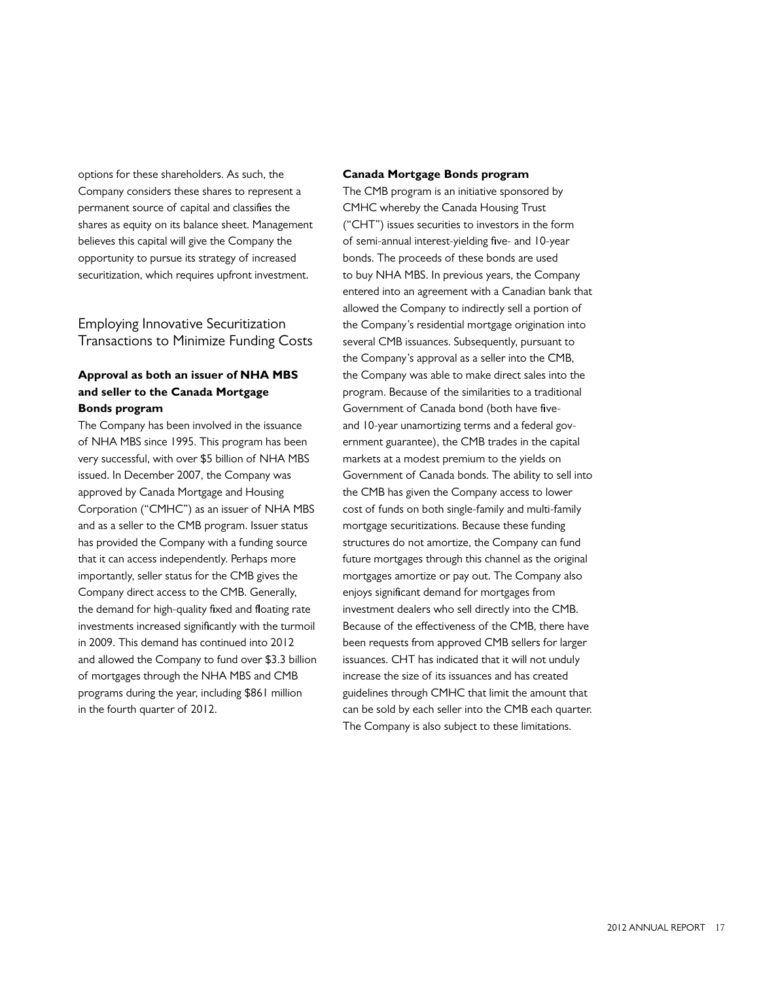options for these shareholders. As such, the Company considers these shares to represent a permanent source of capital and classifies the shares as equity on its balance sheet. Management believes this capital will give the Company the opportunity to pursue its strategy of increased securitization, which requires upfront investment.

Employing Innovative Securitization Transactions to Minimize Funding Costs

# **Approval as both an issuer of NHA MBS and seller to the Canada Mortgage Bonds program**

The Company has been involved in the issuance of NHA MBS since 1995. This program has been very successful, with over \$5 billion of NHA MBS issued. In December 2007, the Company was approved by Canada Mortgage and Housing Corporation ("CMHC") as an issuer of NHA MBS and as a seller to the CMB program. Issuer status has provided the Company with a funding source that it can access independently. Perhaps more importantly, seller status for the CMB gives the Company direct access to the CMB. Generally, the demand for high-quality fixed and floating rate investments increased significantly with the turmoil in 2009. This demand has continued into 2012 and allowed the Company to fund over \$3.3 billion of mortgages through the NHA MBS and CMB programs during the year, including \$861 million in the fourth quarter of 2012.

#### **Canada Mortgage Bonds program**

The CMB program is an initiative sponsored by CMHC whereby the Canada Housing Trust ("CHT") issues securities to investors in the form of semi-annual interest-yielding five- and 10-year bonds. The proceeds of these bonds are used to buy NHA MBS. In previous years, the Company entered into an agreement with a Canadian bank that allowed the Company to indirectly sell a portion of the Company's residential mortgage origination into several CMB issuances. Subsequently, pursuant to the Company's approval as a seller into the CMB, the Company was able to make direct sales into the program. Because of the similarities to a traditional Government of Canada bond (both have fiveand 10-year unamortizing terms and a federal government guarantee), the CMB trades in the capital markets at a modest premium to the yields on Government of Canada bonds. The ability to sell into the CMB has given the Company access to lower cost of funds on both single-family and multi-family mortgage securitizations. Because these funding structures do not amortize, the Company can fund future mortgages through this channel as the original mortgages amortize or pay out. The Company also enjoys significant demand for mortgages from investment dealers who sell directly into the CMB. Because of the effectiveness of the CMB, there have been requests from approved CMB sellers for larger issuances. CHT has indicated that it will not unduly increase the size of its issuances and has created guidelines through CMHC that limit the amount that can be sold by each seller into the CMB each quarter. The Company is also subject to these limitations.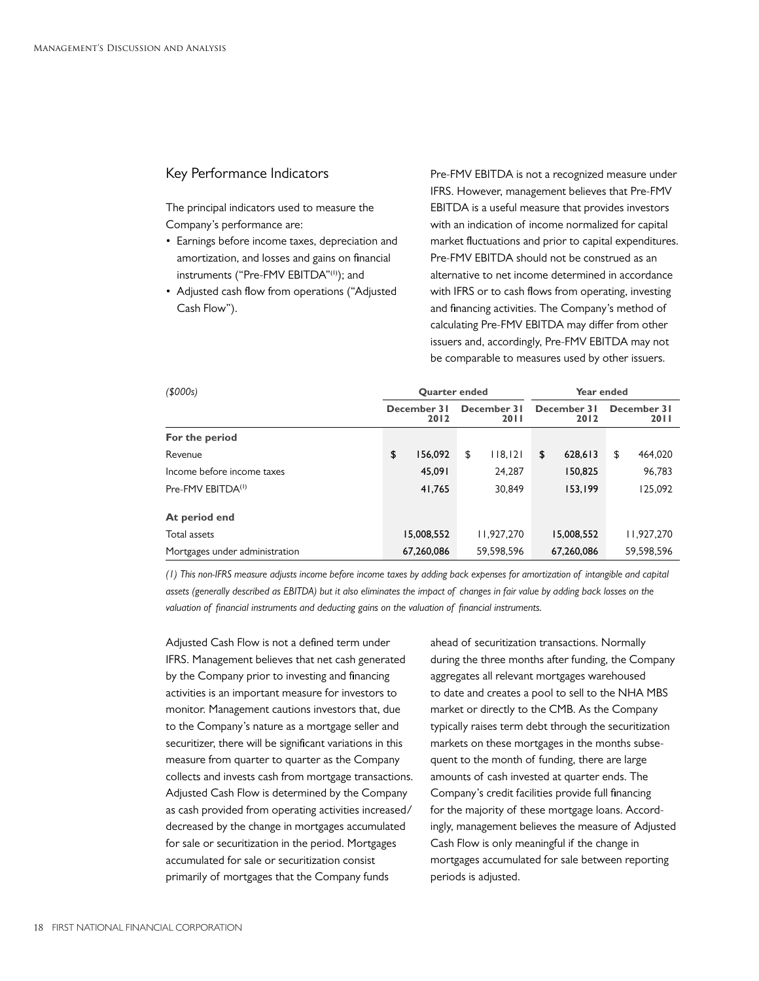#### Key Performance Indicators

The principal indicators used to measure the Company's performance are:

- Earnings before income taxes, depreciation and amortization, and losses and gains on financial instruments ("Pre-FMV EBITDA"<sup>(1)</sup>); and
- Adjusted cash flow from operations ("Adjusted Cash Flow").

Pre-FMV EBITDA is not a recognized measure under IFRS. However, management believes that Pre-FMV EBITDA is a useful measure that provides investors with an indication of income normalized for capital market fluctuations and prior to capital expenditures. Pre-FMV EBITDA should not be construed as an alternative to net income determined in accordance with IFRS or to cash flows from operating, investing and financing activities. The Company's method of calculating Pre-FMV EBITDA may differ from other issuers and, accordingly, Pre-FMV EBITDA may not be comparable to measures used by other issuers.

| $($ \$000s)                    |    | <b>Quarter ended</b> |    | Year ended                 |    |                     |    |                            |
|--------------------------------|----|----------------------|----|----------------------------|----|---------------------|----|----------------------------|
|                                |    | December 31<br>2012  |    | December 31<br><b>2011</b> |    | December 31<br>2012 |    | December 31<br><b>2011</b> |
| For the period                 |    |                      |    |                            |    |                     |    |                            |
| Revenue                        | \$ | 156.092              | \$ | 118.12                     | \$ | 628.613             | \$ | 464,020                    |
| Income before income taxes     |    | 45.091               |    | 24.287                     |    | 150,825             |    | 96,783                     |
| Pre-FMV EBITDA <sup>(1)</sup>  |    | 41,765               |    | 30.849                     |    | 153,199             |    | 125,092                    |
| At period end                  |    |                      |    |                            |    |                     |    |                            |
| Total assets                   |    | 15.008.552           |    | 11.927.270                 |    | 15.008.552          |    | 11.927.270                 |
| Mortgages under administration |    | 67.260.086           |    | 59.598.596                 |    | 67,260,086          |    | 59.598.596                 |

*(1) This non-IFRS measure adjusts income before income taxes by adding back expenses for amortization of intangible and capital assets (generally described as EBITDA) but it also eliminates the impact of changes in fair value by adding back losses on the*  valuation of financial instruments and deducting gains on the valuation of financial instruments.

Adjusted Cash Flow is not a defined term under IFRS. Management believes that net cash generated by the Company prior to investing and financing activities is an important measure for investors to monitor. Management cautions investors that, due to the Company's nature as a mortgage seller and securitizer, there will be significant variations in this measure from quarter to quarter as the Company collects and invests cash from mortgage transactions. Adjusted Cash Flow is determined by the Company as cash provided from operating activities increased/ decreased by the change in mortgages accumulated for sale or securitization in the period. Mortgages accumulated for sale or securitization consist primarily of mortgages that the Company funds

ahead of securitization transactions. Normally during the three months after funding, the Company aggregates all relevant mortgages warehoused to date and creates a pool to sell to the NHA MBS market or directly to the CMB. As the Company typically raises term debt through the securitization markets on these mortgages in the months subsequent to the month of funding, there are large amounts of cash invested at quarter ends. The Company's credit facilities provide full financing for the majority of these mortgage loans. Accordingly, management believes the measure of Adjusted Cash Flow is only meaningful if the change in mortgages accumulated for sale between reporting periods is adjusted.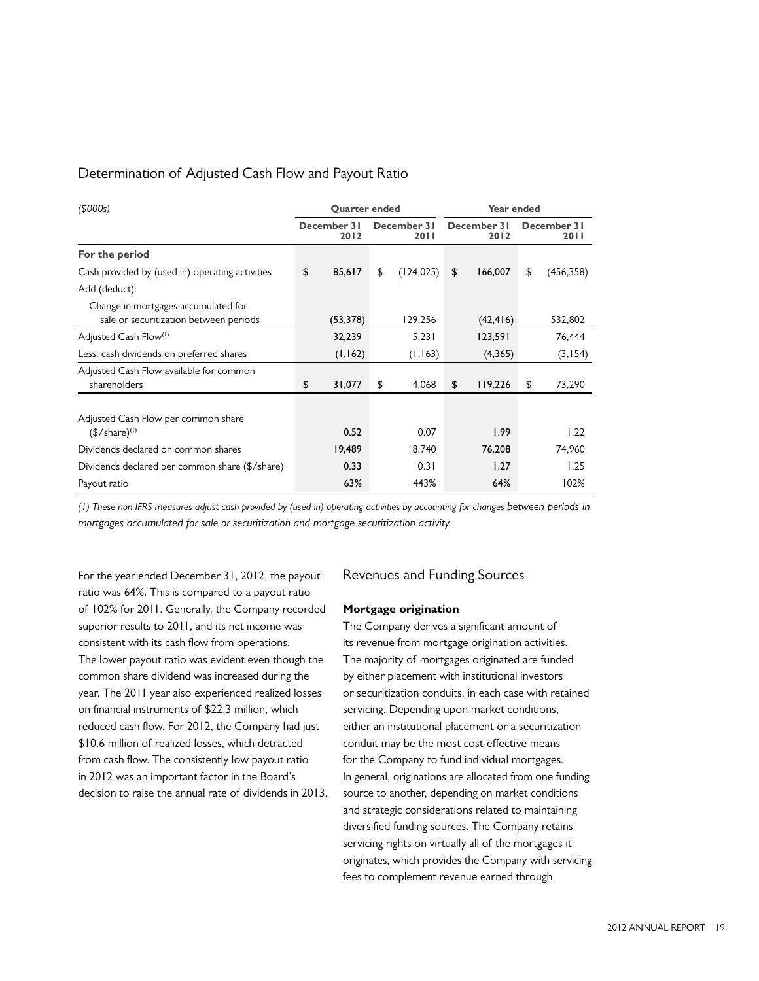# Determination of Adjusted Cash Flow and Payout Ratio

| (\$000s)                                                                      |    | <b>Quarter ended</b> |    | Year ended                 |    |                     |    |                       |
|-------------------------------------------------------------------------------|----|----------------------|----|----------------------------|----|---------------------|----|-----------------------|
|                                                                               |    | December 31<br>2012  |    | December 31<br><b>2011</b> |    | December 31<br>2012 |    | December 31<br>20 I I |
| For the period                                                                |    |                      |    |                            |    |                     |    |                       |
| Cash provided by (used in) operating activities                               | \$ | 85,617               | \$ | (124, 025)                 | \$ | 166,007             | \$ | (456, 358)            |
| Add (deduct):                                                                 |    |                      |    |                            |    |                     |    |                       |
| Change in mortgages accumulated for<br>sale or securitization between periods |    | (53, 378)            |    | 129,256                    |    | (42, 416)           |    | 532,802               |
| Adjusted Cash Flow <sup>(1)</sup>                                             |    | 32,239               |    | 5,231                      |    | 123,591             |    | 76,444                |
| Less: cash dividends on preferred shares                                      |    | (1, 162)             |    | (1, 163)                   |    | (4,365)             |    | (3, 154)              |
| Adjusted Cash Flow available for common                                       |    |                      |    |                            |    |                     |    |                       |
| shareholders                                                                  | \$ | 31,077               | \$ | 4,068                      | \$ | 119,226             | \$ | 73,290                |
| Adjusted Cash Flow per common share<br>$(\frac{5}{\text{share}})^{(1)}$       |    | 0.52                 |    | 0.07                       |    | 1.99                |    | 1.22                  |
| Dividends declared on common shares                                           |    | 19,489               |    | 18,740                     |    | 76,208              |    | 74,960                |
| Dividends declared per common share (\$/share)                                |    | 0.33                 |    | 0.31                       |    | 1.27                |    | 1.25                  |
| Payout ratio                                                                  |    | 63%                  |    | 443%                       |    | 64%                 |    | 102%                  |

*(1) These non-IFRS measures adjust cash provided by (used in) operating activities by accounting for changes between periods in mortgages accumulated for sale or securitization and mortgage securitization activity.* 

For the year ended December 31, 2012, the payout ratio was 64%. This is compared to a payout ratio of 102% for 2011. Generally, the Company recorded superior results to 2011, and its net income was consistent with its cash flow from operations. The lower payout ratio was evident even though the common share dividend was increased during the year. The 2011 year also experienced realized losses on financial instruments of \$22.3 million, which reduced cash flow. For 2012, the Company had just \$10.6 million of realized losses, which detracted from cash flow. The consistently low payout ratio in 2012 was an important factor in the Board's decision to raise the annual rate of dividends in 2013.

### Revenues and Funding Sources

#### **Mortgage origination**

The Company derives a significant amount of its revenue from mortgage origination activities. The majority of mortgages originated are funded by either placement with institutional investors or securitization conduits, in each case with retained servicing. Depending upon market conditions, either an institutional placement or a securitization conduit may be the most cost-effective means for the Company to fund individual mortgages. In general, originations are allocated from one funding source to another, depending on market conditions and strategic considerations related to maintaining diversified funding sources. The Company retains servicing rights on virtually all of the mortgages it originates, which provides the Company with servicing fees to complement revenue earned through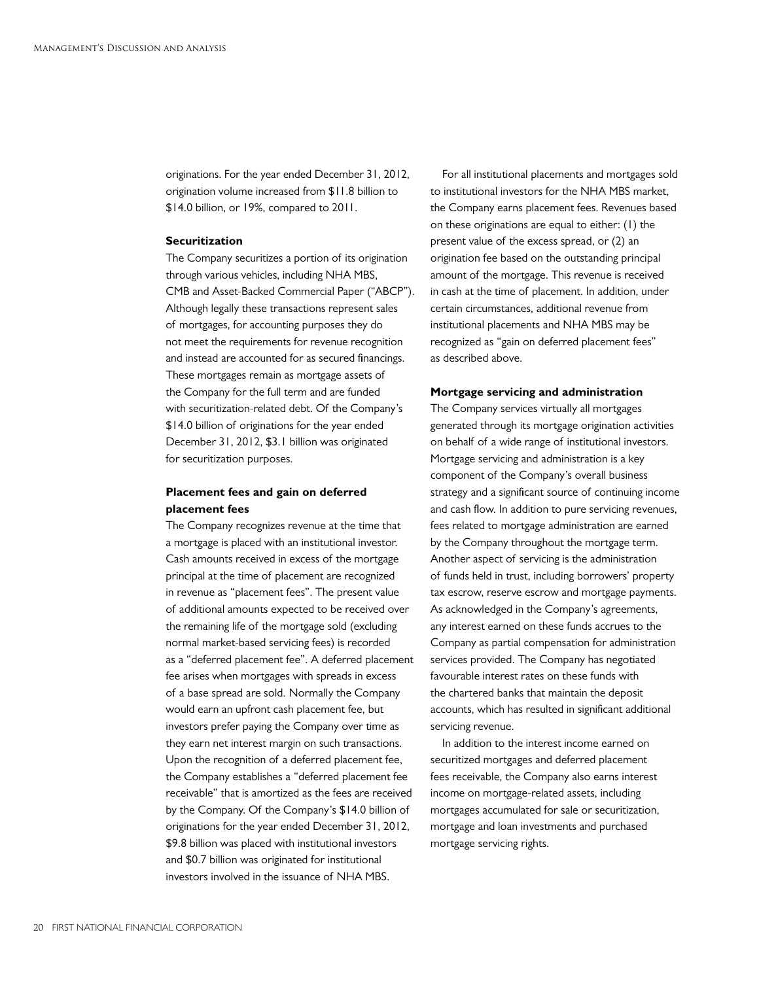originations. For the year ended December 31, 2012, origination volume increased from \$11.8 billion to \$14.0 billion, or 19%, compared to 2011.

### **Securitization**

The Company securitizes a portion of its origination through various vehicles, including NHA MBS, CMB and Asset-Backed Commercial Paper ("ABCP"). Although legally these transactions represent sales of mortgages, for accounting purposes they do not meet the requirements for revenue recognition and instead are accounted for as secured financings. These mortgages remain as mortgage assets of the Company for the full term and are funded with securitization-related debt. Of the Company's \$14.0 billion of originations for the year ended December 31, 2012, \$3.1 billion was originated for securitization purposes.

# **Placement fees and gain on deferred placement fees**

The Company recognizes revenue at the time that a mortgage is placed with an institutional investor. Cash amounts received in excess of the mortgage principal at the time of placement are recognized in revenue as "placement fees". The present value of additional amounts expected to be received over the remaining life of the mortgage sold (excluding normal market-based servicing fees) is recorded as a "deferred placement fee". A deferred placement fee arises when mortgages with spreads in excess of a base spread are sold. Normally the Company would earn an upfront cash placement fee, but investors prefer paying the Company over time as they earn net interest margin on such transactions. Upon the recognition of a deferred placement fee, the Company establishes a "deferred placement fee receivable" that is amortized as the fees are received by the Company. Of the Company's \$14.0 billion of originations for the year ended December 31, 2012, \$9.8 billion was placed with institutional investors and \$0.7 billion was originated for institutional investors involved in the issuance of NHA MBS.

For all institutional placements and mortgages sold to institutional investors for the NHA MBS market, the Company earns placement fees. Revenues based on these originations are equal to either: (1) the present value of the excess spread, or (2) an origination fee based on the outstanding principal amount of the mortgage. This revenue is received in cash at the time of placement. In addition, under certain circumstances, additional revenue from institutional placements and NHA MBS may be recognized as "gain on deferred placement fees" as described above.

#### **Mortgage servicing and administration**

The Company services virtually all mortgages generated through its mortgage origination activities on behalf of a wide range of institutional investors. Mortgage servicing and administration is a key component of the Company's overall business strategy and a significant source of continuing income and cash flow. In addition to pure servicing revenues, fees related to mortgage administration are earned by the Company throughout the mortgage term. Another aspect of servicing is the administration of funds held in trust, including borrowers' property tax escrow, reserve escrow and mortgage payments. As acknowledged in the Company's agreements, any interest earned on these funds accrues to the Company as partial compensation for administration services provided. The Company has negotiated favourable interest rates on these funds with the chartered banks that maintain the deposit accounts, which has resulted in significant additional servicing revenue.

In addition to the interest income earned on securitized mortgages and deferred placement fees receivable, the Company also earns interest income on mortgage-related assets, including mortgages accumulated for sale or securitization, mortgage and loan investments and purchased mortgage servicing rights.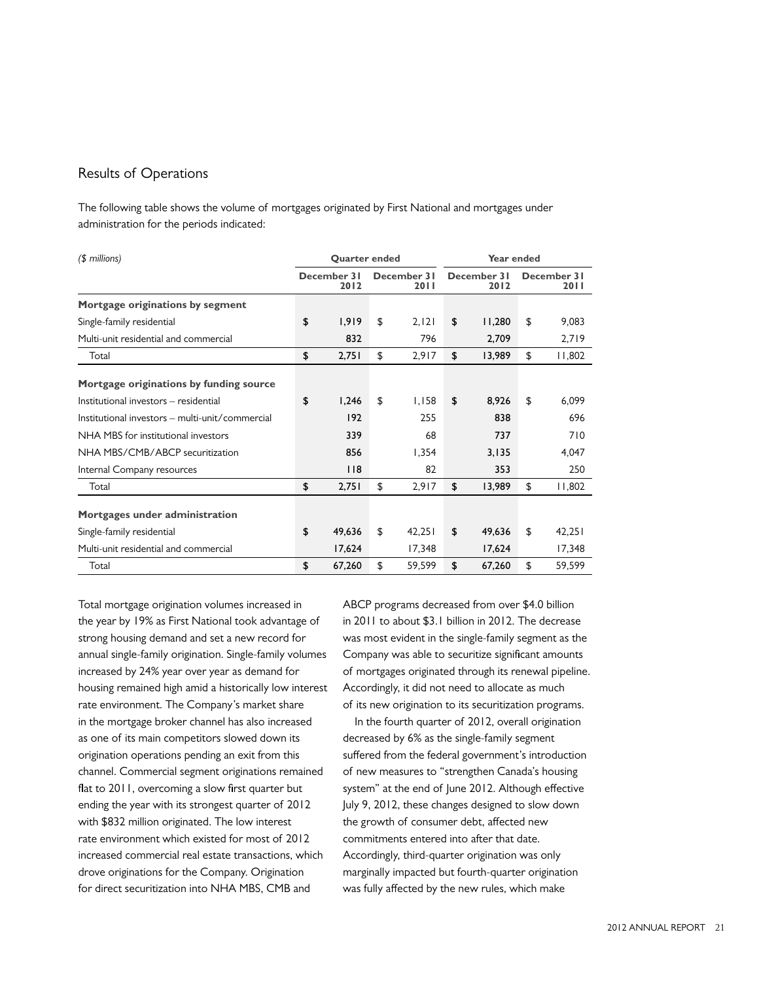# Results of Operations

The following table shows the volume of mortgages originated by First National and mortgages under administration for the periods indicated:

| $($$ millions)                                  |    | <b>Ouarter ended</b> |    | Year ended                 |    |                     |    |                     |
|-------------------------------------------------|----|----------------------|----|----------------------------|----|---------------------|----|---------------------|
|                                                 |    | December 31<br>2012  |    | December 31<br><b>2011</b> |    | December 31<br>2012 |    | December 31<br>2011 |
| Mortgage originations by segment                |    |                      |    |                            |    |                     |    |                     |
| Single-family residential                       | \$ | 1,919                | \$ | 2,121                      | \$ | 11,280              | \$ | 9,083               |
| Multi-unit residential and commercial           |    | 832                  |    | 796                        |    | 2,709               |    | 2,719               |
| Total                                           | \$ | 2,751                | \$ | 2,917                      | \$ | 13,989              | \$ | 11,802              |
| Mortgage originations by funding source         |    |                      |    |                            |    |                     |    |                     |
| Institutional investors - residential           | \$ | 1,246                | \$ | 1,158                      | \$ | 8,926               | \$ | 6,099               |
| Institutional investors - multi-unit/commercial |    | 192                  |    | 255                        |    | 838                 |    | 696                 |
| NHA MBS for institutional investors             |    | 339                  |    | 68                         |    | 737                 |    | 710                 |
| NHA MBS/CMB/ABCP securitization                 |    | 856                  |    | 1,354                      |    | 3,135               |    | 4,047               |
| Internal Company resources                      |    | 118                  |    | 82                         |    | 353                 |    | 250                 |
| Total                                           | \$ | 2,751                | \$ | 2,917                      | \$ | 13,989              | \$ | 11,802              |
| Mortgages under administration                  |    |                      |    |                            |    |                     |    |                     |
| Single-family residential                       | \$ | 49,636               | \$ | 42,251                     | \$ | 49,636              | \$ | 42,251              |
| Multi-unit residential and commercial           |    | 17,624               |    | 17,348                     |    | 17,624              |    | 17,348              |
| Total                                           | \$ | 67,260               | \$ | 59,599                     | \$ | 67,260              | \$ | 59,599              |

Total mortgage origination volumes increased in the year by 19% as First National took advantage of strong housing demand and set a new record for annual single-family origination. Single-family volumes increased by 24% year over year as demand for housing remained high amid a historically low interest rate environment. The Company's market share in the mortgage broker channel has also increased as one of its main competitors slowed down its origination operations pending an exit from this channel. Commercial segment originations remained flat to 2011, overcoming a slow first quarter but ending the year with its strongest quarter of 2012 with \$832 million originated. The low interest rate environment which existed for most of 2012 increased commercial real estate transactions, which drove originations for the Company. Origination for direct securitization into NHA MBS, CMB and

ABCP programs decreased from over \$4.0 billion in 2011 to about \$3.1 billion in 2012. The decrease was most evident in the single-family segment as the Company was able to securitize significant amounts of mortgages originated through its renewal pipeline. Accordingly, it did not need to allocate as much of its new origination to its securitization programs.

In the fourth quarter of 2012, overall origination decreased by 6% as the single-family segment suffered from the federal government's introduction of new measures to "strengthen Canada's housing system" at the end of June 2012. Although effective July 9, 2012, these changes designed to slow down the growth of consumer debt, affected new commitments entered into after that date. Accordingly, third-quarter origination was only marginally impacted but fourth-quarter origination was fully affected by the new rules, which make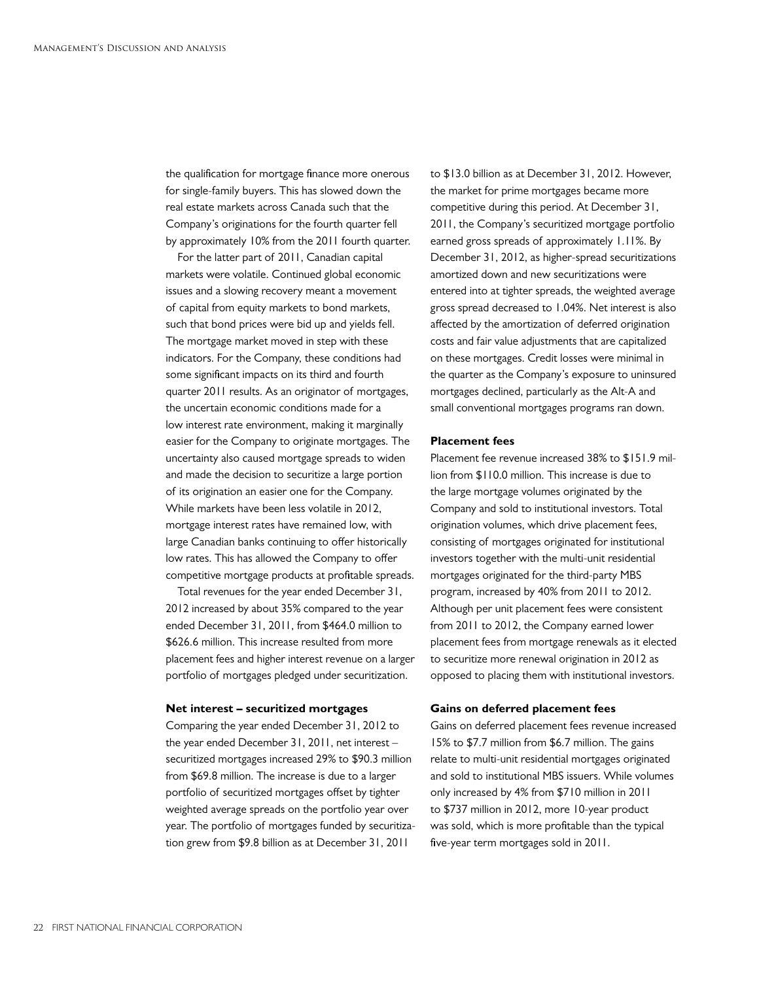the qualification for mortgage finance more onerous for single-family buyers. This has slowed down the real estate markets across Canada such that the Company's originations for the fourth quarter fell by approximately 10% from the 2011 fourth quarter.

For the latter part of 2011, Canadian capital markets were volatile. Continued global economic issues and a slowing recovery meant a movement of capital from equity markets to bond markets, such that bond prices were bid up and yields fell. The mortgage market moved in step with these indicators. For the Company, these conditions had some significant impacts on its third and fourth quarter 2011 results. As an originator of mortgages, the uncertain economic conditions made for a low interest rate environment, making it marginally easier for the Company to originate mortgages. The uncertainty also caused mortgage spreads to widen and made the decision to securitize a large portion of its origination an easier one for the Company. While markets have been less volatile in 2012, mortgage interest rates have remained low, with large Canadian banks continuing to offer historically low rates. This has allowed the Company to offer competitive mortgage products at profitable spreads.

Total revenues for the year ended December 31, 2012 increased by about 35% compared to the year ended December 31, 2011, from \$464.0 million to \$626.6 million. This increase resulted from more placement fees and higher interest revenue on a larger portfolio of mortgages pledged under securitization.

#### **Net interest – securitized mortgages**

Comparing the year ended December 31, 2012 to the year ended December 31, 2011, net interest – securitized mortgages increased 29% to \$90.3 million from \$69.8 million. The increase is due to a larger portfolio of securitized mortgages offset by tighter weighted average spreads on the portfolio year over year. The portfolio of mortgages funded by securitization grew from \$9.8 billion as at December 31, 2011

to \$13.0 billion as at December 31, 2012. However, the market for prime mortgages became more competitive during this period. At December 31, 2011, the Company's securitized mortgage portfolio earned gross spreads of approximately 1.11%. By December 31, 2012, as higher-spread securitizations amortized down and new securitizations were entered into at tighter spreads, the weighted average gross spread decreased to 1.04%. Net interest is also affected by the amortization of deferred origination costs and fair value adjustments that are capitalized on these mortgages. Credit losses were minimal in the quarter as the Company's exposure to uninsured mortgages declined, particularly as the Alt-A and small conventional mortgages programs ran down.

#### **Placement fees**

Placement fee revenue increased 38% to \$151.9 million from \$110.0 million. This increase is due to the large mortgage volumes originated by the Company and sold to institutional investors. Total origination volumes, which drive placement fees, consisting of mortgages originated for institutional investors together with the multi-unit residential mortgages originated for the third-party MBS program, increased by 40% from 2011 to 2012. Although per unit placement fees were consistent from 2011 to 2012, the Company earned lower placement fees from mortgage renewals as it elected to securitize more renewal origination in 2012 as opposed to placing them with institutional investors.

#### **Gains on deferred placement fees**

Gains on deferred placement fees revenue increased 15% to \$7.7 million from \$6.7 million. The gains relate to multi-unit residential mortgages originated and sold to institutional MBS issuers. While volumes only increased by 4% from \$710 million in 2011 to \$737 million in 2012, more 10-year product was sold, which is more profitable than the typical five-year term mortgages sold in 2011.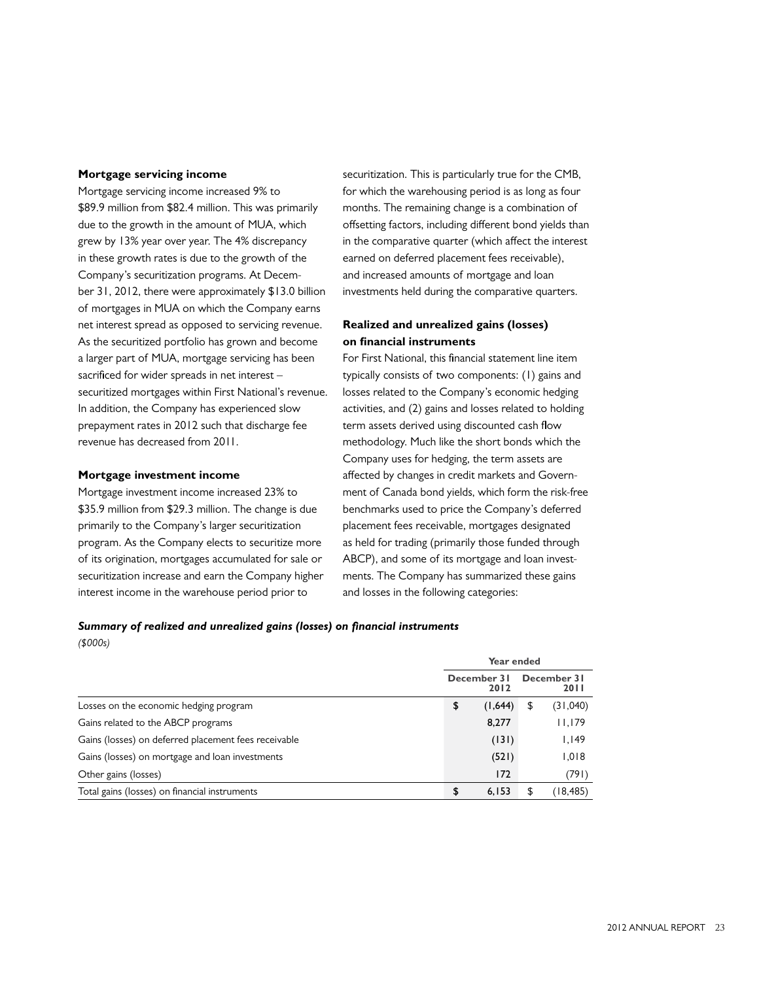#### **Mortgage servicing income**

Mortgage servicing income increased 9% to \$89.9 million from \$82.4 million. This was primarily due to the growth in the amount of MUA, which grew by 13% year over year. The 4% discrepancy in these growth rates is due to the growth of the Company's securitization programs. At December 31, 2012, there were approximately \$13.0 billion of mortgages in MUA on which the Company earns net interest spread as opposed to servicing revenue. As the securitized portfolio has grown and become a larger part of MUA, mortgage servicing has been sacrificed for wider spreads in net interest – securitized mortgages within First National's revenue. In addition, the Company has experienced slow prepayment rates in 2012 such that discharge fee revenue has decreased from 2011.

#### **Mortgage investment income**

Mortgage investment income increased 23% to \$35.9 million from \$29.3 million. The change is due primarily to the Company's larger securitization program. As the Company elects to securitize more of its origination, mortgages accumulated for sale or securitization increase and earn the Company higher interest income in the warehouse period prior to

securitization. This is particularly true for the CMB, for which the warehousing period is as long as four months. The remaining change is a combination of offsetting factors, including different bond yields than in the comparative quarter (which affect the interest earned on deferred placement fees receivable), and increased amounts of mortgage and loan investments held during the comparative quarters.

# **Realized and unrealized gains (losses) on financial instruments**

For First National, this financial statement line item typically consists of two components: (1) gains and losses related to the Company's economic hedging activities, and (2) gains and losses related to holding term assets derived using discounted cash flow methodology. Much like the short bonds which the Company uses for hedging, the term assets are affected by changes in credit markets and Government of Canada bond yields, which form the risk-free benchmarks used to price the Company's deferred placement fees receivable, mortgages designated as held for trading (primarily those funded through ABCP), and some of its mortgage and loan investments. The Company has summarized these gains and losses in the following categories:

*Summary of realized and unrealized gains (losses) on financial instruments (\$000s)*

|                                                      |    | December 31<br>2012 |    | December 31<br><b>2011</b> |
|------------------------------------------------------|----|---------------------|----|----------------------------|
| Losses on the economic hedging program               | \$ | (1,644)             | \$ | (31,040)                   |
| Gains related to the ABCP programs                   |    | 8,277               |    | 11,179                     |
| Gains (losses) on deferred placement fees receivable |    | (131)               |    | 1,149                      |
| Gains (losses) on mortgage and loan investments      |    | (521)               |    | 1,018                      |
| Other gains (losses)                                 |    | 172                 |    | (791)                      |
| Total gains (losses) on financial instruments        | \$ | 6,153               | \$ | (18,485)                   |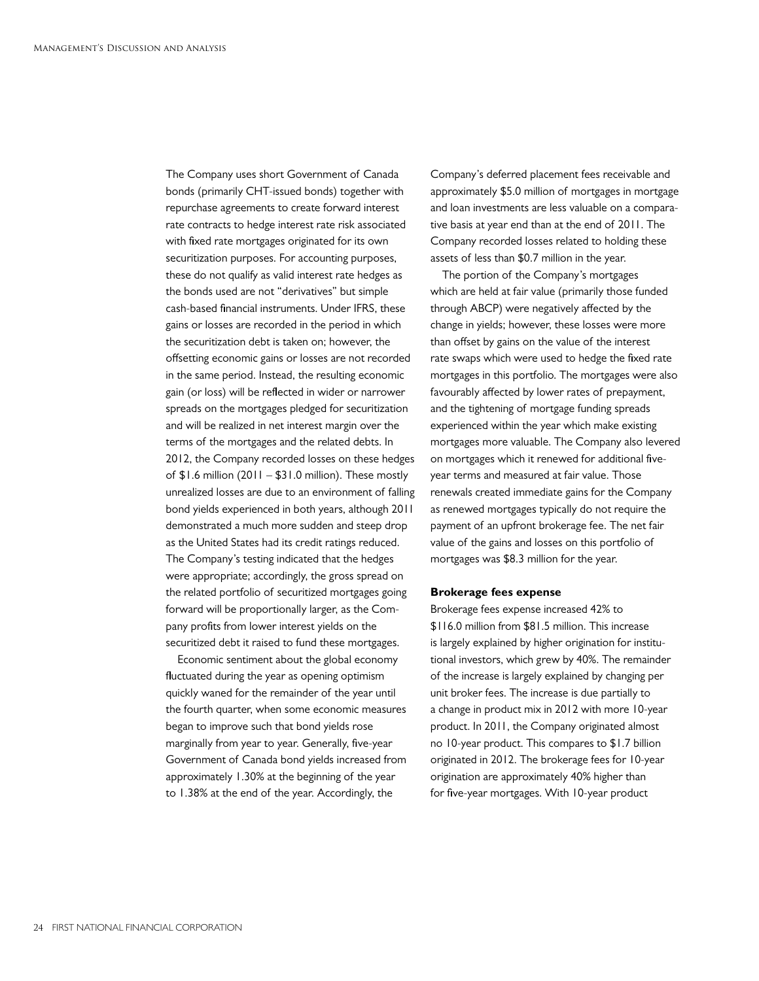The Company uses short Government of Canada bonds (primarily CHT-issued bonds) together with repurchase agreements to create forward interest rate contracts to hedge interest rate risk associated with fixed rate mortgages originated for its own securitization purposes. For accounting purposes, these do not qualify as valid interest rate hedges as the bonds used are not "derivatives" but simple cash-based financial instruments. Under IFRS, these gains or losses are recorded in the period in which the securitization debt is taken on; however, the offsetting economic gains or losses are not recorded in the same period. Instead, the resulting economic gain (or loss) will be reflected in wider or narrower spreads on the mortgages pledged for securitization and will be realized in net interest margin over the terms of the mortgages and the related debts. In 2012, the Company recorded losses on these hedges of \$1.6 million (2011 – \$31.0 million). These mostly unrealized losses are due to an environment of falling bond yields experienced in both years, although 2011 demonstrated a much more sudden and steep drop as the United States had its credit ratings reduced. The Company's testing indicated that the hedges were appropriate; accordingly, the gross spread on the related portfolio of securitized mortgages going forward will be proportionally larger, as the Company profits from lower interest yields on the securitized debt it raised to fund these mortgages.

Economic sentiment about the global economy fluctuated during the year as opening optimism quickly waned for the remainder of the year until the fourth quarter, when some economic measures began to improve such that bond yields rose marginally from year to year. Generally, five-year Government of Canada bond yields increased from approximately 1.30% at the beginning of the year to 1.38% at the end of the year. Accordingly, the

Company's deferred placement fees receivable and approximately \$5.0 million of mortgages in mortgage and loan investments are less valuable on a comparative basis at year end than at the end of 2011. The Company recorded losses related to holding these assets of less than \$0.7 million in the year.

The portion of the Company's mortgages which are held at fair value (primarily those funded through ABCP) were negatively affected by the change in yields; however, these losses were more than offset by gains on the value of the interest rate swaps which were used to hedge the fixed rate mortgages in this portfolio. The mortgages were also favourably affected by lower rates of prepayment, and the tightening of mortgage funding spreads experienced within the year which make existing mortgages more valuable. The Company also levered on mortgages which it renewed for additional fiveyear terms and measured at fair value. Those renewals created immediate gains for the Company as renewed mortgages typically do not require the payment of an upfront brokerage fee. The net fair value of the gains and losses on this portfolio of mortgages was \$8.3 million for the year.

#### **Brokerage fees expense**

Brokerage fees expense increased 42% to \$116.0 million from \$81.5 million. This increase is largely explained by higher origination for institutional investors, which grew by 40%. The remainder of the increase is largely explained by changing per unit broker fees. The increase is due partially to a change in product mix in 2012 with more 10-year product. In 2011, the Company originated almost no 10-year product. This compares to \$1.7 billion originated in 2012. The brokerage fees for 10-year origination are approximately 40% higher than for five-year mortgages. With 10-year product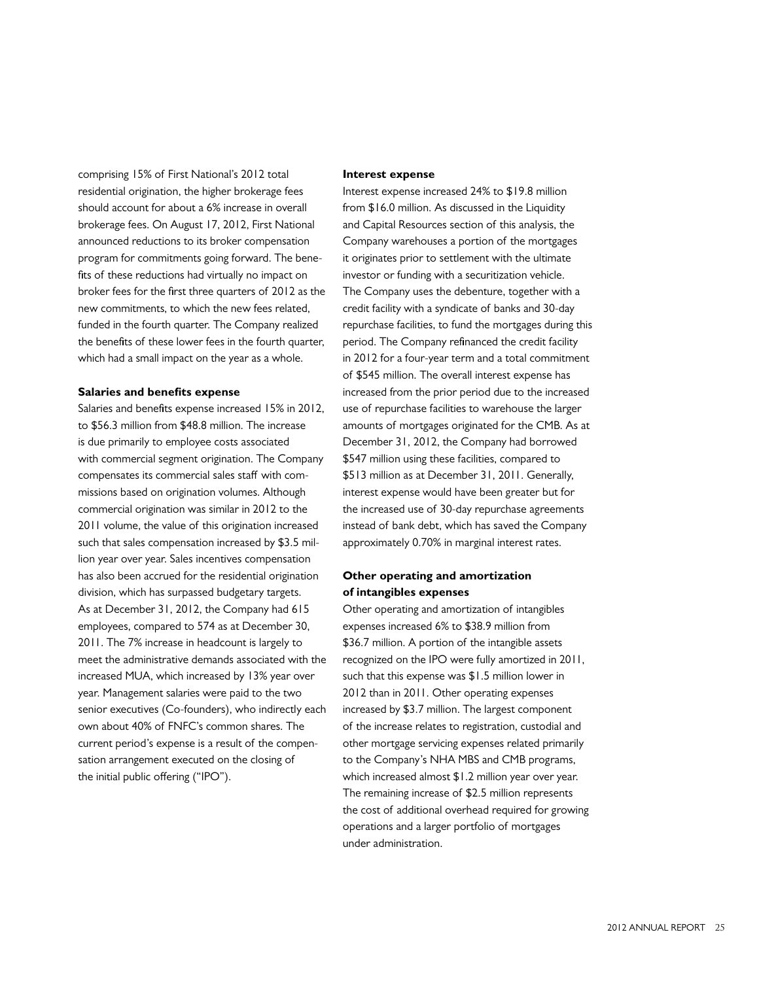comprising 15% of First National's 2012 total residential origination, the higher brokerage fees should account for about a 6% increase in overall brokerage fees. On August 17, 2012, First National announced reductions to its broker compensation program for commitments going forward. The benefits of these reductions had virtually no impact on broker fees for the first three quarters of 2012 as the new commitments, to which the new fees related, funded in the fourth quarter. The Company realized the benefits of these lower fees in the fourth quarter, which had a small impact on the year as a whole.

#### **Salaries and benefits expense**

Salaries and benefits expense increased 15% in 2012, to \$56.3 million from \$48.8 million. The increase is due primarily to employee costs associated with commercial segment origination. The Company compensates its commercial sales staff with commissions based on origination volumes. Although commercial origination was similar in 2012 to the 2011 volume, the value of this origination increased such that sales compensation increased by \$3.5 million year over year. Sales incentives compensation has also been accrued for the residential origination division, which has surpassed budgetary targets. As at December 31, 2012, the Company had 615 employees, compared to 574 as at December 30, 2011. The 7% increase in headcount is largely to meet the administrative demands associated with the increased MUA, which increased by 13% year over year. Management salaries were paid to the two senior executives (Co-founders), who indirectly each own about 40% of FNFC's common shares. The current period's expense is a result of the compensation arrangement executed on the closing of the initial public offering ("IPO").

#### **Interest expense**

Interest expense increased 24% to \$19.8 million from \$16.0 million. As discussed in the Liquidity and Capital Resources section of this analysis, the Company warehouses a portion of the mortgages it originates prior to settlement with the ultimate investor or funding with a securitization vehicle. The Company uses the debenture, together with a credit facility with a syndicate of banks and 30-day repurchase facilities, to fund the mortgages during this period. The Company refinanced the credit facility in 2012 for a four-year term and a total commitment of \$545 million. The overall interest expense has increased from the prior period due to the increased use of repurchase facilities to warehouse the larger amounts of mortgages originated for the CMB. As at December 31, 2012, the Company had borrowed \$547 million using these facilities, compared to \$513 million as at December 31, 2011. Generally, interest expense would have been greater but for the increased use of 30-day repurchase agreements instead of bank debt, which has saved the Company approximately 0.70% in marginal interest rates.

# **Other operating and amortization of intangibles expenses**

Other operating and amortization of intangibles expenses increased 6% to \$38.9 million from \$36.7 million. A portion of the intangible assets recognized on the IPO were fully amortized in 2011, such that this expense was \$1.5 million lower in 2012 than in 2011. Other operating expenses increased by \$3.7 million. The largest component of the increase relates to registration, custodial and other mortgage servicing expenses related primarily to the Company's NHA MBS and CMB programs, which increased almost \$1.2 million year over year. The remaining increase of \$2.5 million represents the cost of additional overhead required for growing operations and a larger portfolio of mortgages under administration.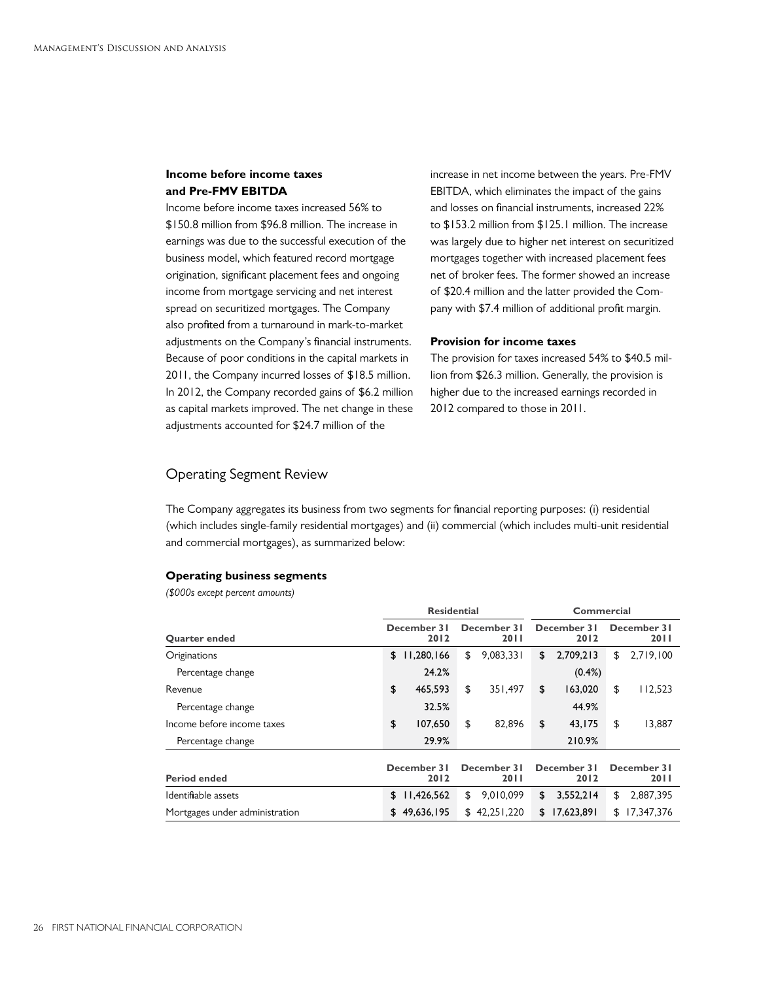### **Income before income taxes and Pre-FMV EBITDA**

Income before income taxes increased 56% to \$150.8 million from \$96.8 million. The increase in earnings was due to the successful execution of the business model, which featured record mortgage origination, significant placement fees and ongoing income from mortgage servicing and net interest spread on securitized mortgages. The Company also profited from a turnaround in mark-to-market adjustments on the Company's financial instruments. Because of poor conditions in the capital markets in 2011, the Company incurred losses of \$18.5 million. In 2012, the Company recorded gains of \$6.2 million as capital markets improved. The net change in these adjustments accounted for \$24.7 million of the

increase in net income between the years. Pre-FMV EBITDA, which eliminates the impact of the gains and losses on financial instruments, increased 22% to \$153.2 million from \$125.1 million. The increase was largely due to higher net interest on securitized mortgages together with increased placement fees net of broker fees. The former showed an increase of \$20.4 million and the latter provided the Company with \$7.4 million of additional profit margin.

#### **Provision for income taxes**

The provision for taxes increased 54% to \$40.5 million from \$26.3 million. Generally, the provision is higher due to the increased earnings recorded in 2012 compared to those in 2011.

### Operating Segment Review

The Company aggregates its business from two segments for financial reporting purposes: (i) residential (which includes single-family residential mortgages) and (ii) commercial (which includes multi-unit residential and commercial mortgages), as summarized below:

#### **Operating business segments**

*(\$000s except percent amounts)*

|                                | <b>Residential</b>  |                            | <b>Commercial</b>   |                       |  |  |
|--------------------------------|---------------------|----------------------------|---------------------|-----------------------|--|--|
| Quarter ended                  | December 31<br>2012 | December 31<br><b>2011</b> | December 31<br>2012 | December 31<br>20 I I |  |  |
| Originations                   | 11,280,166<br>\$    | 9.083.331<br>\$            | 2,709,213<br>\$     | 2,719,100<br>\$       |  |  |
| Percentage change              | 24.2%               |                            | $(0.4\%)$           |                       |  |  |
| Revenue                        | \$<br>465.593       | \$<br>351.497              | 163,020<br>\$       | \$<br>112,523         |  |  |
| Percentage change              | 32.5%               |                            | 44.9%               |                       |  |  |
| Income before income taxes     | \$<br>107.650       | \$<br>82.896               | \$<br>43.175        | \$<br>13,887          |  |  |
| Percentage change              | 29.9%               |                            | 210.9%              |                       |  |  |
| Period ended                   | December 31<br>2012 | December 31<br><b>2011</b> | December 31<br>2012 | December 31<br>20 I I |  |  |
| Identifiable assets            | \$11,426,562        | 9,010,099<br>\$            | 3,552,214<br>\$     | 2,887,395<br>\$       |  |  |
| Mortgages under administration | \$49,636,195        | \$42,251,220               | 17,623,891<br>\$    | 17,347,376<br>\$      |  |  |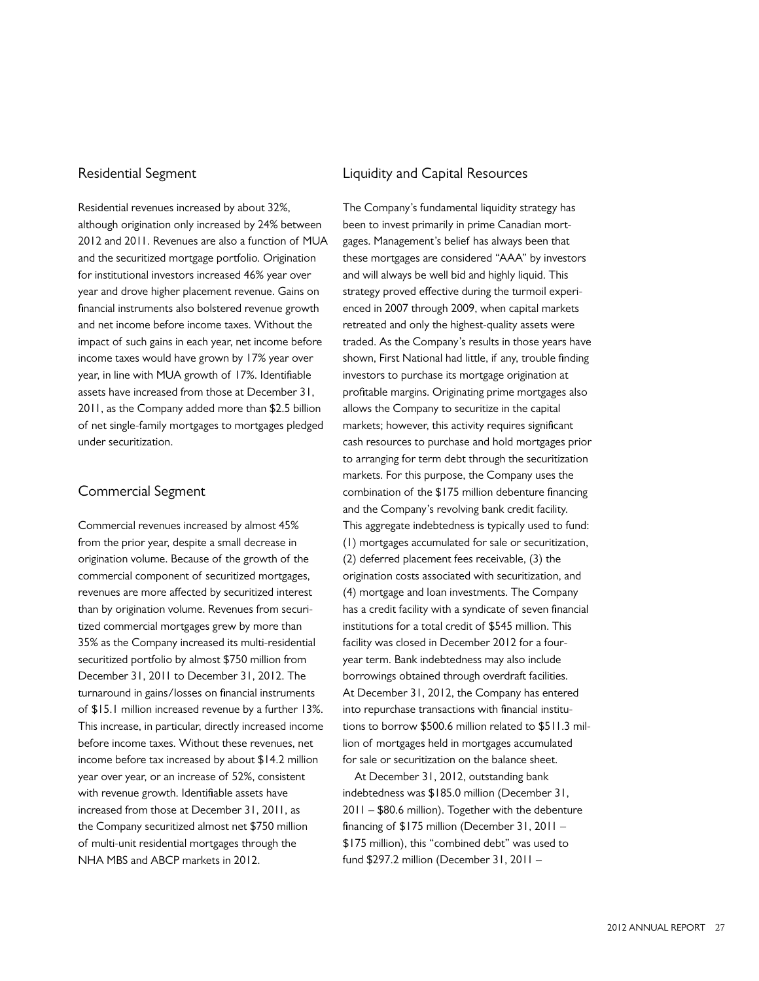### Residential Segment

Residential revenues increased by about 32%, although origination only increased by 24% between 2012 and 2011. Revenues are also a function of MUA and the securitized mortgage portfolio. Origination for institutional investors increased 46% year over year and drove higher placement revenue. Gains on financial instruments also bolstered revenue growth and net income before income taxes. Without the impact of such gains in each year, net income before income taxes would have grown by 17% year over year, in line with MUA growth of 17%. Identifiable assets have increased from those at December 31, 2011, as the Company added more than \$2.5 billion of net single-family mortgages to mortgages pledged under securitization.

# Commercial Segment

Commercial revenues increased by almost 45% from the prior year, despite a small decrease in origination volume. Because of the growth of the commercial component of securitized mortgages, revenues are more affected by securitized interest than by origination volume. Revenues from securitized commercial mortgages grew by more than 35% as the Company increased its multi-residential securitized portfolio by almost \$750 million from December 31, 2011 to December 31, 2012. The turnaround in gains/losses on financial instruments of \$15.1 million increased revenue by a further 13%. This increase, in particular, directly increased income before income taxes. Without these revenues, net income before tax increased by about \$14.2 million year over year, or an increase of 52%, consistent with revenue growth. Identifiable assets have increased from those at December 31, 2011, as the Company securitized almost net \$750 million of multi-unit residential mortgages through the NHA MBS and ABCP markets in 2012.

### Liquidity and Capital Resources

The Company's fundamental liquidity strategy has been to invest primarily in prime Canadian mortgages. Management's belief has always been that these mortgages are considered "AAA" by investors and will always be well bid and highly liquid. This strategy proved effective during the turmoil experienced in 2007 through 2009, when capital markets retreated and only the highest-quality assets were traded. As the Company's results in those years have shown, First National had little, if any, trouble finding investors to purchase its mortgage origination at profitable margins. Originating prime mortgages also allows the Company to securitize in the capital markets; however, this activity requires significant cash resources to purchase and hold mortgages prior to arranging for term debt through the securitization markets. For this purpose, the Company uses the combination of the \$175 million debenture financing and the Company's revolving bank credit facility. This aggregate indebtedness is typically used to fund: (1) mortgages accumulated for sale or securitization, (2) deferred placement fees receivable, (3) the origination costs associated with securitization, and (4) mortgage and loan investments. The Company has a credit facility with a syndicate of seven financial institutions for a total credit of \$545 million. This facility was closed in December 2012 for a fouryear term. Bank indebtedness may also include borrowings obtained through overdraft facilities. At December 31, 2012, the Company has entered into repurchase transactions with financial institutions to borrow \$500.6 million related to \$511.3 million of mortgages held in mortgages accumulated for sale or securitization on the balance sheet.

At December 31, 2012, outstanding bank indebtedness was \$185.0 million (December 31, 2011 – \$80.6 million). Together with the debenture financing of \$175 million (December 31, 2011 – \$175 million), this "combined debt" was used to fund \$297.2 million (December 31, 2011 –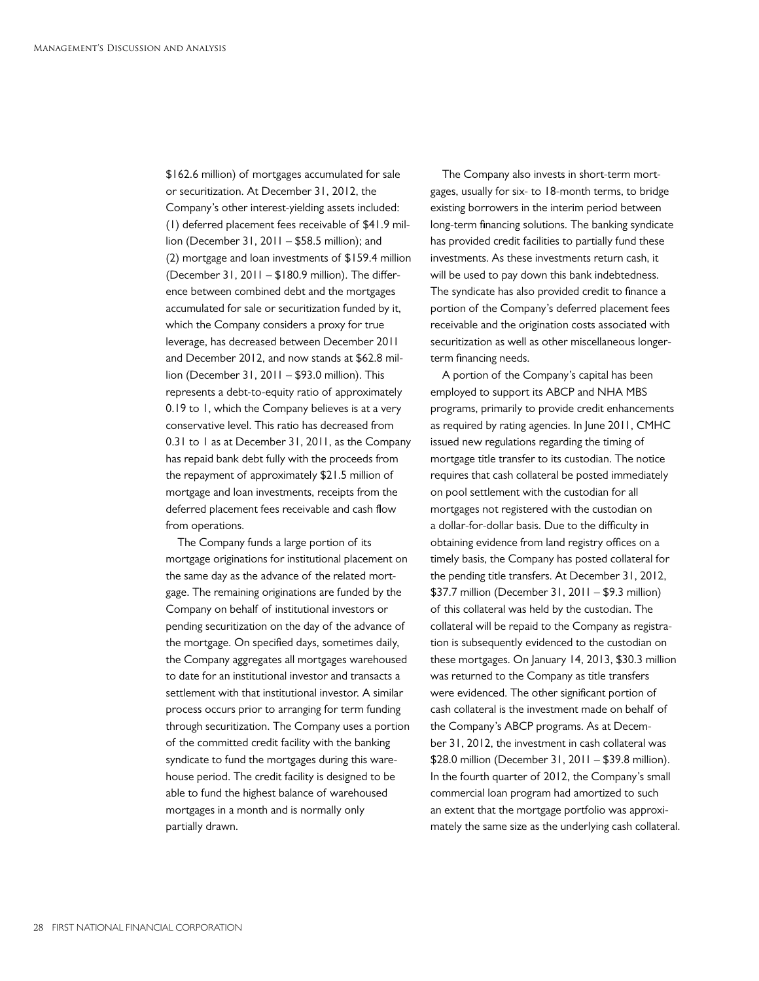\$162.6 million) of mortgages accumulated for sale or securitization. At December 31, 2012, the Company's other interest-yielding assets included: (1) deferred placement fees receivable of \$41.9 million (December 31, 2011 – \$58.5 million); and (2) mortgage and loan investments of \$159.4 million (December 31, 2011 – \$180.9 million). The difference between combined debt and the mortgages accumulated for sale or securitization funded by it, which the Company considers a proxy for true leverage, has decreased between December 2011 and December 2012, and now stands at \$62.8 million (December 31, 2011 – \$93.0 million). This represents a debt-to-equity ratio of approximately 0.19 to 1, which the Company believes is at a very conservative level. This ratio has decreased from 0.31 to 1 as at December 31, 2011, as the Company has repaid bank debt fully with the proceeds from the repayment of approximately \$21.5 million of mortgage and loan investments, receipts from the deferred placement fees receivable and cash flow from operations.

The Company funds a large portion of its mortgage originations for institutional placement on the same day as the advance of the related mortgage. The remaining originations are funded by the Company on behalf of institutional investors or pending securitization on the day of the advance of the mortgage. On specified days, sometimes daily, the Company aggregates all mortgages warehoused to date for an institutional investor and transacts a settlement with that institutional investor. A similar process occurs prior to arranging for term funding through securitization. The Company uses a portion of the committed credit facility with the banking syndicate to fund the mortgages during this warehouse period. The credit facility is designed to be able to fund the highest balance of warehoused mortgages in a month and is normally only partially drawn.

The Company also invests in short-term mortgages, usually for six- to 18-month terms, to bridge existing borrowers in the interim period between long-term financing solutions. The banking syndicate has provided credit facilities to partially fund these investments. As these investments return cash, it will be used to pay down this bank indebtedness. The syndicate has also provided credit to finance a portion of the Company's deferred placement fees receivable and the origination costs associated with securitization as well as other miscellaneous longerterm financing needs.

A portion of the Company's capital has been employed to support its ABCP and NHA MBS programs, primarily to provide credit enhancements as required by rating agencies. In June 2011, CMHC issued new regulations regarding the timing of mortgage title transfer to its custodian. The notice requires that cash collateral be posted immediately on pool settlement with the custodian for all mortgages not registered with the custodian on a dollar-for-dollar basis. Due to the difficulty in obtaining evidence from land registry offices on a timely basis, the Company has posted collateral for the pending title transfers. At December 31, 2012, \$37.7 million (December 31, 2011 – \$9.3 million) of this collateral was held by the custodian. The collateral will be repaid to the Company as registration is subsequently evidenced to the custodian on these mortgages. On January 14, 2013, \$30.3 million was returned to the Company as title transfers were evidenced. The other significant portion of cash collateral is the investment made on behalf of the Company's ABCP programs. As at December 31, 2012, the investment in cash collateral was \$28.0 million (December 31, 2011 – \$39.8 million). In the fourth quarter of 2012, the Company's small commercial loan program had amortized to such an extent that the mortgage portfolio was approximately the same size as the underlying cash collateral.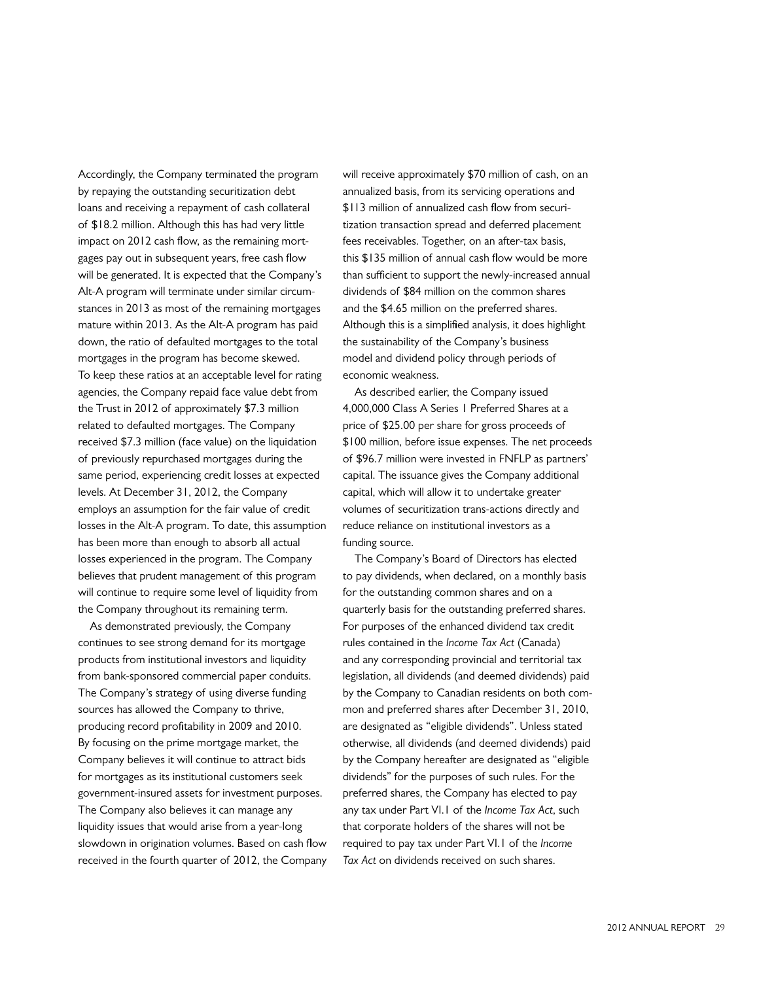Accordingly, the Company terminated the program by repaying the outstanding securitization debt loans and receiving a repayment of cash collateral of \$18.2 million. Although this has had very little impact on 2012 cash flow, as the remaining mortgages pay out in subsequent years, free cash flow will be generated. It is expected that the Company's Alt-A program will terminate under similar circumstances in 2013 as most of the remaining mortgages mature within 2013. As the Alt-A program has paid down, the ratio of defaulted mortgages to the total mortgages in the program has become skewed. To keep these ratios at an acceptable level for rating agencies, the Company repaid face value debt from the Trust in 2012 of approximately \$7.3 million related to defaulted mortgages. The Company received \$7.3 million (face value) on the liquidation of previously repurchased mortgages during the same period, experiencing credit losses at expected levels. At December 31, 2012, the Company employs an assumption for the fair value of credit losses in the Alt-A program. To date, this assumption has been more than enough to absorb all actual losses experienced in the program. The Company believes that prudent management of this program will continue to require some level of liquidity from the Company throughout its remaining term.

As demonstrated previously, the Company continues to see strong demand for its mortgage products from institutional investors and liquidity from bank-sponsored commercial paper conduits. The Company's strategy of using diverse funding sources has allowed the Company to thrive, producing record profitability in 2009 and 2010. By focusing on the prime mortgage market, the Company believes it will continue to attract bids for mortgages as its institutional customers seek government-insured assets for investment purposes. The Company also believes it can manage any liquidity issues that would arise from a year-long slowdown in origination volumes. Based on cash flow received in the fourth quarter of 2012, the Company will receive approximately \$70 million of cash, on an annualized basis, from its servicing operations and \$113 million of annualized cash flow from securitization transaction spread and deferred placement fees receivables. Together, on an after-tax basis, this \$135 million of annual cash flow would be more than sufficient to support the newly-increased annual dividends of \$84 million on the common shares and the \$4.65 million on the preferred shares. Although this is a simplified analysis, it does highlight the sustainability of the Company's business model and dividend policy through periods of economic weakness.

As described earlier, the Company issued 4,000,000 Class A Series 1 Preferred Shares at a price of \$25.00 per share for gross proceeds of \$100 million, before issue expenses. The net proceeds of \$96.7 million were invested in FNFLP as partners' capital. The issuance gives the Company additional capital, which will allow it to undertake greater volumes of securitization trans-actions directly and reduce reliance on institutional investors as a funding source.

The Company's Board of Directors has elected to pay dividends, when declared, on a monthly basis for the outstanding common shares and on a quarterly basis for the outstanding preferred shares. For purposes of the enhanced dividend tax credit rules contained in the *Income Tax Act* (Canada) and any corresponding provincial and territorial tax legislation, all dividends (and deemed dividends) paid by the Company to Canadian residents on both common and preferred shares after December 31, 2010, are designated as "eligible dividends". Unless stated otherwise, all dividends (and deemed dividends) paid by the Company hereafter are designated as "eligible dividends" for the purposes of such rules. For the preferred shares, the Company has elected to pay any tax under Part VI.1 of the *Income Tax Act*, such that corporate holders of the shares will not be required to pay tax under Part VI.1 of the *Income Tax Act* on dividends received on such shares.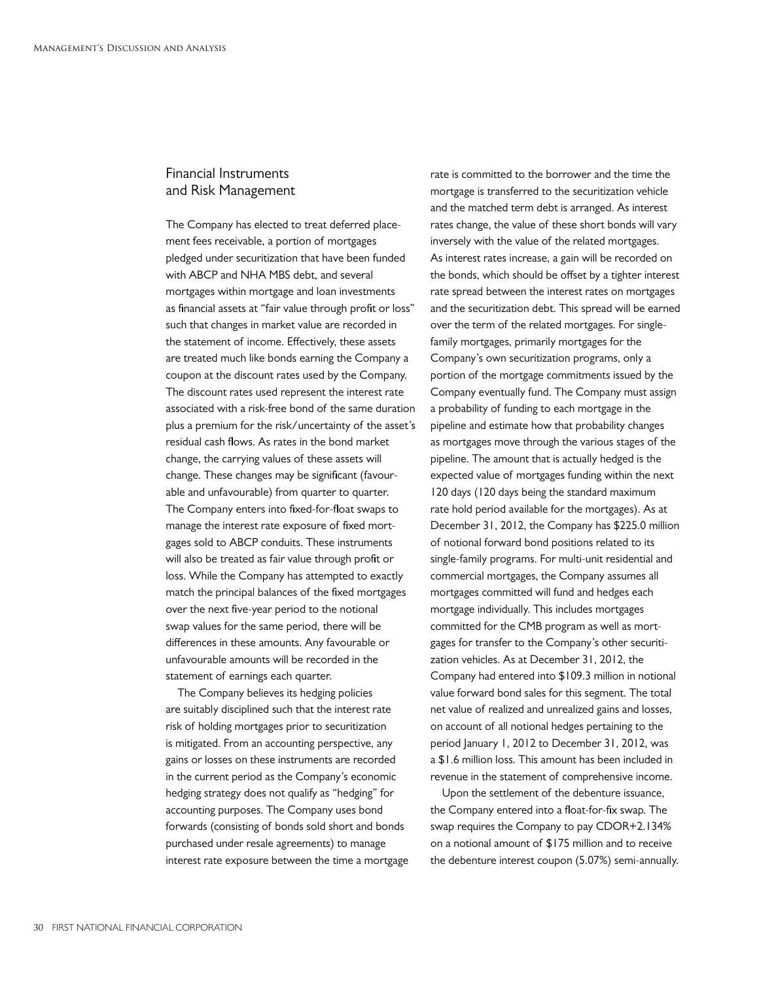# Financial Instruments and Risk Management

The Company has elected to treat deferred placement fees receivable, a portion of mortgages pledged under securitization that have been funded with ABCP and NHA MBS debt, and several mortgages within mortgage and loan investments as financial assets at "fair value through profit or loss" such that changes in market value are recorded in the statement of income. Effectively, these assets are treated much like bonds earning the Company a coupon at the discount rates used by the Company. The discount rates used represent the interest rate associated with a risk-free bond of the same duration plus a premium for the risk/uncertainty of the asset's residual cash flows. As rates in the bond market change, the carrying values of these assets will change. These changes may be significant (favourable and unfavourable) from quarter to quarter. The Company enters into fixed-for-float swaps to manage the interest rate exposure of fixed mortgages sold to ABCP conduits. These instruments will also be treated as fair value through profit or loss. While the Company has attempted to exactly match the principal balances of the fixed mortgages over the next five-year period to the notional swap values for the same period, there will be differences in these amounts. Any favourable or unfavourable amounts will be recorded in the statement of earnings each quarter.

The Company believes its hedging policies are suitably disciplined such that the interest rate risk of holding mortgages prior to securitization is mitigated. From an accounting perspective, any gains or losses on these instruments are recorded in the current period as the Company's economic hedging strategy does not qualify as "hedging" for accounting purposes. The Company uses bond forwards (consisting of bonds sold short and bonds purchased under resale agreements) to manage interest rate exposure between the time a mortgage rate is committed to the borrower and the time the mortgage is transferred to the securitization vehicle and the matched term debt is arranged. As interest rates change, the value of these short bonds will vary inversely with the value of the related mortgages. As interest rates increase, a gain will be recorded on the bonds, which should be offset by a tighter interest rate spread between the interest rates on mortgages and the securitization debt. This spread will be earned over the term of the related mortgages. For singlefamily mortgages, primarily mortgages for the Company's own securitization programs, only a portion of the mortgage commitments issued by the Company eventually fund. The Company must assign a probability of funding to each mortgage in the pipeline and estimate how that probability changes as mortgages move through the various stages of the pipeline. The amount that is actually hedged is the expected value of mortgages funding within the next 120 days (120 days being the standard maximum rate hold period available for the mortgages). As at December 31, 2012, the Company has \$225.0 million of notional forward bond positions related to its single-family programs. For multi-unit residential and commercial mortgages, the Company assumes all mortgages committed will fund and hedges each mortgage individually. This includes mortgages committed for the CMB program as well as mortgages for transfer to the Company's other securitization vehicles. As at December 31, 2012, the Company had entered into \$109.3 million in notional value forward bond sales for this segment. The total net value of realized and unrealized gains and losses, on account of all notional hedges pertaining to the period January 1, 2012 to December 31, 2012, was a \$1.6 million loss. This amount has been included in revenue in the statement of comprehensive income.

Upon the settlement of the debenture issuance, the Company entered into a float-for-fix swap. The swap requires the Company to pay CDOR+2.134% on a notional amount of \$175 million and to receive the debenture interest coupon (5.07%) semi-annually.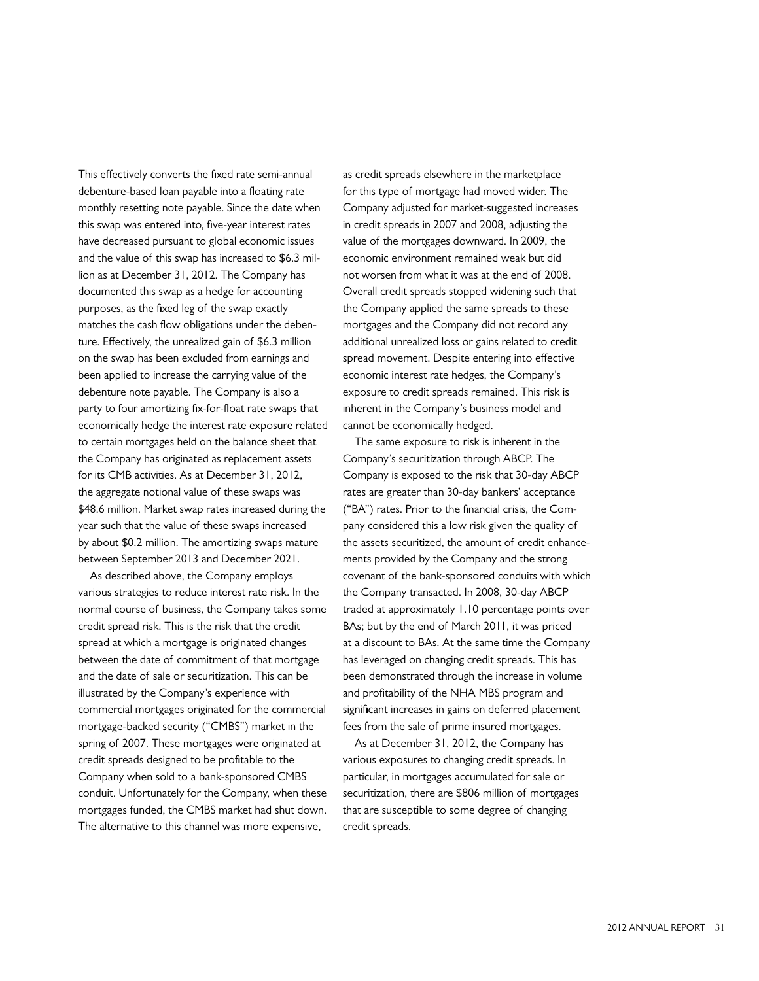This effectively converts the fixed rate semi-annual debenture-based loan payable into a floating rate monthly resetting note payable. Since the date when this swap was entered into, five-year interest rates have decreased pursuant to global economic issues and the value of this swap has increased to \$6.3 million as at December 31, 2012. The Company has documented this swap as a hedge for accounting purposes, as the fixed leg of the swap exactly matches the cash flow obligations under the debenture. Effectively, the unrealized gain of \$6.3 million on the swap has been excluded from earnings and been applied to increase the carrying value of the debenture note payable. The Company is also a party to four amortizing fix-for-float rate swaps that economically hedge the interest rate exposure related to certain mortgages held on the balance sheet that the Company has originated as replacement assets for its CMB activities. As at December 31, 2012, the aggregate notional value of these swaps was \$48.6 million. Market swap rates increased during the year such that the value of these swaps increased by about \$0.2 million. The amortizing swaps mature between September 2013 and December 2021.

As described above, the Company employs various strategies to reduce interest rate risk. In the normal course of business, the Company takes some credit spread risk. This is the risk that the credit spread at which a mortgage is originated changes between the date of commitment of that mortgage and the date of sale or securitization. This can be illustrated by the Company's experience with commercial mortgages originated for the commercial mortgage-backed security ("CMBS") market in the spring of 2007. These mortgages were originated at credit spreads designed to be profitable to the Company when sold to a bank-sponsored CMBS conduit. Unfortunately for the Company, when these mortgages funded, the CMBS market had shut down. The alternative to this channel was more expensive,

as credit spreads elsewhere in the marketplace for this type of mortgage had moved wider. The Company adjusted for market-suggested increases in credit spreads in 2007 and 2008, adjusting the value of the mortgages downward. In 2009, the economic environment remained weak but did not worsen from what it was at the end of 2008. Overall credit spreads stopped widening such that the Company applied the same spreads to these mortgages and the Company did not record any additional unrealized loss or gains related to credit spread movement. Despite entering into effective economic interest rate hedges, the Company's exposure to credit spreads remained. This risk is inherent in the Company's business model and cannot be economically hedged.

The same exposure to risk is inherent in the Company's securitization through ABCP. The Company is exposed to the risk that 30-day ABCP rates are greater than 30-day bankers' acceptance ("BA") rates. Prior to the financial crisis, the Company considered this a low risk given the quality of the assets securitized, the amount of credit enhancements provided by the Company and the strong covenant of the bank-sponsored conduits with which the Company transacted. In 2008, 30-day ABCP traded at approximately 1.10 percentage points over BAs; but by the end of March 2011, it was priced at a discount to BAs. At the same time the Company has leveraged on changing credit spreads. This has been demonstrated through the increase in volume and profitability of the NHA MBS program and significant increases in gains on deferred placement fees from the sale of prime insured mortgages.

As at December 31, 2012, the Company has various exposures to changing credit spreads. In particular, in mortgages accumulated for sale or securitization, there are \$806 million of mortgages that are susceptible to some degree of changing credit spreads.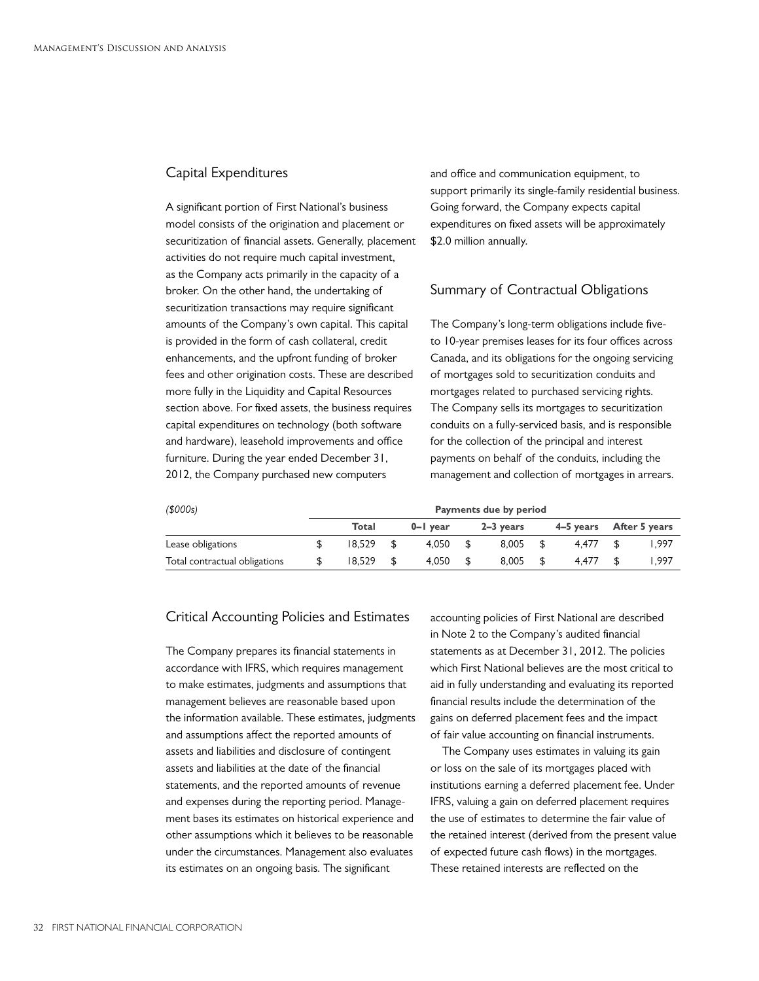#### Capital Expenditures

A significant portion of First National's business model consists of the origination and placement or securitization of financial assets. Generally, placement activities do not require much capital investment, as the Company acts primarily in the capacity of a broker. On the other hand, the undertaking of securitization transactions may require significant amounts of the Company's own capital. This capital is provided in the form of cash collateral, credit enhancements, and the upfront funding of broker fees and other origination costs. These are described more fully in the Liquidity and Capital Resources section above. For fixed assets, the business requires capital expenditures on technology (both software and hardware), leasehold improvements and office furniture. During the year ended December 31, 2012, the Company purchased new computers

and office and communication equipment, to support primarily its single-family residential business. Going forward, the Company expects capital expenditures on fixed assets will be approximately \$2.0 million annually.

# Summary of Contractual Obligations

The Company's long-term obligations include fiveto 10-year premises leases for its four offices across Canada, and its obligations for the ongoing servicing of mortgages sold to securitization conduits and mortgages related to purchased servicing rights. The Company sells its mortgages to securitization conduits on a fully-serviced basis, and is responsible for the collection of the principal and interest payments on behalf of the conduits, including the management and collection of mortgages in arrears.

| (\$000s)                      | Payments due by period |  |          |      |             |  |                         |  |       |  |
|-------------------------------|------------------------|--|----------|------|-------------|--|-------------------------|--|-------|--|
|                               | Total                  |  | 0-l year |      | $2-3$ years |  | 4–5 years After 5 years |  |       |  |
| Lease obligations             | 18.529                 |  | 4.050    | - \$ | 8.005       |  | 4.477                   |  | 1.997 |  |
| Total contractual obligations | 18.529                 |  | 4.050    | -\$  | 8.005       |  | 4.477                   |  | 1.997 |  |

### Critical Accounting Policies and Estimates

The Company prepares its financial statements in accordance with IFRS, which requires management to make estimates, judgments and assumptions that management believes are reasonable based upon the information available. These estimates, judgments and assumptions affect the reported amounts of assets and liabilities and disclosure of contingent assets and liabilities at the date of the financial statements, and the reported amounts of revenue and expenses during the reporting period. Management bases its estimates on historical experience and other assumptions which it believes to be reasonable under the circumstances. Management also evaluates its estimates on an ongoing basis. The significant

accounting policies of First National are described in Note 2 to the Company's audited financial statements as at December 31, 2012. The policies which First National believes are the most critical to aid in fully understanding and evaluating its reported financial results include the determination of the gains on deferred placement fees and the impact of fair value accounting on financial instruments.

The Company uses estimates in valuing its gain or loss on the sale of its mortgages placed with institutions earning a deferred placement fee. Under IFRS, valuing a gain on deferred placement requires the use of estimates to determine the fair value of the retained interest (derived from the present value of expected future cash flows) in the mortgages. These retained interests are reflected on the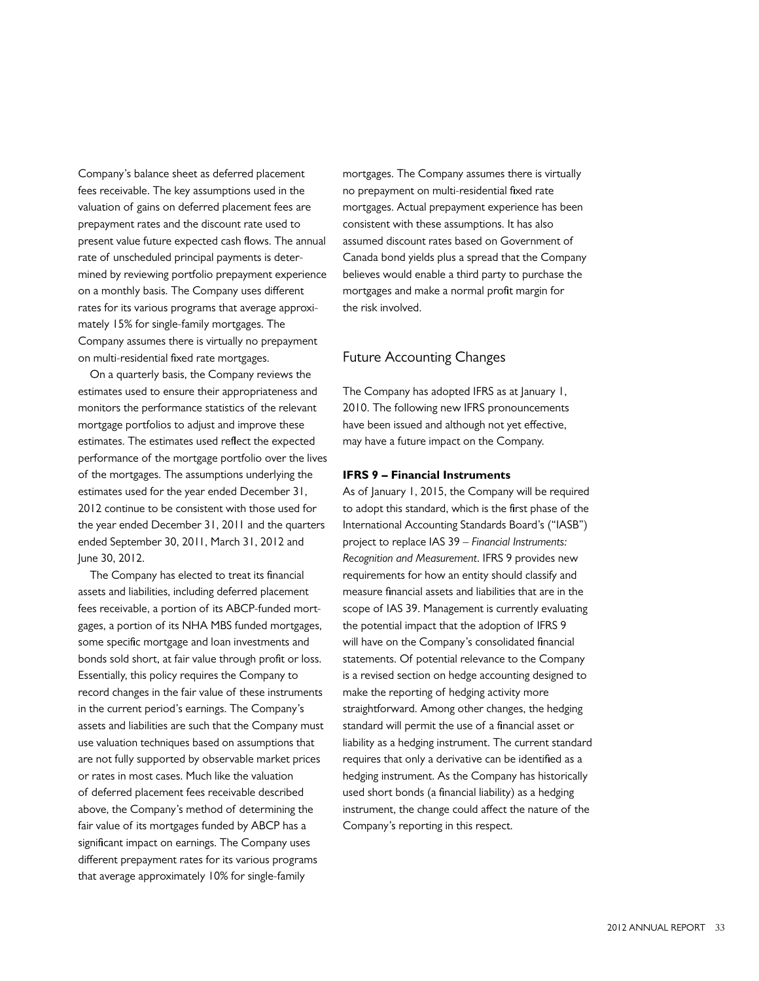Company's balance sheet as deferred placement fees receivable. The key assumptions used in the valuation of gains on deferred placement fees are prepayment rates and the discount rate used to present value future expected cash flows. The annual rate of unscheduled principal payments is determined by reviewing portfolio prepayment experience on a monthly basis. The Company uses different rates for its various programs that average approximately 15% for single-family mortgages. The Company assumes there is virtually no prepayment on multi-residential fixed rate mortgages.

On a quarterly basis, the Company reviews the estimates used to ensure their appropriateness and monitors the performance statistics of the relevant mortgage portfolios to adjust and improve these estimates. The estimates used reflect the expected performance of the mortgage portfolio over the lives of the mortgages. The assumptions underlying the estimates used for the year ended December 31, 2012 continue to be consistent with those used for the year ended December 31, 2011 and the quarters ended September 30, 2011, March 31, 2012 and June 30, 2012.

The Company has elected to treat its financial assets and liabilities, including deferred placement fees receivable, a portion of its ABCP-funded mortgages, a portion of its NHA MBS funded mortgages, some specific mortgage and loan investments and bonds sold short, at fair value through profit or loss. Essentially, this policy requires the Company to record changes in the fair value of these instruments in the current period's earnings. The Company's assets and liabilities are such that the Company must use valuation techniques based on assumptions that are not fully supported by observable market prices or rates in most cases. Much like the valuation of deferred placement fees receivable described above, the Company's method of determining the fair value of its mortgages funded by ABCP has a significant impact on earnings. The Company uses different prepayment rates for its various programs that average approximately 10% for single-family

mortgages. The Company assumes there is virtually no prepayment on multi-residential fixed rate mortgages. Actual prepayment experience has been consistent with these assumptions. It has also assumed discount rates based on Government of Canada bond yields plus a spread that the Company believes would enable a third party to purchase the mortgages and make a normal profit margin for the risk involved.

### Future Accounting Changes

The Company has adopted IFRS as at January 1, 2010. The following new IFRS pronouncements have been issued and although not yet effective, may have a future impact on the Company.

#### **IFRS 9 – Financial Instruments**

As of January 1, 2015, the Company will be required to adopt this standard, which is the first phase of the International Accounting Standards Board's ("IASB") project to replace IAS 39 – *Financial Instruments: Recognition and Measurement*. IFRS 9 provides new requirements for how an entity should classify and measure financial assets and liabilities that are in the scope of IAS 39. Management is currently evaluating the potential impact that the adoption of IFRS 9 will have on the Company's consolidated financial statements. Of potential relevance to the Company is a revised section on hedge accounting designed to make the reporting of hedging activity more straightforward. Among other changes, the hedging standard will permit the use of a financial asset or liability as a hedging instrument. The current standard requires that only a derivative can be identified as a hedging instrument. As the Company has historically used short bonds (a financial liability) as a hedging instrument, the change could affect the nature of the Company's reporting in this respect.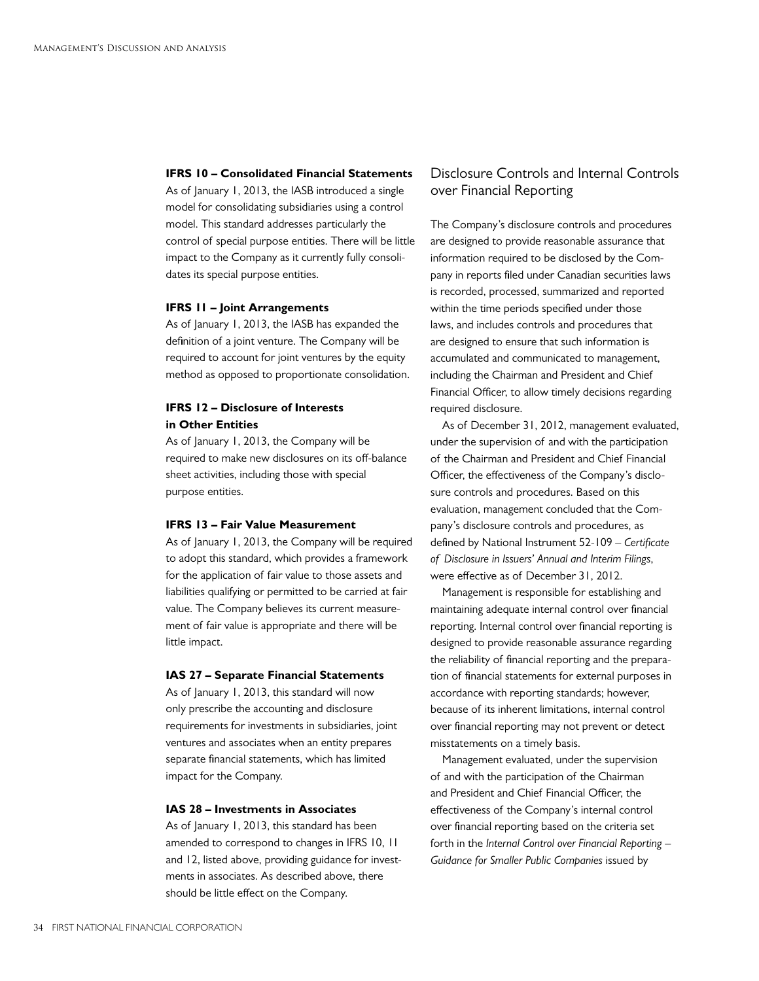### **IFRS 10 – Consolidated Financial Statements**

As of January 1, 2013, the IASB introduced a single model for consolidating subsidiaries using a control model. This standard addresses particularly the control of special purpose entities. There will be little impact to the Company as it currently fully consolidates its special purpose entities.

#### **IFRS 11 – Joint Arrangements**

As of January 1, 2013, the IASB has expanded the definition of a joint venture. The Company will be required to account for joint ventures by the equity method as opposed to proportionate consolidation.

# **IFRS 12 – Disclosure of Interests in Other Entities**

As of January 1, 2013, the Company will be required to make new disclosures on its off-balance sheet activities, including those with special purpose entities.

#### **IFRS 13 – Fair Value Measurement**

As of January 1, 2013, the Company will be required to adopt this standard, which provides a framework for the application of fair value to those assets and liabilities qualifying or permitted to be carried at fair value. The Company believes its current measurement of fair value is appropriate and there will be little impact.

#### **IAS 27 – Separate Financial Statements**

As of January 1, 2013, this standard will now only prescribe the accounting and disclosure requirements for investments in subsidiaries, joint ventures and associates when an entity prepares separate financial statements, which has limited impact for the Company.

#### **IAS 28 – Investments in Associates**

As of January 1, 2013, this standard has been amended to correspond to changes in IFRS 10, 11 and 12, listed above, providing guidance for investments in associates. As described above, there should be little effect on the Company.

# Disclosure Controls and Internal Controls over Financial Reporting

The Company's disclosure controls and procedures are designed to provide reasonable assurance that information required to be disclosed by the Company in reports filed under Canadian securities laws is recorded, processed, summarized and reported within the time periods specified under those laws, and includes controls and procedures that are designed to ensure that such information is accumulated and communicated to management, including the Chairman and President and Chief Financial Officer, to allow timely decisions regarding required disclosure.

As of December 31, 2012, management evaluated, under the supervision of and with the participation of the Chairman and President and Chief Financial Officer, the effectiveness of the Company's disclosure controls and procedures. Based on this evaluation, management concluded that the Company's disclosure controls and procedures, as defined by National Instrument 52-109 – *Certificate of Disclosure in Issuers' Annual and Interim Filings*, were effective as of December 31, 2012.

Management is responsible for establishing and maintaining adequate internal control over financial reporting. Internal control over financial reporting is designed to provide reasonable assurance regarding the reliability of financial reporting and the preparation of financial statements for external purposes in accordance with reporting standards; however, because of its inherent limitations, internal control over financial reporting may not prevent or detect misstatements on a timely basis.

Management evaluated, under the supervision of and with the participation of the Chairman and President and Chief Financial Officer, the effectiveness of the Company's internal control over financial reporting based on the criteria set forth in the *Internal Control over Financial Reporting – Guidance for Smaller Public Companies* issued by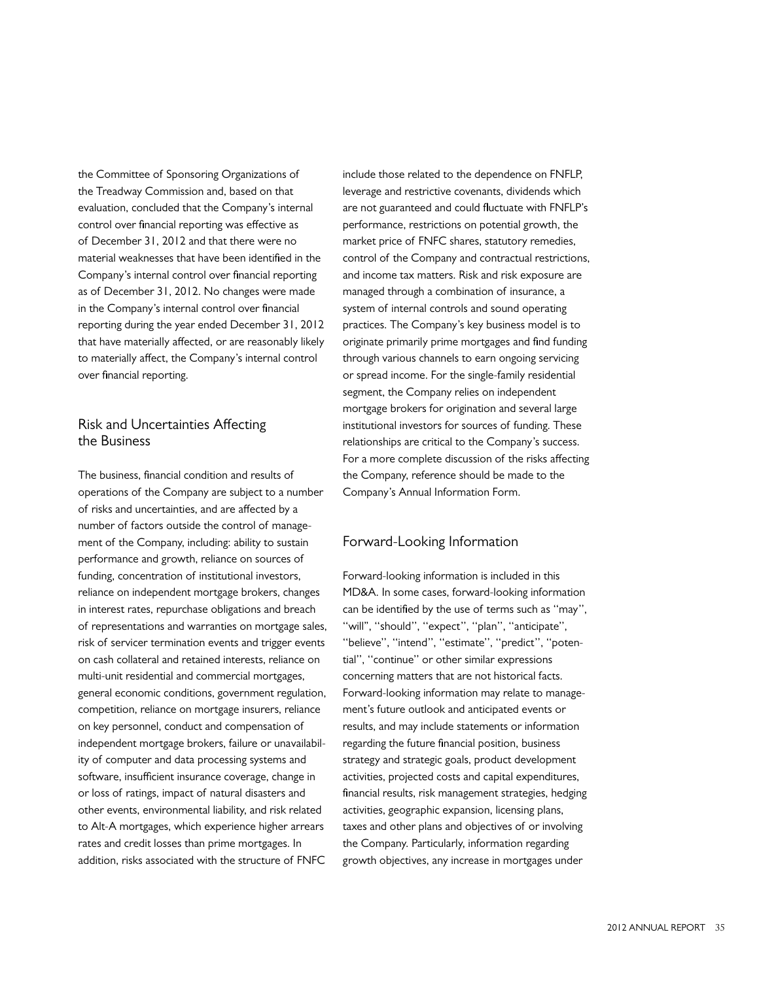the Committee of Sponsoring Organizations of the Treadway Commission and, based on that evaluation, concluded that the Company's internal control over financial reporting was effective as of December 31, 2012 and that there were no material weaknesses that have been identified in the Company's internal control over financial reporting as of December 31, 2012. No changes were made in the Company's internal control over financial reporting during the year ended December 31, 2012 that have materially affected, or are reasonably likely to materially affect, the Company's internal control over financial reporting.

## Risk and Uncertainties Affecting the Business

The business, financial condition and results of operations of the Company are subject to a number of risks and uncertainties, and are affected by a number of factors outside the control of management of the Company, including: ability to sustain performance and growth, reliance on sources of funding, concentration of institutional investors, reliance on independent mortgage brokers, changes in interest rates, repurchase obligations and breach of representations and warranties on mortgage sales, risk of servicer termination events and trigger events on cash collateral and retained interests, reliance on multi-unit residential and commercial mortgages, general economic conditions, government regulation, competition, reliance on mortgage insurers, reliance on key personnel, conduct and compensation of independent mortgage brokers, failure or unavailability of computer and data processing systems and software, insufficient insurance coverage, change in or loss of ratings, impact of natural disasters and other events, environmental liability, and risk related to Alt-A mortgages, which experience higher arrears rates and credit losses than prime mortgages. In addition, risks associated with the structure of FNFC

include those related to the dependence on FNFLP, leverage and restrictive covenants, dividends which are not guaranteed and could fluctuate with FNFLP's performance, restrictions on potential growth, the market price of FNFC shares, statutory remedies, control of the Company and contractual restrictions, and income tax matters. Risk and risk exposure are managed through a combination of insurance, a system of internal controls and sound operating practices. The Company's key business model is to originate primarily prime mortgages and find funding through various channels to earn ongoing servicing or spread income. For the single-family residential segment, the Company relies on independent mortgage brokers for origination and several large institutional investors for sources of funding. These relationships are critical to the Company's success. For a more complete discussion of the risks affecting the Company, reference should be made to the Company's Annual Information Form.

## Forward-Looking Information

Forward-looking information is included in this MD&A. In some cases, forward-looking information can be identified by the use of terms such as ''may'', ''will", ''should'', ''expect'', ''plan'', ''anticipate'', ''believe'', ''intend'', ''estimate'', ''predict'', ''potential'', ''continue'' or other similar expressions concerning matters that are not historical facts. Forward-looking information may relate to management's future outlook and anticipated events or results, and may include statements or information regarding the future financial position, business strategy and strategic goals, product development activities, projected costs and capital expenditures, financial results, risk management strategies, hedging activities, geographic expansion, licensing plans, taxes and other plans and objectives of or involving the Company. Particularly, information regarding growth objectives, any increase in mortgages under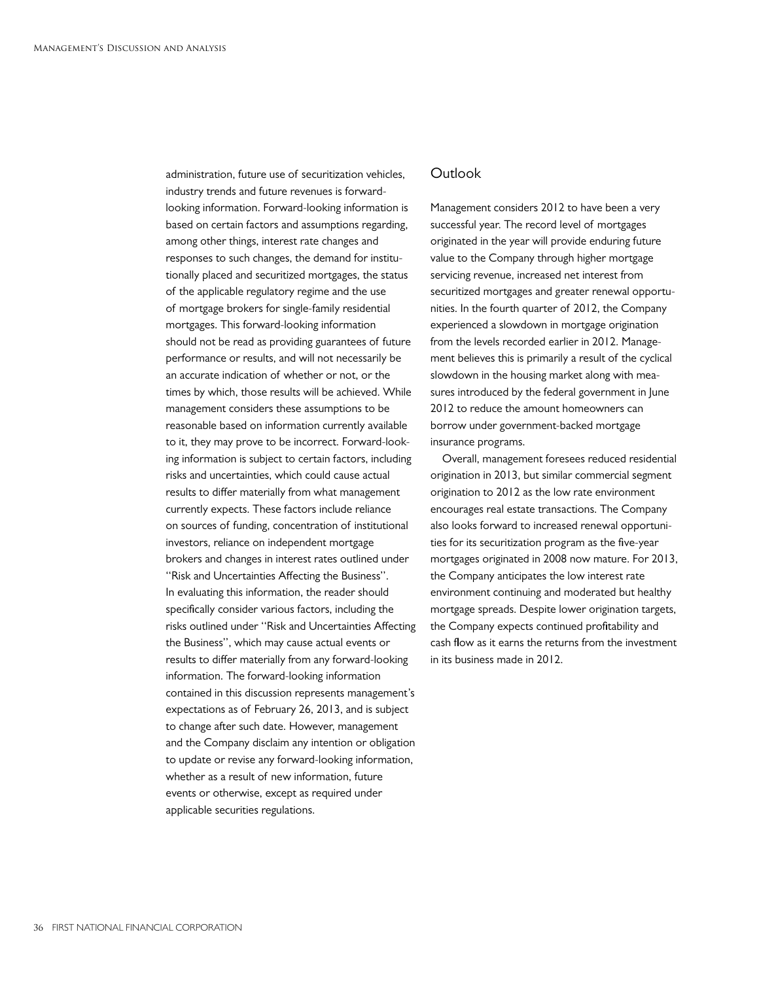administration, future use of securitization vehicles, industry trends and future revenues is forwardlooking information. Forward-looking information is based on certain factors and assumptions regarding, among other things, interest rate changes and responses to such changes, the demand for institutionally placed and securitized mortgages, the status of the applicable regulatory regime and the use of mortgage brokers for single-family residential mortgages. This forward-looking information should not be read as providing guarantees of future performance or results, and will not necessarily be an accurate indication of whether or not, or the times by which, those results will be achieved. While management considers these assumptions to be reasonable based on information currently available to it, they may prove to be incorrect. Forward-looking information is subject to certain factors, including risks and uncertainties, which could cause actual results to differ materially from what management currently expects. These factors include reliance on sources of funding, concentration of institutional investors, reliance on independent mortgage brokers and changes in interest rates outlined under ''Risk and Uncertainties Affecting the Business''. In evaluating this information, the reader should specifically consider various factors, including the risks outlined under ''Risk and Uncertainties Affecting the Business'', which may cause actual events or results to differ materially from any forward-looking information. The forward-looking information contained in this discussion represents management's expectations as of February 26, 2013, and is subject to change after such date. However, management and the Company disclaim any intention or obligation to update or revise any forward-looking information, whether as a result of new information, future events or otherwise, except as required under applicable securities regulations.

## Outlook

Management considers 2012 to have been a very successful year. The record level of mortgages originated in the year will provide enduring future value to the Company through higher mortgage servicing revenue, increased net interest from securitized mortgages and greater renewal opportunities. In the fourth quarter of 2012, the Company experienced a slowdown in mortgage origination from the levels recorded earlier in 2012. Management believes this is primarily a result of the cyclical slowdown in the housing market along with measures introduced by the federal government in June 2012 to reduce the amount homeowners can borrow under government-backed mortgage insurance programs.

Overall, management foresees reduced residential origination in 2013, but similar commercial segment origination to 2012 as the low rate environment encourages real estate transactions. The Company also looks forward to increased renewal opportunities for its securitization program as the five-year mortgages originated in 2008 now mature. For 2013, the Company anticipates the low interest rate environment continuing and moderated but healthy mortgage spreads. Despite lower origination targets, the Company expects continued profitability and cash flow as it earns the returns from the investment in its business made in 2012.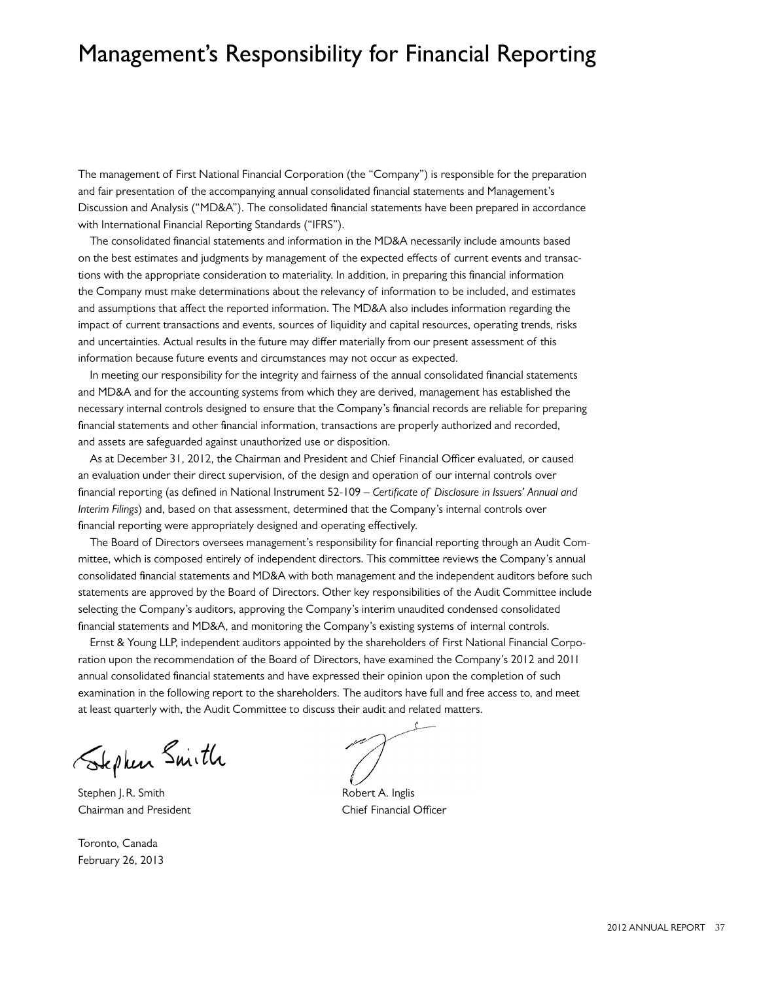## Management's Responsibility for Financial Reporting

The management of First National Financial Corporation (the "Company") is responsible for the preparation and fair presentation of the accompanying annual consolidated financial statements and Management's Discussion and Analysis ("MD&A"). The consolidated financial statements have been prepared in accordance with International Financial Reporting Standards ("IFRS").

The consolidated financial statements and information in the MD&A necessarily include amounts based on the best estimates and judgments by management of the expected effects of current events and transactions with the appropriate consideration to materiality. In addition, in preparing this financial information the Company must make determinations about the relevancy of information to be included, and estimates and assumptions that affect the reported information. The MD&A also includes information regarding the impact of current transactions and events, sources of liquidity and capital resources, operating trends, risks and uncertainties. Actual results in the future may differ materially from our present assessment of this information because future events and circumstances may not occur as expected.

In meeting our responsibility for the integrity and fairness of the annual consolidated financial statements and MD&A and for the accounting systems from which they are derived, management has established the necessary internal controls designed to ensure that the Company's financial records are reliable for preparing financial statements and other financial information, transactions are properly authorized and recorded, and assets are safeguarded against unauthorized use or disposition.

As at December 31, 2012, the Chairman and President and Chief Financial Officer evaluated, or caused an evaluation under their direct supervision, of the design and operation of our internal controls over financial reporting (as defined in National Instrument 52-109 – *Certificate of Disclosure in Issuers' Annual and Interim Filings*) and, based on that assessment, determined that the Company's internal controls over financial reporting were appropriately designed and operating effectively.

The Board of Directors oversees management's responsibility for financial reporting through an Audit Committee, which is composed entirely of independent directors. This committee reviews the Company's annual consolidated financial statements and MD&A with both management and the independent auditors before such statements are approved by the Board of Directors. Other key responsibilities of the Audit Committee include selecting the Company's auditors, approving the Company's interim unaudited condensed consolidated financial statements and MD&A, and monitoring the Company's existing systems of internal controls.

Ernst & Young LLP, independent auditors appointed by the shareholders of First National Financial Corporation upon the recommendation of the Board of Directors, have examined the Company's 2012 and 2011 annual consolidated financial statements and have expressed their opinion upon the completion of such examination in the following report to the shareholders. The auditors have full and free access to, and meet at least quarterly with, the Audit Committee to discuss their audit and related matters.

Stephen Smith

Stephen J.R. Smith **Robert A. Inglis** Robert A. Inglis Chairman and President Chief Financial Officer

Toronto, Canada February 26, 2013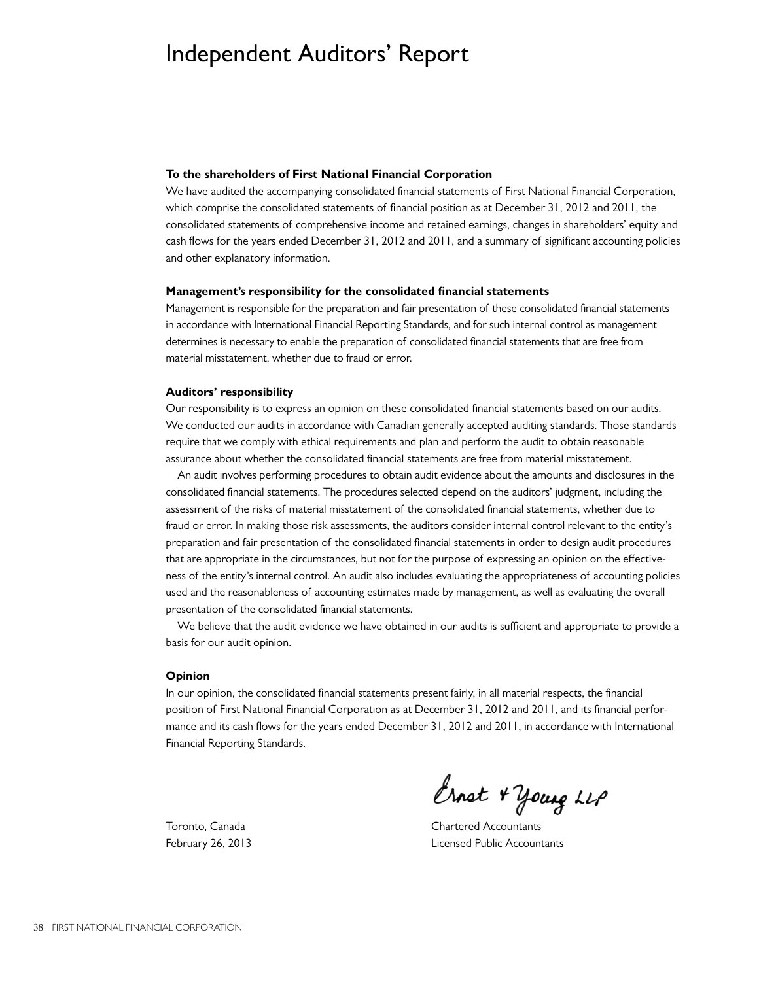## Independent Auditors' Report

#### **To the shareholders of First National Financial Corporation**

We have audited the accompanying consolidated financial statements of First National Financial Corporation, which comprise the consolidated statements of financial position as at December 31, 2012 and 2011, the consolidated statements of comprehensive income and retained earnings, changes in shareholders' equity and cash flows for the years ended December 31, 2012 and 2011, and a summary of significant accounting policies and other explanatory information.

#### **Management's responsibility for the consolidated financial statements**

Management is responsible for the preparation and fair presentation of these consolidated financial statements in accordance with International Financial Reporting Standards, and for such internal control as management determines is necessary to enable the preparation of consolidated financial statements that are free from material misstatement, whether due to fraud or error.

#### **Auditors' responsibility**

Our responsibility is to express an opinion on these consolidated financial statements based on our audits. We conducted our audits in accordance with Canadian generally accepted auditing standards. Those standards require that we comply with ethical requirements and plan and perform the audit to obtain reasonable assurance about whether the consolidated financial statements are free from material misstatement.

An audit involves performing procedures to obtain audit evidence about the amounts and disclosures in the consolidated financial statements. The procedures selected depend on the auditors' judgment, including the assessment of the risks of material misstatement of the consolidated financial statements, whether due to fraud or error. In making those risk assessments, the auditors consider internal control relevant to the entity's preparation and fair presentation of the consolidated financial statements in order to design audit procedures that are appropriate in the circumstances, but not for the purpose of expressing an opinion on the effectiveness of the entity's internal control. An audit also includes evaluating the appropriateness of accounting policies used and the reasonableness of accounting estimates made by management, as well as evaluating the overall presentation of the consolidated financial statements.

We believe that the audit evidence we have obtained in our audits is sufficient and appropriate to provide a basis for our audit opinion.

#### **Opinion**

In our opinion, the consolidated financial statements present fairly, in all material respects, the financial position of First National Financial Corporation as at December 31, 2012 and 2011, and its financial performance and its cash flows for the years ended December 31, 2012 and 2011, in accordance with International Financial Reporting Standards.

Toronto, Canada February 26, 2013

Ernst & Young LLP

Chartered Accountants Licensed Public Accountants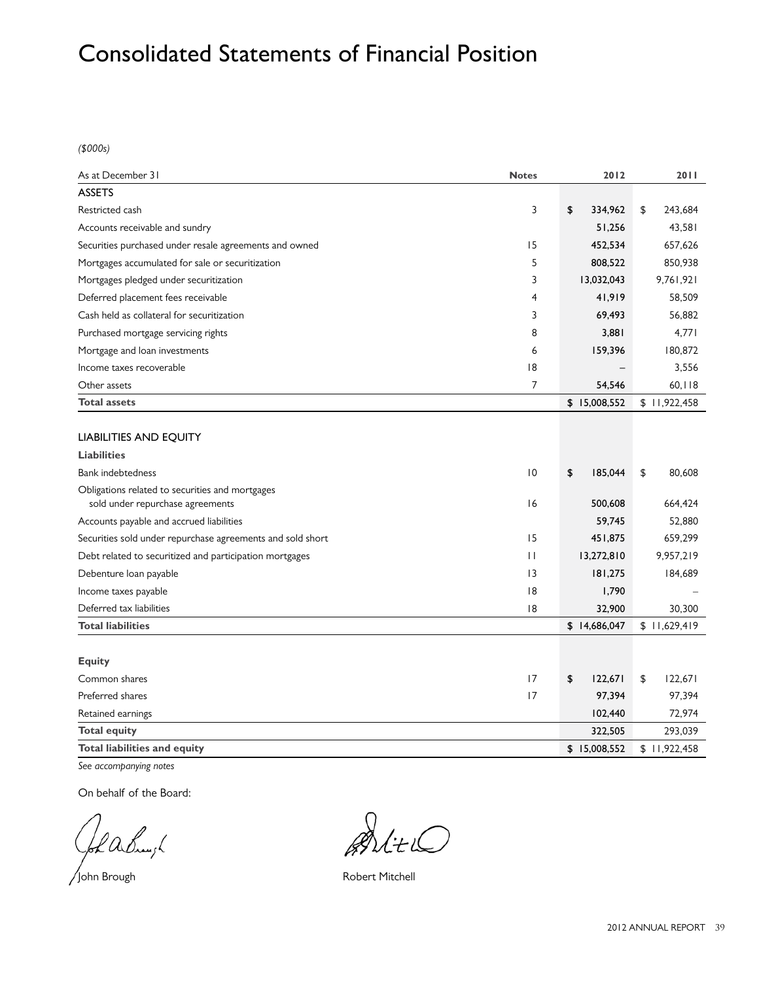# Consolidated Statements of Financial Position

*(\$000s)*

| <b>ASSETS</b><br>3<br>\$<br>334,962<br>Restricted cash<br>\$                          | 243,684<br>43,581 |
|---------------------------------------------------------------------------------------|-------------------|
|                                                                                       |                   |
|                                                                                       |                   |
| 51,256<br>Accounts receivable and sundry                                              |                   |
| 15<br>452,534<br>Securities purchased under resale agreements and owned               | 657,626           |
| 5<br>808,522<br>Mortgages accumulated for sale or securitization                      | 850,938           |
| 13,032,043<br>Mortgages pledged under securitization<br>3                             | 9,761,921         |
| 41,919<br>Deferred placement fees receivable<br>4                                     | 58,509            |
| Cash held as collateral for securitization<br>3<br>69,493                             | 56,882            |
| 3,881<br>Purchased mortgage servicing rights<br>8                                     | 4,771             |
| 159,396<br>Mortgage and loan investments<br>6                                         | 180,872           |
| 18<br>Income taxes recoverable                                                        | 3,556             |
| 7<br>54,546<br>Other assets                                                           | 60, 118           |
| <b>Total assets</b><br>\$15,008,552                                                   | \$11,922,458      |
|                                                                                       |                   |
| LIABILITIES AND EQUITY                                                                |                   |
| <b>Liabilities</b>                                                                    |                   |
| 10<br>185,044<br><b>Bank indebtedness</b><br>\$<br>\$                                 | 80,608            |
| Obligations related to securities and mortgages                                       |                   |
| 16<br>500,608<br>sold under repurchase agreements                                     | 664.424           |
| 59,745<br>Accounts payable and accrued liabilities                                    | 52,880            |
| 15<br>451,875<br>Securities sold under repurchase agreements and sold short           | 659,299           |
| $\mathbf{H}$<br>13,272,810<br>Debt related to securitized and participation mortgages | 9,957,219         |
| Debenture loan payable<br>13<br>181,275                                               | 184,689           |
| 18<br>1,790<br>Income taxes payable                                                   |                   |
| Deferred tax liabilities<br> 8<br>32,900                                              | 30.300            |
| <b>Total liabilities</b><br>\$14,686,047                                              | \$11,629,419      |
|                                                                                       |                   |
| <b>Equity</b>                                                                         |                   |
| 17<br>\$<br>122,671<br>\$<br>Common shares                                            | 122,671           |
| 97,394<br>Preferred shares<br>17                                                      | 97,394            |
| 102,440<br>Retained earnings                                                          | 72,974            |
| <b>Total equity</b><br>322,505                                                        | 293,039           |
| <b>Total liabilities and equity</b><br>\$15,008,552                                   | \$11,922,458      |

*See accompanying notes*

On behalf of the Board:

Joh as Brayh

John Brough Robert Mitchell

litiQ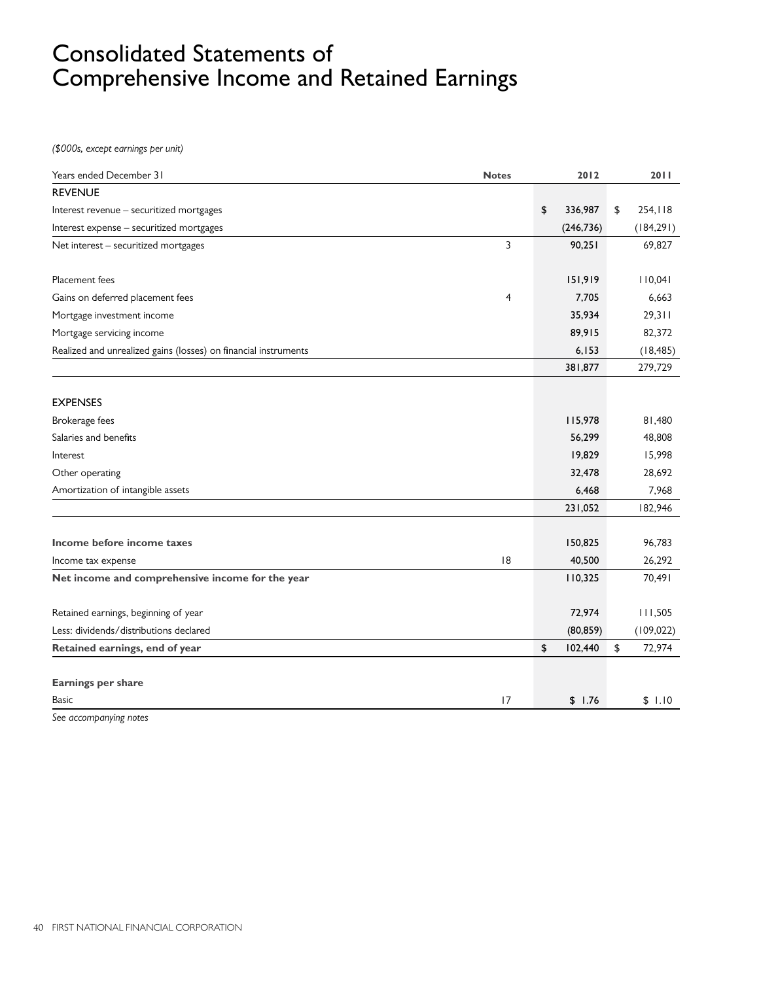## Consolidated Statements of Comprehensive Income and Retained Earnings

*(\$000s, except earnings per unit)*

| Years ended December 31                                         | <b>Notes</b> | 2012          | 2011           |
|-----------------------------------------------------------------|--------------|---------------|----------------|
| <b>REVENUE</b>                                                  |              |               |                |
| Interest revenue - securitized mortgages                        |              | \$<br>336,987 | 254, 118<br>\$ |
| Interest expense - securitized mortgages                        |              | (246, 736)    | (184, 291)     |
| Net interest - securitized mortgages                            | 3            | 90,251        | 69,827         |
| Placement fees                                                  |              | 151,919       | 110,041        |
| Gains on deferred placement fees                                | 4            | 7,705         | 6,663          |
| Mortgage investment income                                      |              | 35,934        | 29,311         |
| Mortgage servicing income                                       |              | 89,915        | 82,372         |
| Realized and unrealized gains (losses) on financial instruments |              | 6,153         | (18, 485)      |
|                                                                 |              | 381,877       | 279,729        |
|                                                                 |              |               |                |
| <b>EXPENSES</b>                                                 |              |               |                |
| Brokerage fees                                                  |              | 115,978       | 81,480         |
| Salaries and benefits                                           |              | 56,299        | 48,808         |
| Interest                                                        |              | 19,829        | 15,998         |
| Other operating                                                 |              | 32,478        | 28,692         |
| Amortization of intangible assets                               |              | 6,468         | 7,968          |
|                                                                 |              | 231,052       | 182,946        |
|                                                                 |              |               |                |
| Income before income taxes                                      |              | 150,825       | 96,783         |
| Income tax expense                                              | 8            | 40,500        | 26,292         |
| Net income and comprehensive income for the year                |              | 110,325       | 70,491         |
| Retained earnings, beginning of year                            |              | 72,974        | 111,505        |
| Less: dividends/distributions declared                          |              | (80, 859)     | (109, 022)     |
| Retained earnings, end of year                                  |              | \$<br>102,440 | 72,974<br>\$   |
|                                                                 |              |               |                |
| <b>Earnings per share</b>                                       |              |               |                |
| Basic                                                           | 17           | \$1.76        | \$1.10         |

*See accompanying notes*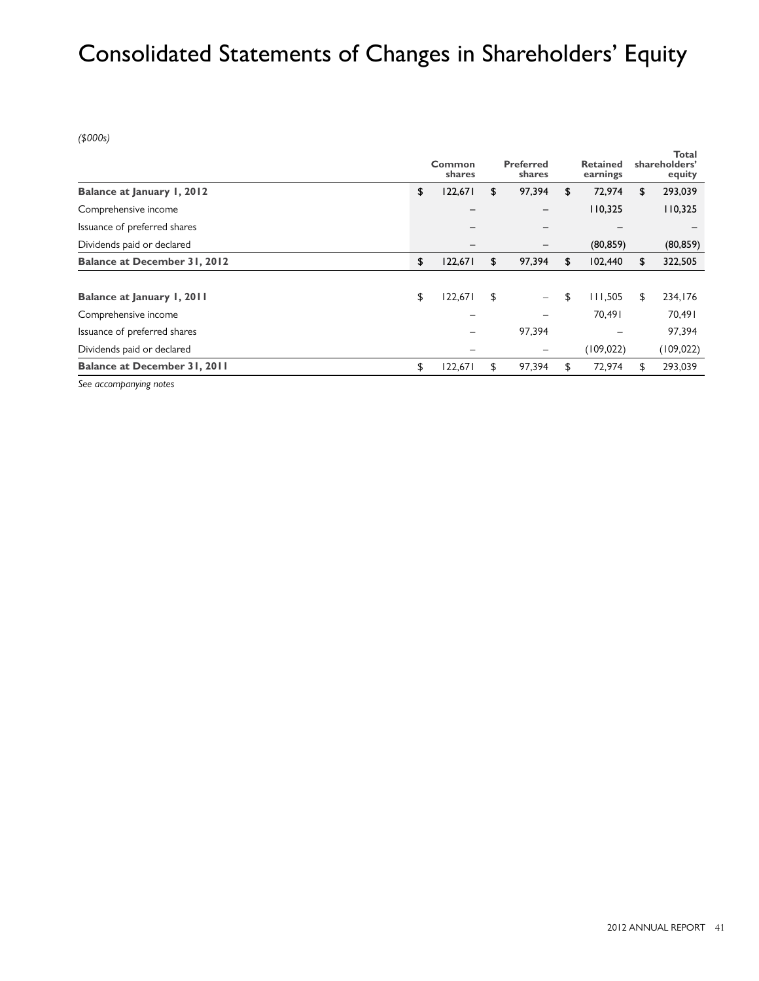# Consolidated Statements of Changes in Shareholders' Equity

*(\$000s)*

|                                     | Common<br>shares | <b>Preferred</b><br>shares     | <b>Retained</b><br>earnings | <b>Total</b><br>shareholders'<br>equity |
|-------------------------------------|------------------|--------------------------------|-----------------------------|-----------------------------------------|
| Balance at January 1, 2012          | \$<br>122,671    | \$<br>97,394                   | \$<br>72,974                | \$<br>293,039                           |
| Comprehensive income                | $\qquad \qquad$  |                                | 110,325                     | 110,325                                 |
| Issuance of preferred shares        |                  |                                |                             |                                         |
| Dividends paid or declared          |                  |                                | (80, 859)                   | (80, 859)                               |
| <b>Balance at December 31, 2012</b> | \$<br>122,671    | \$<br>97,394                   | \$<br>102,440               | \$<br>322,505                           |
|                                     |                  |                                |                             |                                         |
| Balance at January 1, 2011          | \$<br>122.671    | \$<br>$\overline{\phantom{m}}$ | \$<br>111.505               | \$<br>234,176                           |
| Comprehensive income                |                  |                                | 70,491                      | 70,491                                  |
| Issuance of preferred shares        | -                | 97.394                         |                             | 97,394                                  |
| Dividends paid or declared          |                  |                                | (109, 022)                  | (109,022)                               |
| <b>Balance at December 31, 2011</b> | \$<br>122,671    | \$<br>97,394                   | \$<br>72,974                | \$<br>293,039                           |
|                                     |                  |                                |                             |                                         |

*See accompanying notes*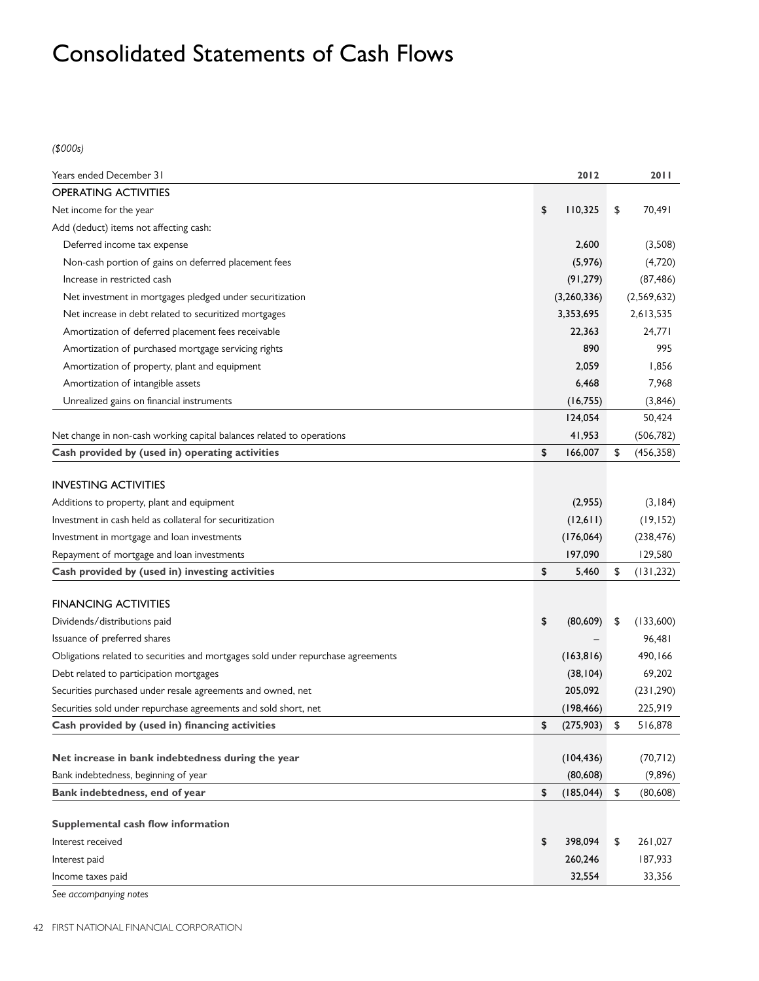# Consolidated Statements of Cash Flows

*(\$000s)*

| Years ended December 31                                                          | 2012             | 2011             |
|----------------------------------------------------------------------------------|------------------|------------------|
| <b>OPERATING ACTIVITIES</b>                                                      |                  |                  |
| Net income for the year                                                          | \$<br>110,325    | \$<br>70,491     |
| Add (deduct) items not affecting cash:                                           |                  |                  |
| Deferred income tax expense                                                      | 2,600            | (3,508)          |
| Non-cash portion of gains on deferred placement fees                             | (5,976)          | (4,720)          |
| Increase in restricted cash                                                      | (91, 279)        | (87, 486)        |
| Net investment in mortgages pledged under securitization                         | (3,260,336)      | (2,569,632)      |
| Net increase in debt related to securitized mortgages                            | 3,353,695        | 2,613,535        |
| Amortization of deferred placement fees receivable                               | 22,363           | 24,771           |
| Amortization of purchased mortgage servicing rights                              | 890              | 995              |
| Amortization of property, plant and equipment                                    | 2,059            | 1,856            |
| Amortization of intangible assets                                                | 6,468            | 7,968            |
| Unrealized gains on financial instruments                                        | (16, 755)        | (3,846)          |
|                                                                                  | 124,054          | 50,424           |
| Net change in non-cash working capital balances related to operations            | 41,953           | (506, 782)       |
| Cash provided by (used in) operating activities                                  | \$<br>166,007    | \$<br>(456, 358) |
|                                                                                  |                  |                  |
| <b>INVESTING ACTIVITIES</b>                                                      |                  |                  |
| Additions to property, plant and equipment                                       | (2,955)          | (3, 184)         |
| Investment in cash held as collateral for securitization                         | (12,611)         | (19, 152)        |
| Investment in mortgage and loan investments                                      | (176,064)        | (238, 476)       |
| Repayment of mortgage and loan investments                                       | 197,090          | 129,580          |
| Cash provided by (used in) investing activities                                  | \$<br>5,460      | \$<br>(131, 232) |
| <b>FINANCING ACTIVITIES</b>                                                      |                  |                  |
| Dividends/distributions paid                                                     | \$<br>(80, 609)  | \$<br>(133,600)  |
| Issuance of preferred shares                                                     |                  | 96,481           |
| Obligations related to securities and mortgages sold under repurchase agreements | (163, 816)       | 490,166          |
| Debt related to participation mortgages                                          | (38, 104)        | 69,202           |
| Securities purchased under resale agreements and owned, net                      | 205,092          | (231, 290)       |
| Securities sold under repurchase agreements and sold short, net                  | (198, 466)       | 225,919          |
| Cash provided by (used in) financing activities                                  | \$<br>(275, 903) | \$<br>516,878    |
| Net increase in bank indebtedness during the year                                | (104, 436)       | (70, 712)        |
| Bank indebtedness, beginning of year                                             | (80, 608)        | (9,896)          |
| Bank indebtedness, end of year                                                   | \$<br>(185, 044) | \$<br>(80, 608)  |
|                                                                                  |                  |                  |
| Supplemental cash flow information                                               |                  |                  |
| Interest received                                                                | \$<br>398,094    | \$<br>261,027    |
| Interest paid                                                                    | 260,246          | 187,933          |
| Income taxes paid                                                                | 32,554           | 33,356           |

*See accompanying notes*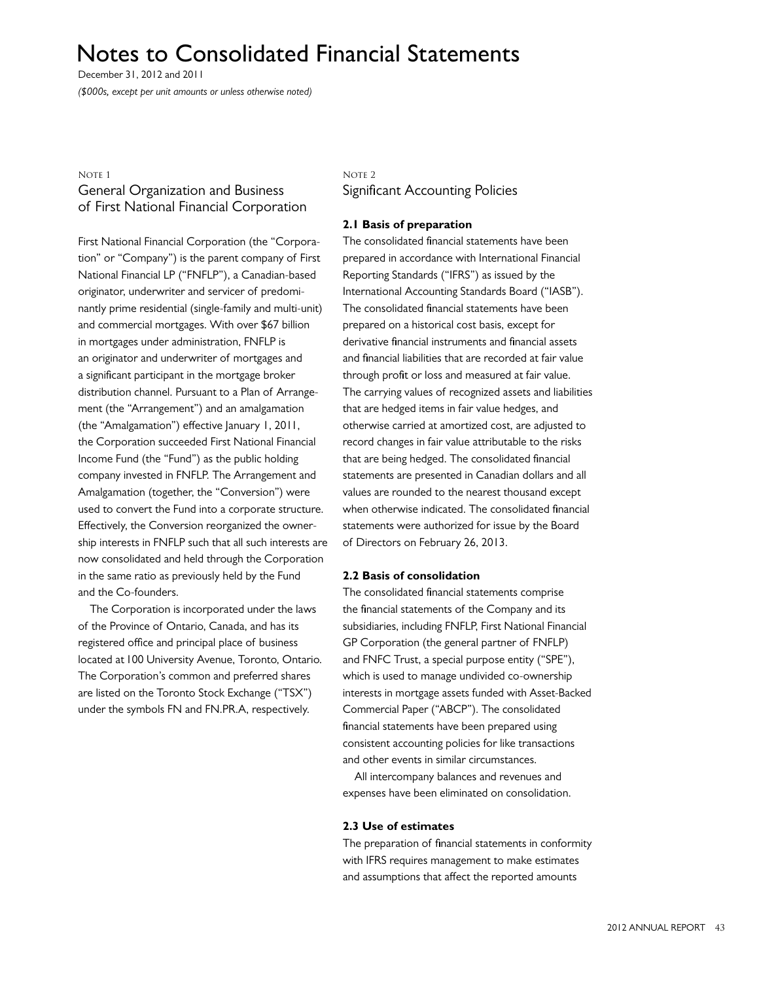## Notes to Consolidated Financial Statements

December 31, 2012 and 2011 *(\$000s, except per unit amounts or unless otherwise noted)*

### NOTE<sub>1</sub>

## General Organization and Business of First National Financial Corporation

First National Financial Corporation (the "Corporation" or "Company") is the parent company of First National Financial LP ("FNFLP"), a Canadian-based originator, underwriter and servicer of predominantly prime residential (single-family and multi-unit) and commercial mortgages. With over \$67 billion in mortgages under administration, FNFLP is an originator and underwriter of mortgages and a significant participant in the mortgage broker distribution channel. Pursuant to a Plan of Arrangement (the "Arrangement") and an amalgamation (the "Amalgamation") effective January 1, 2011, the Corporation succeeded First National Financial Income Fund (the "Fund") as the public holding company invested in FNFLP. The Arrangement and Amalgamation (together, the "Conversion") were used to convert the Fund into a corporate structure. Effectively, the Conversion reorganized the ownership interests in FNFLP such that all such interests are now consolidated and held through the Corporation in the same ratio as previously held by the Fund and the Co-founders.

The Corporation is incorporated under the laws of the Province of Ontario, Canada, and has its registered office and principal place of business located at 100 University Avenue, Toronto, Ontario. The Corporation's common and preferred shares are listed on the Toronto Stock Exchange ("TSX") under the symbols FN and FN.PR.A, respectively.

## NOTE<sub>2</sub> Significant Accounting Policies

## **2.1 Basis of preparation**

The consolidated financial statements have been prepared in accordance with International Financial Reporting Standards ("IFRS") as issued by the International Accounting Standards Board ("IASB"). The consolidated financial statements have been prepared on a historical cost basis, except for derivative financial instruments and financial assets and financial liabilities that are recorded at fair value through profit or loss and measured at fair value. The carrying values of recognized assets and liabilities that are hedged items in fair value hedges, and otherwise carried at amortized cost, are adjusted to record changes in fair value attributable to the risks that are being hedged. The consolidated financial statements are presented in Canadian dollars and all values are rounded to the nearest thousand except when otherwise indicated. The consolidated financial statements were authorized for issue by the Board of Directors on February 26, 2013.

## **2.2 Basis of consolidation**

The consolidated financial statements comprise the financial statements of the Company and its subsidiaries, including FNFLP, First National Financial GP Corporation (the general partner of FNFLP) and FNFC Trust, a special purpose entity ("SPE"), which is used to manage undivided co-ownership interests in mortgage assets funded with Asset-Backed Commercial Paper ("ABCP"). The consolidated financial statements have been prepared using consistent accounting policies for like transactions and other events in similar circumstances.

All intercompany balances and revenues and expenses have been eliminated on consolidation.

## **2.3 Use of estimates**

The preparation of financial statements in conformity with IFRS requires management to make estimates and assumptions that affect the reported amounts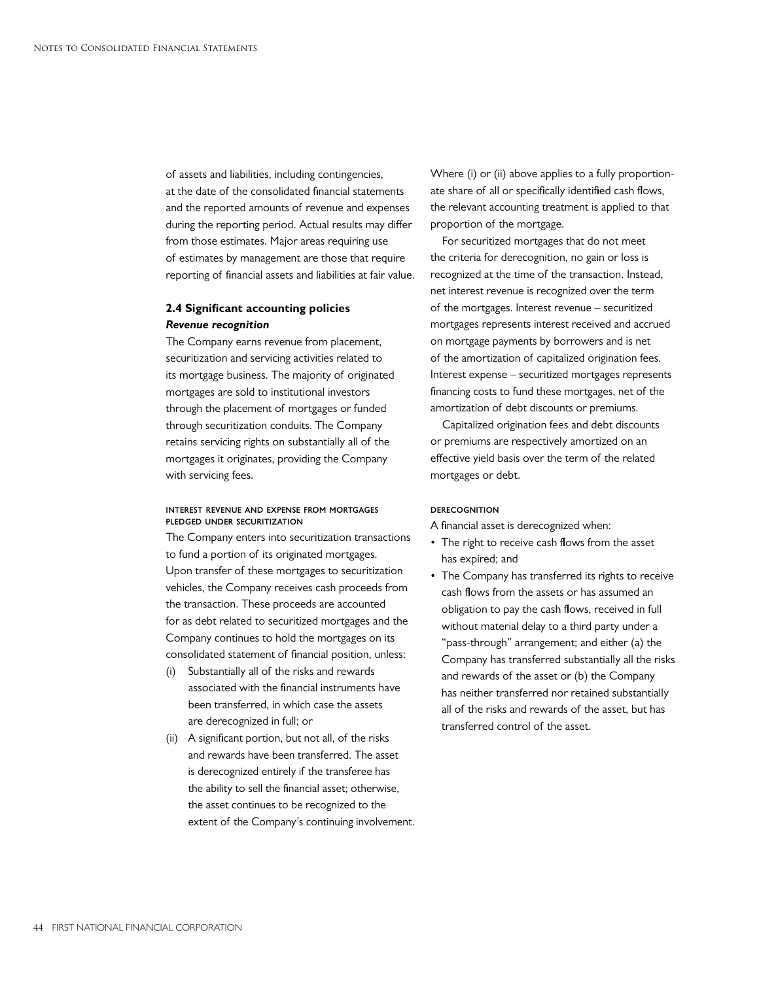of assets and liabilities, including contingencies, at the date of the consolidated financial statements and the reported amounts of revenue and expenses during the reporting period. Actual results may differ from those estimates. Major areas requiring use of estimates by management are those that require reporting of financial assets and liabilities at fair value.

## **2.4 Significant accounting policies** *Revenue recognition*

The Company earns revenue from placement, securitization and servicing activities related to its mortgage business. The majority of originated mortgages are sold to institutional investors through the placement of mortgages or funded through securitization conduits. The Company retains servicing rights on substantially all of the mortgages it originates, providing the Company with servicing fees.

#### Interest revenue and expense from mortgages pledged under securitization

The Company enters into securitization transactions to fund a portion of its originated mortgages. Upon transfer of these mortgages to securitization vehicles, the Company receives cash proceeds from the transaction. These proceeds are accounted for as debt related to securitized mortgages and the Company continues to hold the mortgages on its consolidated statement of financial position, unless:

- (i) Substantially all of the risks and rewards associated with the financial instruments have been transferred, in which case the assets are derecognized in full; or
- (ii) A significant portion, but not all, of the risks and rewards have been transferred. The asset is derecognized entirely if the transferee has the ability to sell the financial asset; otherwise, the asset continues to be recognized to the extent of the Company's continuing involvement.

Where (i) or (ii) above applies to a fully proportionate share of all or specifically identified cash flows, the relevant accounting treatment is applied to that proportion of the mortgage.

For securitized mortgages that do not meet the criteria for derecognition, no gain or loss is recognized at the time of the transaction. Instead, net interest revenue is recognized over the term of the mortgages. Interest revenue – securitized mortgages represents interest received and accrued on mortgage payments by borrowers and is net of the amortization of capitalized origination fees. Interest expense – securitized mortgages represents financing costs to fund these mortgages, net of the amortization of debt discounts or premiums.

Capitalized origination fees and debt discounts or premiums are respectively amortized on an effective yield basis over the term of the related mortgages or debt.

## **DERECOGNITION**

A financial asset is derecognized when:

- The right to receive cash flows from the asset has expired; and
- The Company has transferred its rights to receive cash flows from the assets or has assumed an obligation to pay the cash flows, received in full without material delay to a third party under a "pass-through" arrangement; and either (a) the Company has transferred substantially all the risks and rewards of the asset or (b) the Company has neither transferred nor retained substantially all of the risks and rewards of the asset, but has transferred control of the asset.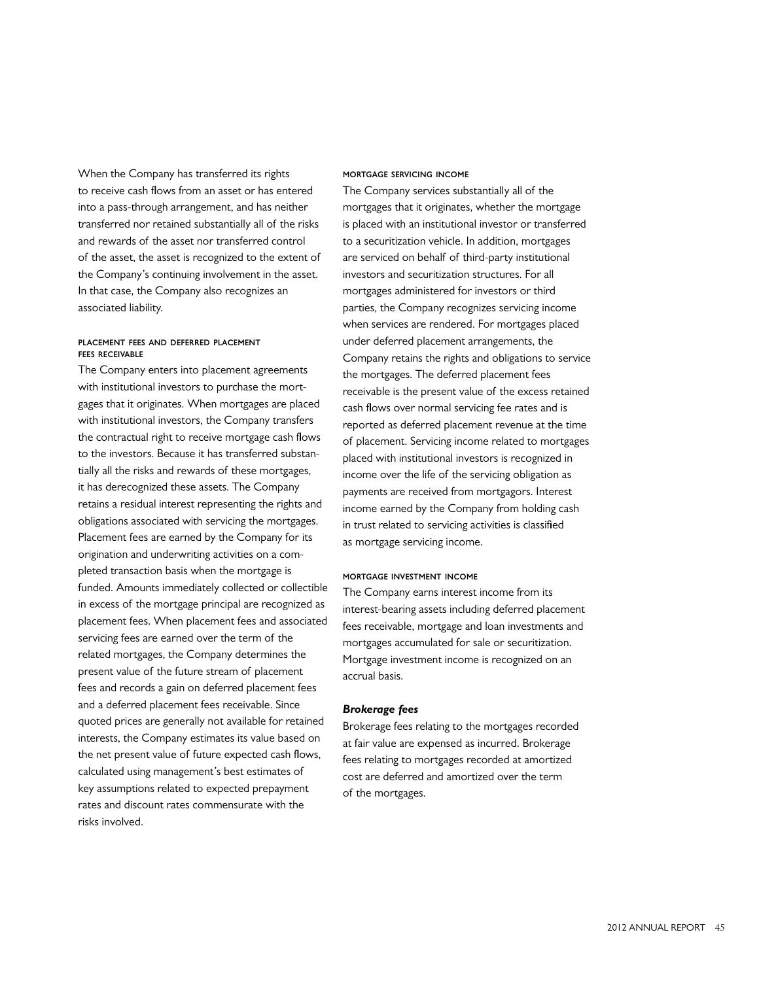When the Company has transferred its rights to receive cash flows from an asset or has entered into a pass-through arrangement, and has neither transferred nor retained substantially all of the risks and rewards of the asset nor transferred control of the asset, the asset is recognized to the extent of the Company's continuing involvement in the asset. In that case, the Company also recognizes an associated liability.

#### Placement fees and deferred placement fees receivable

The Company enters into placement agreements with institutional investors to purchase the mortgages that it originates. When mortgages are placed with institutional investors, the Company transfers the contractual right to receive mortgage cash flows to the investors. Because it has transferred substantially all the risks and rewards of these mortgages, it has derecognized these assets. The Company retains a residual interest representing the rights and obligations associated with servicing the mortgages. Placement fees are earned by the Company for its origination and underwriting activities on a completed transaction basis when the mortgage is funded. Amounts immediately collected or collectible in excess of the mortgage principal are recognized as placement fees. When placement fees and associated servicing fees are earned over the term of the related mortgages, the Company determines the present value of the future stream of placement fees and records a gain on deferred placement fees and a deferred placement fees receivable. Since quoted prices are generally not available for retained interests, the Company estimates its value based on the net present value of future expected cash flows, calculated using management's best estimates of key assumptions related to expected prepayment rates and discount rates commensurate with the risks involved.

#### Mortgage servicing income

The Company services substantially all of the mortgages that it originates, whether the mortgage is placed with an institutional investor or transferred to a securitization vehicle. In addition, mortgages are serviced on behalf of third-party institutional investors and securitization structures. For all mortgages administered for investors or third parties, the Company recognizes servicing income when services are rendered. For mortgages placed under deferred placement arrangements, the Company retains the rights and obligations to service the mortgages. The deferred placement fees receivable is the present value of the excess retained cash flows over normal servicing fee rates and is reported as deferred placement revenue at the time of placement. Servicing income related to mortgages placed with institutional investors is recognized in income over the life of the servicing obligation as payments are received from mortgagors. Interest income earned by the Company from holding cash in trust related to servicing activities is classified as mortgage servicing income.

#### Mortgage investment income

The Company earns interest income from its interest-bearing assets including deferred placement fees receivable, mortgage and loan investments and mortgages accumulated for sale or securitization. Mortgage investment income is recognized on an accrual basis.

#### *Brokerage fees*

Brokerage fees relating to the mortgages recorded at fair value are expensed as incurred. Brokerage fees relating to mortgages recorded at amortized cost are deferred and amortized over the term of the mortgages.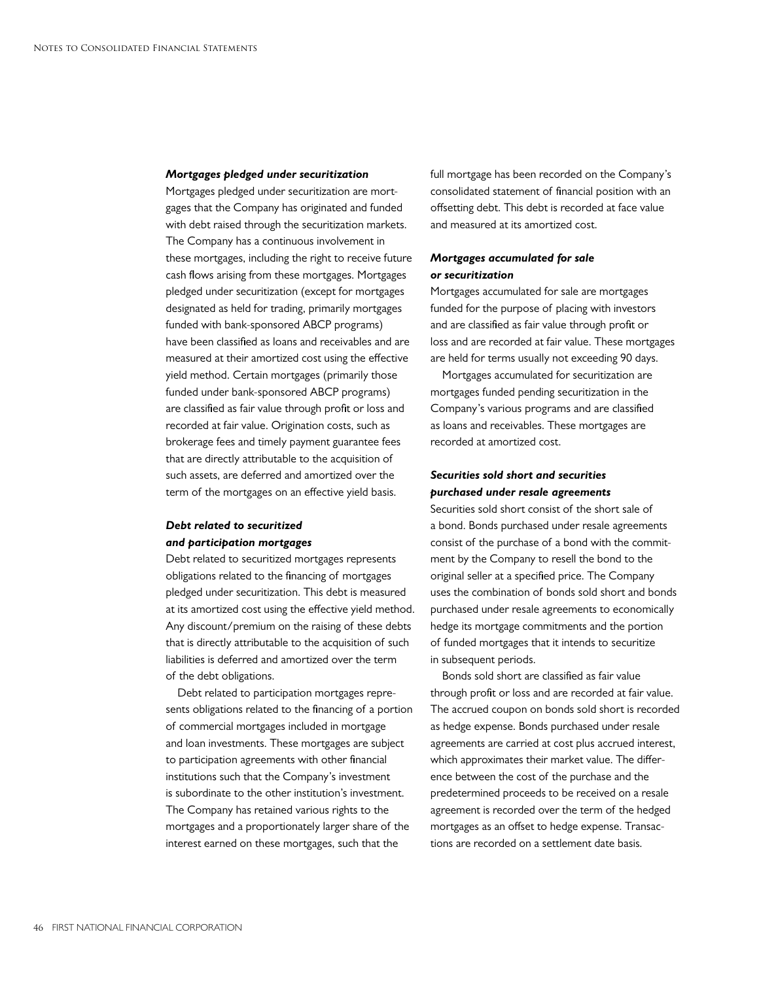#### *Mortgages pledged under securitization*

Mortgages pledged under securitization are mortgages that the Company has originated and funded with debt raised through the securitization markets. The Company has a continuous involvement in these mortgages, including the right to receive future cash flows arising from these mortgages. Mortgages pledged under securitization (except for mortgages designated as held for trading, primarily mortgages funded with bank-sponsored ABCP programs) have been classified as loans and receivables and are measured at their amortized cost using the effective yield method. Certain mortgages (primarily those funded under bank-sponsored ABCP programs) are classified as fair value through profit or loss and recorded at fair value. Origination costs, such as brokerage fees and timely payment guarantee fees that are directly attributable to the acquisition of such assets, are deferred and amortized over the term of the mortgages on an effective yield basis.

## *Debt related to securitized and participation mortgages*

Debt related to securitized mortgages represents obligations related to the financing of mortgages pledged under securitization. This debt is measured at its amortized cost using the effective yield method. Any discount/premium on the raising of these debts that is directly attributable to the acquisition of such liabilities is deferred and amortized over the term of the debt obligations.

Debt related to participation mortgages represents obligations related to the financing of a portion of commercial mortgages included in mortgage and loan investments. These mortgages are subject to participation agreements with other financial institutions such that the Company's investment is subordinate to the other institution's investment. The Company has retained various rights to the mortgages and a proportionately larger share of the interest earned on these mortgages, such that the

full mortgage has been recorded on the Company's consolidated statement of financial position with an offsetting debt. This debt is recorded at face value and measured at its amortized cost.

## *Mortgages accumulated for sale or securitization*

Mortgages accumulated for sale are mortgages funded for the purpose of placing with investors and are classified as fair value through profit or loss and are recorded at fair value. These mortgages are held for terms usually not exceeding 90 days.

Mortgages accumulated for securitization are mortgages funded pending securitization in the Company's various programs and are classified as loans and receivables. These mortgages are recorded at amortized cost.

## *Securities sold short and securities purchased under resale agreements*

Securities sold short consist of the short sale of a bond. Bonds purchased under resale agreements consist of the purchase of a bond with the commitment by the Company to resell the bond to the original seller at a specified price. The Company uses the combination of bonds sold short and bonds purchased under resale agreements to economically hedge its mortgage commitments and the portion of funded mortgages that it intends to securitize in subsequent periods.

Bonds sold short are classified as fair value through profit or loss and are recorded at fair value. The accrued coupon on bonds sold short is recorded as hedge expense. Bonds purchased under resale agreements are carried at cost plus accrued interest, which approximates their market value. The difference between the cost of the purchase and the predetermined proceeds to be received on a resale agreement is recorded over the term of the hedged mortgages as an offset to hedge expense. Transactions are recorded on a settlement date basis.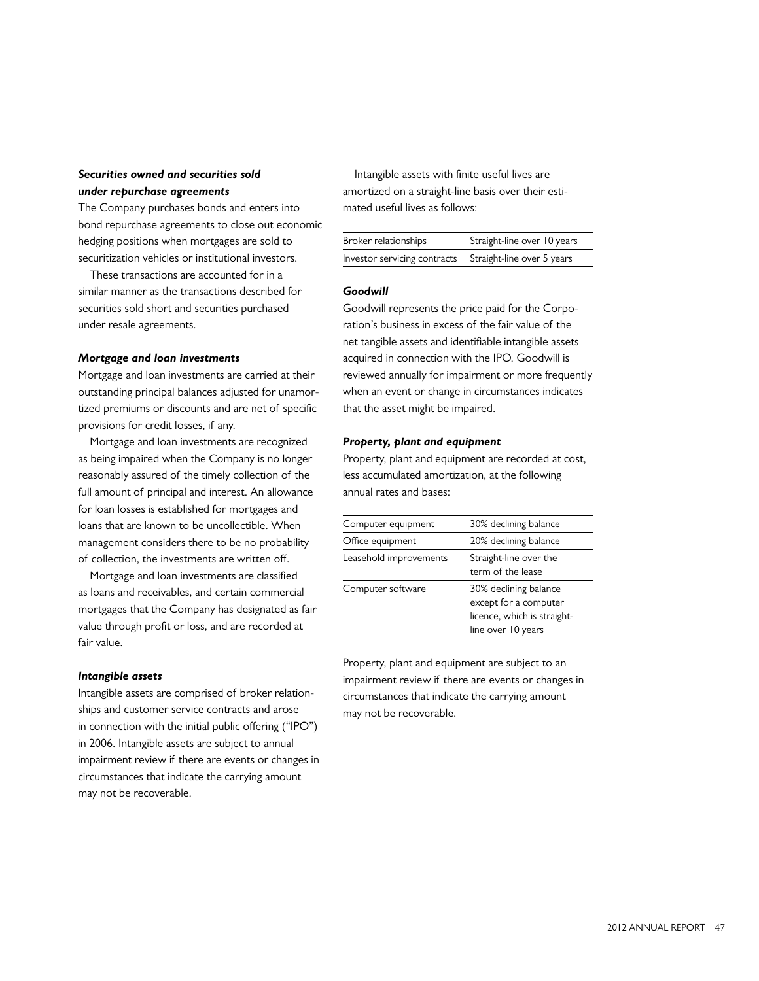## *Securities owned and securities sold under repurchase agreements*

The Company purchases bonds and enters into bond repurchase agreements to close out economic hedging positions when mortgages are sold to securitization vehicles or institutional investors.

These transactions are accounted for in a similar manner as the transactions described for securities sold short and securities purchased under resale agreements.

#### *Mortgage and loan investments*

Mortgage and loan investments are carried at their outstanding principal balances adjusted for unamortized premiums or discounts and are net of specific provisions for credit losses, if any.

Mortgage and loan investments are recognized as being impaired when the Company is no longer reasonably assured of the timely collection of the full amount of principal and interest. An allowance for loan losses is established for mortgages and loans that are known to be uncollectible. When management considers there to be no probability of collection, the investments are written off.

Mortgage and loan investments are classified as loans and receivables, and certain commercial mortgages that the Company has designated as fair value through profit or loss, and are recorded at fair value.

### *Intangible assets*

Intangible assets are comprised of broker relationships and customer service contracts and arose in connection with the initial public offering ("IPO") in 2006. Intangible assets are subject to annual impairment review if there are events or changes in circumstances that indicate the carrying amount may not be recoverable.

Intangible assets with finite useful lives are amortized on a straight-line basis over their estimated useful lives as follows:

| Broker relationships                                    | Straight-line over 10 years |
|---------------------------------------------------------|-----------------------------|
| Investor servicing contracts Straight-line over 5 years |                             |

#### *Goodwill*

Goodwill represents the price paid for the Corporation's business in excess of the fair value of the net tangible assets and identifiable intangible assets acquired in connection with the IPO. Goodwill is reviewed annually for impairment or more frequently when an event or change in circumstances indicates that the asset might be impaired.

### *Property, plant and equipment*

Property, plant and equipment are recorded at cost, less accumulated amortization, at the following annual rates and bases:

| 30% declining balance<br>20% declining balance<br>Straight-line over the<br>term of the lease<br>30% declining balance<br>except for a computer<br>licence, which is straight-<br>line over 10 years |                        |  |
|------------------------------------------------------------------------------------------------------------------------------------------------------------------------------------------------------|------------------------|--|
|                                                                                                                                                                                                      | Computer equipment     |  |
|                                                                                                                                                                                                      | Office equipment       |  |
|                                                                                                                                                                                                      | Leasehold improvements |  |
|                                                                                                                                                                                                      | Computer software      |  |

Property, plant and equipment are subject to an impairment review if there are events or changes in circumstances that indicate the carrying amount may not be recoverable.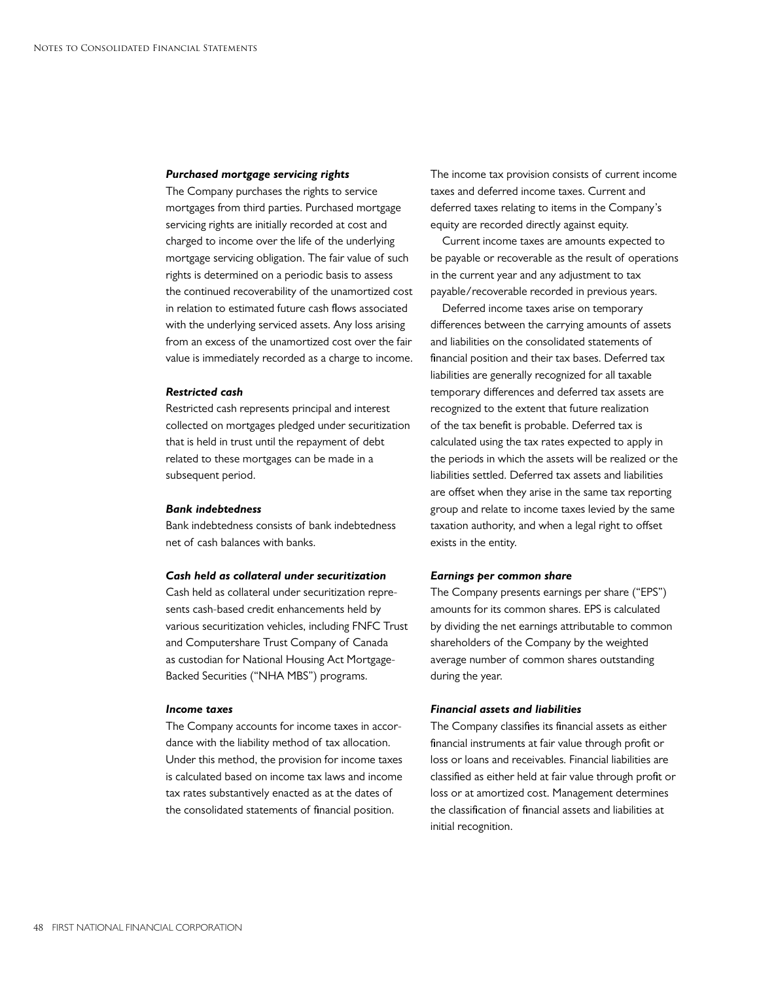#### *Purchased mortgage servicing rights*

The Company purchases the rights to service mortgages from third parties. Purchased mortgage servicing rights are initially recorded at cost and charged to income over the life of the underlying mortgage servicing obligation. The fair value of such rights is determined on a periodic basis to assess the continued recoverability of the unamortized cost in relation to estimated future cash flows associated with the underlying serviced assets. Any loss arising from an excess of the unamortized cost over the fair value is immediately recorded as a charge to income.

#### *Restricted cash*

Restricted cash represents principal and interest collected on mortgages pledged under securitization that is held in trust until the repayment of debt related to these mortgages can be made in a subsequent period.

#### *Bank indebtedness*

Bank indebtedness consists of bank indebtedness net of cash balances with banks.

#### *Cash held as collateral under securitization*

Cash held as collateral under securitization represents cash-based credit enhancements held by various securitization vehicles, including FNFC Trust and Computershare Trust Company of Canada as custodian for National Housing Act Mortgage-Backed Securities ("NHA MBS") programs.

### *Income taxes*

The Company accounts for income taxes in accordance with the liability method of tax allocation. Under this method, the provision for income taxes is calculated based on income tax laws and income tax rates substantively enacted as at the dates of the consolidated statements of financial position.

The income tax provision consists of current income taxes and deferred income taxes. Current and deferred taxes relating to items in the Company's equity are recorded directly against equity.

Current income taxes are amounts expected to be payable or recoverable as the result of operations in the current year and any adjustment to tax payable/recoverable recorded in previous years.

Deferred income taxes arise on temporary differences between the carrying amounts of assets and liabilities on the consolidated statements of financial position and their tax bases. Deferred tax liabilities are generally recognized for all taxable temporary differences and deferred tax assets are recognized to the extent that future realization of the tax benefit is probable. Deferred tax is calculated using the tax rates expected to apply in the periods in which the assets will be realized or the liabilities settled. Deferred tax assets and liabilities are offset when they arise in the same tax reporting group and relate to income taxes levied by the same taxation authority, and when a legal right to offset exists in the entity.

#### *Earnings per common share*

The Company presents earnings per share ("EPS") amounts for its common shares. EPS is calculated by dividing the net earnings attributable to common shareholders of the Company by the weighted average number of common shares outstanding during the year.

#### *Financial assets and liabilities*

The Company classifies its financial assets as either financial instruments at fair value through profit or loss or loans and receivables. Financial liabilities are classified as either held at fair value through profit or loss or at amortized cost. Management determines the classification of financial assets and liabilities at initial recognition.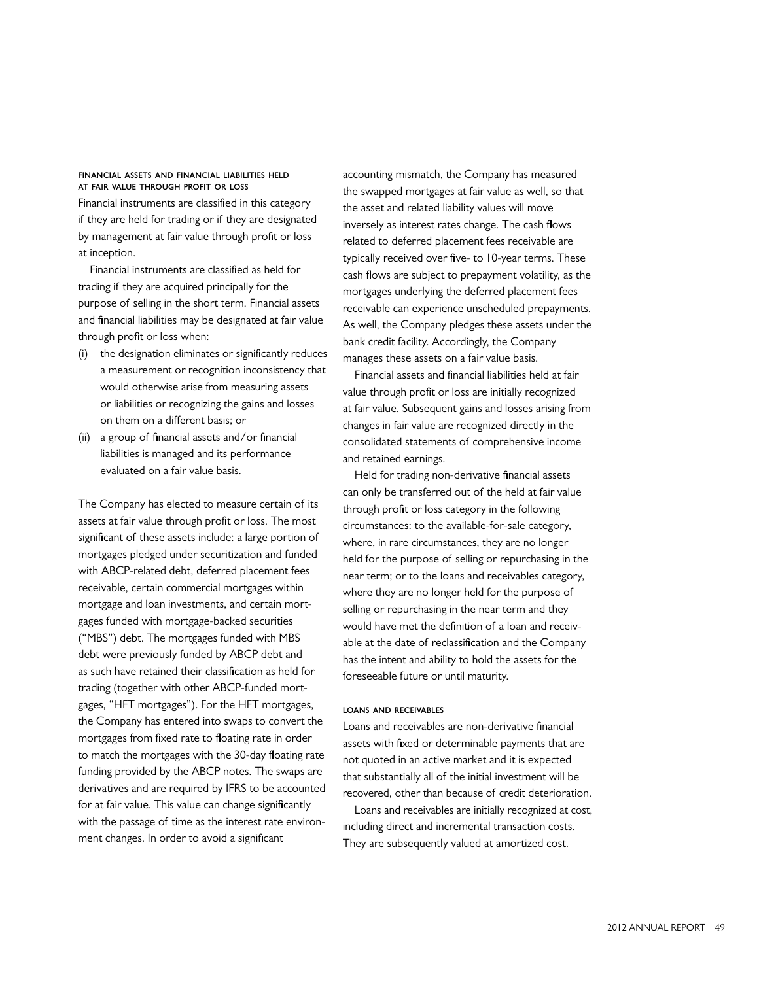#### Financial assets and financial liabilities held at fair value through profit or loss

Financial instruments are classified in this category if they are held for trading or if they are designated by management at fair value through profit or loss at inception.

Financial instruments are classified as held for trading if they are acquired principally for the purpose of selling in the short term. Financial assets and financial liabilities may be designated at fair value through profit or loss when:

- (i) the designation eliminates or significantly reduces a measurement or recognition inconsistency that would otherwise arise from measuring assets or liabilities or recognizing the gains and losses on them on a different basis; or
- (ii) a group of financial assets and/or financial liabilities is managed and its performance evaluated on a fair value basis.

The Company has elected to measure certain of its assets at fair value through profit or loss. The most significant of these assets include: a large portion of mortgages pledged under securitization and funded with ABCP-related debt, deferred placement fees receivable, certain commercial mortgages within mortgage and loan investments, and certain mortgages funded with mortgage-backed securities ("MBS") debt. The mortgages funded with MBS debt were previously funded by ABCP debt and as such have retained their classification as held for trading (together with other ABCP-funded mortgages, "HFT mortgages"). For the HFT mortgages, the Company has entered into swaps to convert the mortgages from fixed rate to floating rate in order to match the mortgages with the 30-day floating rate funding provided by the ABCP notes. The swaps are derivatives and are required by IFRS to be accounted for at fair value. This value can change significantly with the passage of time as the interest rate environment changes. In order to avoid a significant

accounting mismatch, the Company has measured the swapped mortgages at fair value as well, so that the asset and related liability values will move inversely as interest rates change. The cash flows related to deferred placement fees receivable are typically received over five- to 10-year terms. These cash flows are subject to prepayment volatility, as the mortgages underlying the deferred placement fees receivable can experience unscheduled prepayments. As well, the Company pledges these assets under the bank credit facility. Accordingly, the Company manages these assets on a fair value basis.

Financial assets and financial liabilities held at fair value through profit or loss are initially recognized at fair value. Subsequent gains and losses arising from changes in fair value are recognized directly in the consolidated statements of comprehensive income and retained earnings.

Held for trading non-derivative financial assets can only be transferred out of the held at fair value through profit or loss category in the following circumstances: to the available-for-sale category, where, in rare circumstances, they are no longer held for the purpose of selling or repurchasing in the near term; or to the loans and receivables category, where they are no longer held for the purpose of selling or repurchasing in the near term and they would have met the definition of a loan and receivable at the date of reclassification and the Company has the intent and ability to hold the assets for the foreseeable future or until maturity.

#### Loans and receivables

Loans and receivables are non-derivative financial assets with fixed or determinable payments that are not quoted in an active market and it is expected that substantially all of the initial investment will be recovered, other than because of credit deterioration.

Loans and receivables are initially recognized at cost, including direct and incremental transaction costs. They are subsequently valued at amortized cost.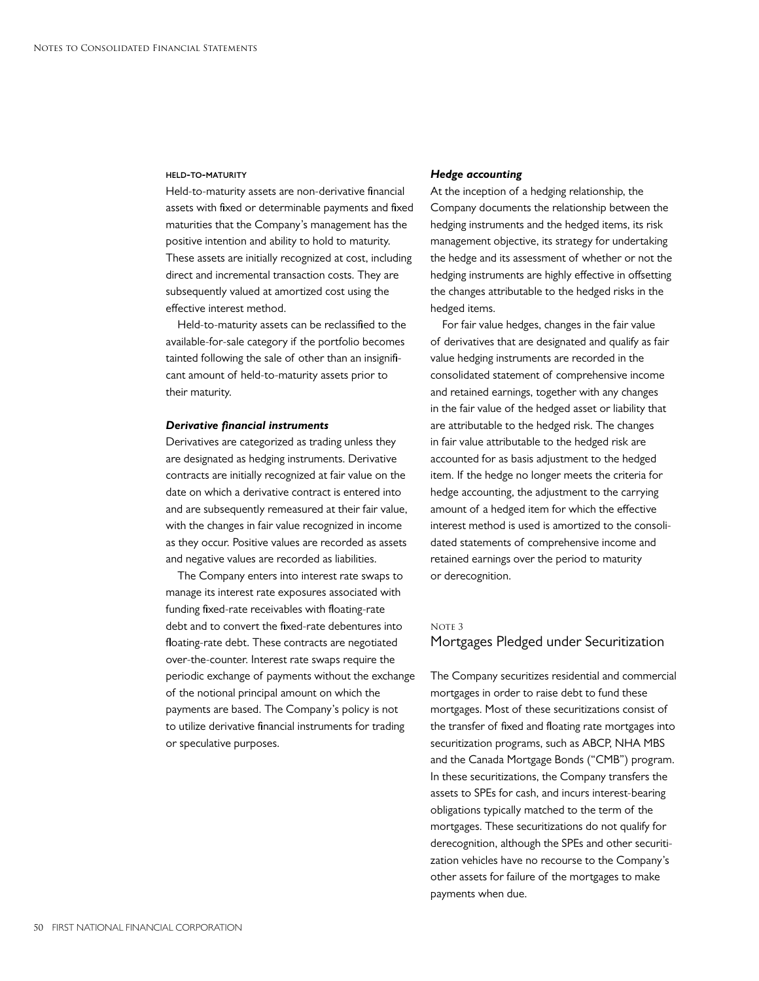#### Held-to-maturity

Held-to-maturity assets are non-derivative financial assets with fixed or determinable payments and fixed maturities that the Company's management has the positive intention and ability to hold to maturity. These assets are initially recognized at cost, including direct and incremental transaction costs. They are subsequently valued at amortized cost using the effective interest method.

Held-to-maturity assets can be reclassified to the available-for-sale category if the portfolio becomes tainted following the sale of other than an insignificant amount of held-to-maturity assets prior to their maturity.

#### *Derivative financial instruments*

Derivatives are categorized as trading unless they are designated as hedging instruments. Derivative contracts are initially recognized at fair value on the date on which a derivative contract is entered into and are subsequently remeasured at their fair value, with the changes in fair value recognized in income as they occur. Positive values are recorded as assets and negative values are recorded as liabilities.

The Company enters into interest rate swaps to manage its interest rate exposures associated with funding fixed-rate receivables with floating-rate debt and to convert the fixed-rate debentures into floating-rate debt. These contracts are negotiated over-the-counter. Interest rate swaps require the periodic exchange of payments without the exchange of the notional principal amount on which the payments are based. The Company's policy is not to utilize derivative financial instruments for trading or speculative purposes.

#### *Hedge accounting*

At the inception of a hedging relationship, the Company documents the relationship between the hedging instruments and the hedged items, its risk management objective, its strategy for undertaking the hedge and its assessment of whether or not the hedging instruments are highly effective in offsetting the changes attributable to the hedged risks in the hedged items.

For fair value hedges, changes in the fair value of derivatives that are designated and qualify as fair value hedging instruments are recorded in the consolidated statement of comprehensive income and retained earnings, together with any changes in the fair value of the hedged asset or liability that are attributable to the hedged risk. The changes in fair value attributable to the hedged risk are accounted for as basis adjustment to the hedged item. If the hedge no longer meets the criteria for hedge accounting, the adjustment to the carrying amount of a hedged item for which the effective interest method is used is amortized to the consolidated statements of comprehensive income and retained earnings over the period to maturity or derecognition.

#### NOTE<sub>3</sub>

## Mortgages Pledged under Securitization

The Company securitizes residential and commercial mortgages in order to raise debt to fund these mortgages. Most of these securitizations consist of the transfer of fixed and floating rate mortgages into securitization programs, such as ABCP, NHA MBS and the Canada Mortgage Bonds ("CMB") program. In these securitizations, the Company transfers the assets to SPEs for cash, and incurs interest-bearing obligations typically matched to the term of the mortgages. These securitizations do not qualify for derecognition, although the SPEs and other securitization vehicles have no recourse to the Company's other assets for failure of the mortgages to make payments when due.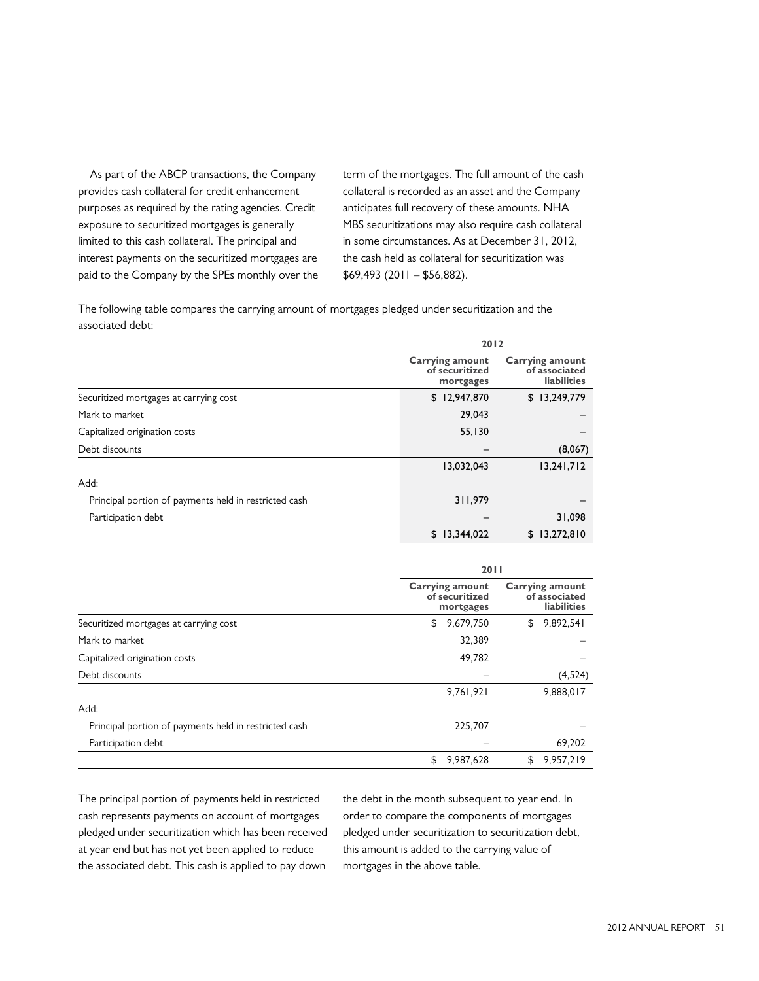As part of the ABCP transactions, the Company provides cash collateral for credit enhancement purposes as required by the rating agencies. Credit exposure to securitized mortgages is generally limited to this cash collateral. The principal and interest payments on the securitized mortgages are paid to the Company by the SPEs monthly over the

term of the mortgages. The full amount of the cash collateral is recorded as an asset and the Company anticipates full recovery of these amounts. NHA MBS securitizations may also require cash collateral in some circumstances. As at December 31, 2012, the cash held as collateral for securitization was  $$69,493$  (2011 – \$56,882).

The following table compares the carrying amount of mortgages pledged under securitization and the associated debt:

|                                                       | 2012                                                  |                                                               |
|-------------------------------------------------------|-------------------------------------------------------|---------------------------------------------------------------|
|                                                       | <b>Carrying amount</b><br>of securitized<br>mortgages | <b>Carrying amount</b><br>of associated<br><b>liabilities</b> |
| Securitized mortgages at carrying cost                | \$12,947,870                                          | \$13,249,779                                                  |
| Mark to market                                        | 29.043                                                |                                                               |
| Capitalized origination costs                         | 55,130                                                |                                                               |
| Debt discounts                                        |                                                       | (8,067)                                                       |
|                                                       | 13,032,043                                            | 13,241,712                                                    |
| Add:                                                  |                                                       |                                                               |
| Principal portion of payments held in restricted cash | 311.979                                               |                                                               |
| Participation debt                                    |                                                       | 31,098                                                        |
|                                                       | \$13,344,022                                          | 13,272,810<br>S.                                              |

|                                                       | 2011                                                  |                                                               |
|-------------------------------------------------------|-------------------------------------------------------|---------------------------------------------------------------|
|                                                       | <b>Carrying amount</b><br>of securitized<br>mortgages | <b>Carrying amount</b><br>of associated<br><b>liabilities</b> |
| Securitized mortgages at carrying cost                | 9,679,750<br>\$                                       | 9,892,541<br>\$                                               |
| Mark to market                                        | 32,389                                                |                                                               |
| Capitalized origination costs                         | 49,782                                                |                                                               |
| Debt discounts                                        |                                                       | (4,524)                                                       |
|                                                       | 9,761,921                                             | 9,888,017                                                     |
| Add:                                                  |                                                       |                                                               |
| Principal portion of payments held in restricted cash | 225,707                                               |                                                               |
| Participation debt                                    |                                                       | 69,202                                                        |
|                                                       | 9,987,628<br>\$                                       | 9,957,219<br>\$                                               |

The principal portion of payments held in restricted cash represents payments on account of mortgages pledged under securitization which has been received at year end but has not yet been applied to reduce the associated debt. This cash is applied to pay down

the debt in the month subsequent to year end. In order to compare the components of mortgages pledged under securitization to securitization debt, this amount is added to the carrying value of mortgages in the above table.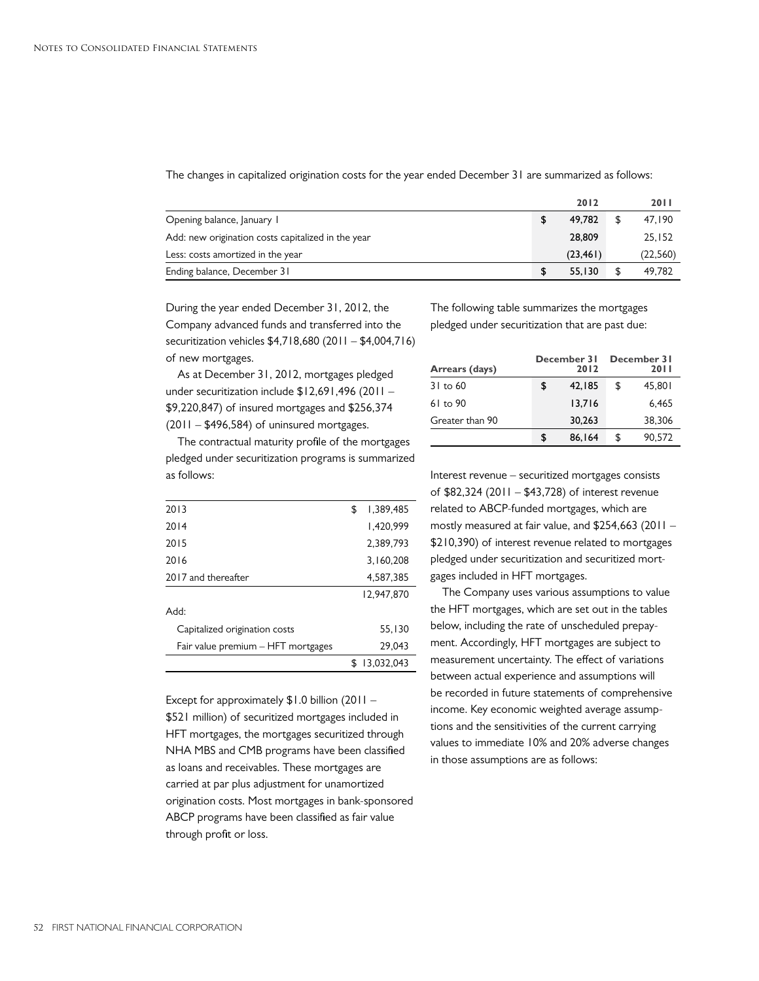|                                                    | 2012      | <b>2011</b>  |
|----------------------------------------------------|-----------|--------------|
| Opening balance, January 1                         | 49.782    | \$<br>47.190 |
| Add: new origination costs capitalized in the year | 28,809    | 25,152       |
| Less: costs amortized in the year                  | (23, 461) | (22, 560)    |
| Ending balance, December 31                        | 55.130    | 49.782       |

The changes in capitalized origination costs for the year ended December 31 are summarized as follows:

During the year ended December 31, 2012, the Company advanced funds and transferred into the securitization vehicles \$4,718,680 (2011 – \$4,004,716) of new mortgages.

As at December 31, 2012, mortgages pledged under securitization include \$12,691,496 (2011 – \$9,220,847) of insured mortgages and \$256,374 (2011 – \$496,584) of uninsured mortgages.

The contractual maturity profile of the mortgages pledged under securitization programs is summarized as follows:

| 2013                               | \$<br>1.389.485 |
|------------------------------------|-----------------|
| 2014                               | 1,420,999       |
| 2015                               | 2.389.793       |
| 2016                               | 3.160.208       |
| 2017 and thereafter                | 4,587,385       |
|                                    | 12,947,870      |
| Add:                               |                 |
| Capitalized origination costs      | 55.130          |
| Fair value premium - HFT mortgages | 29.043          |
|                                    | 13.032.043      |

Except for approximately \$1.0 billion (2011 – \$521 million) of securitized mortgages included in HFT mortgages, the mortgages securitized through NHA MBS and CMB programs have been classified as loans and receivables. These mortgages are carried at par plus adjustment for unamortized origination costs. Most mortgages in bank-sponsored ABCP programs have been classified as fair value through profit or loss.

The following table summarizes the mortgages pledged under securitization that are past due:

| Arrears (days)  | December 31<br>2012 | December 31<br>2011 |        |
|-----------------|---------------------|---------------------|--------|
| $31$ to 60      | \$<br>42,185        | \$                  | 45,801 |
| $61$ to $90$    | 13,716              |                     | 6,465  |
| Greater than 90 | 30.263              |                     | 38,306 |
|                 | \$<br>86,164        | \$                  | 90,572 |

Interest revenue – securitized mortgages consists of \$82,324 (2011 – \$43,728) of interest revenue related to ABCP-funded mortgages, which are mostly measured at fair value, and \$254,663 (2011 – \$210,390) of interest revenue related to mortgages pledged under securitization and securitized mortgages included in HFT mortgages.

The Company uses various assumptions to value the HFT mortgages, which are set out in the tables below, including the rate of unscheduled prepayment. Accordingly, HFT mortgages are subject to measurement uncertainty. The effect of variations between actual experience and assumptions will be recorded in future statements of comprehensive income. Key economic weighted average assumptions and the sensitivities of the current carrying values to immediate 10% and 20% adverse changes in those assumptions are as follows: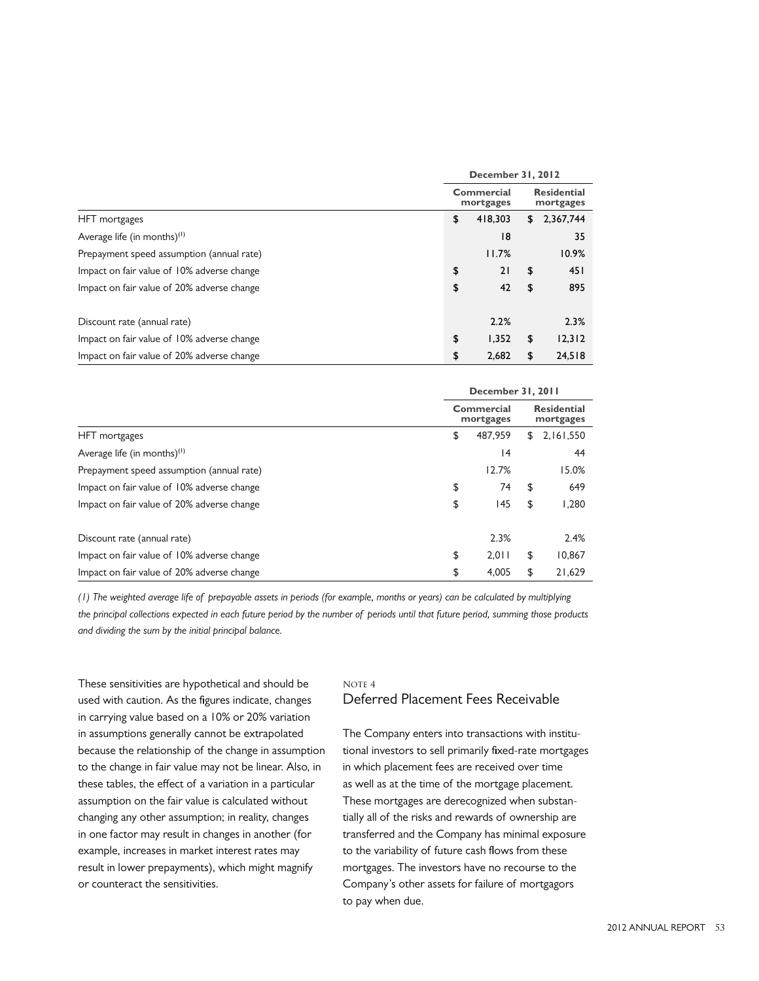|                                            |    | December 31, 2012       |                                 |           |  |  |  |
|--------------------------------------------|----|-------------------------|---------------------------------|-----------|--|--|--|
|                                            |    | Commercial<br>mortgages | <b>Residential</b><br>mortgages |           |  |  |  |
| HFT mortgages                              | \$ | 418,303                 | \$                              | 2,367,744 |  |  |  |
| Average life (in months) $(1)$             |    | 18                      |                                 | 35        |  |  |  |
| Prepayment speed assumption (annual rate)  |    | 11.7%                   |                                 | 10.9%     |  |  |  |
| Impact on fair value of 10% adverse change | \$ | 21                      | \$                              | 451       |  |  |  |
| Impact on fair value of 20% adverse change | \$ | 42                      | \$                              | 895       |  |  |  |
| Discount rate (annual rate)                |    | 2.2%                    |                                 | 2.3%      |  |  |  |
| Impact on fair value of 10% adverse change | \$ | 1,352                   | \$                              | 12,312    |  |  |  |
| Impact on fair value of 20% adverse change | \$ | 2.682                   | \$                              | 24.518    |  |  |  |

|                                            |                         | December 31, 2011     |                                 |           |  |  |  |  |  |
|--------------------------------------------|-------------------------|-----------------------|---------------------------------|-----------|--|--|--|--|--|
|                                            | Commercial<br>mortgages |                       | <b>Residential</b><br>mortgages |           |  |  |  |  |  |
| HFT mortgages                              | \$                      | 487,959               | \$                              | 2,161,550 |  |  |  |  |  |
| Average life (in months) $(1)$             |                         | 14                    |                                 | 44        |  |  |  |  |  |
| Prepayment speed assumption (annual rate)  |                         | 12.7%                 |                                 | 15.0%     |  |  |  |  |  |
| Impact on fair value of 10% adverse change | \$                      | 74                    | \$                              | 649       |  |  |  |  |  |
| Impact on fair value of 20% adverse change | \$                      | 145                   | \$                              | 1,280     |  |  |  |  |  |
| Discount rate (annual rate)                |                         | 2.3%                  |                                 | 2.4%      |  |  |  |  |  |
| Impact on fair value of 10% adverse change | \$                      | 2,011                 | \$                              | 10,867    |  |  |  |  |  |
| Impact on fair value of 20% adverse change | \$                      | \$<br>21,629<br>4.005 |                                 |           |  |  |  |  |  |

*(1) The weighted average life of prepayable assets in periods (for example, months or years) can be calculated by multiplying the principal collections expected in each future period by the number of periods until that future period, summing those products and dividing the sum by the initial principal balance.*

These sensitivities are hypothetical and should be used with caution. As the figures indicate, changes in carrying value based on a 10% or 20% variation in assumptions generally cannot be extrapolated because the relationship of the change in assumption to the change in fair value may not be linear. Also, in these tables, the effect of a variation in a particular assumption on the fair value is calculated without changing any other assumption; in reality, changes in one factor may result in changes in another (for example, increases in market interest rates may result in lower prepayments), which might magnify or counteract the sensitivities.

## NOTE<sub>4</sub>

## Deferred Placement Fees Receivable

The Company enters into transactions with institutional investors to sell primarily fixed-rate mortgages in which placement fees are received over time as well as at the time of the mortgage placement. These mortgages are derecognized when substantially all of the risks and rewards of ownership are transferred and the Company has minimal exposure to the variability of future cash flows from these mortgages. The investors have no recourse to the Company's other assets for failure of mortgagors to pay when due.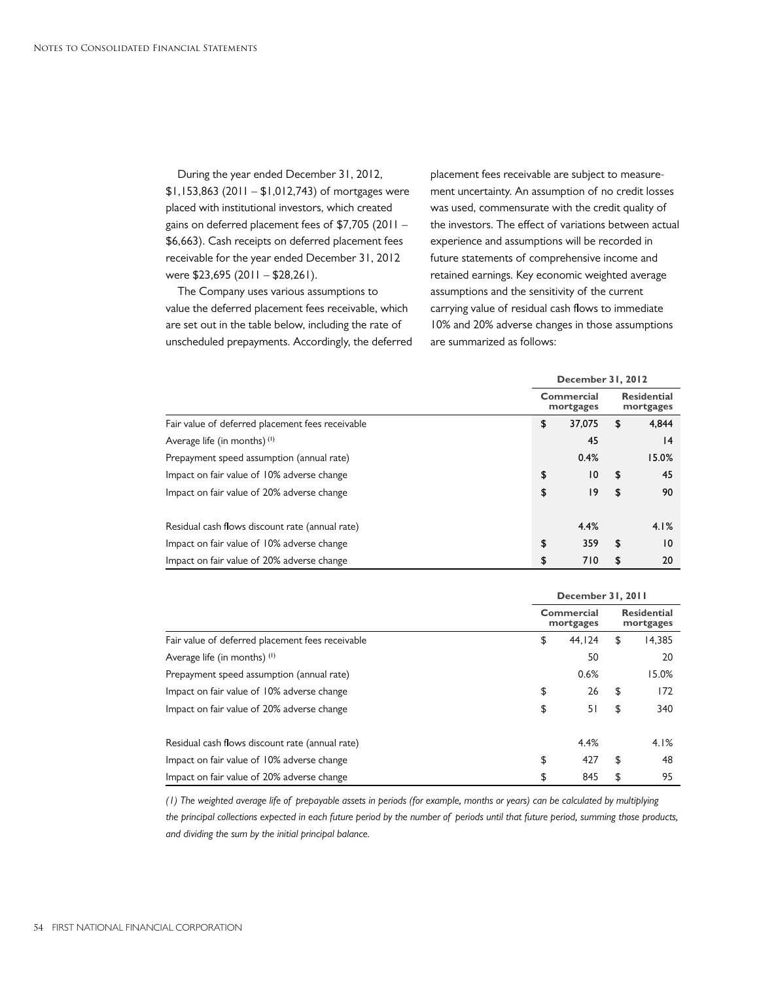During the year ended December 31, 2012, \$1,153,863 (2011 – \$1,012,743) of mortgages were placed with institutional investors, which created gains on deferred placement fees of \$7,705 (2011 – \$6,663). Cash receipts on deferred placement fees receivable for the year ended December 31, 2012 were \$23,695 (2011 – \$28,261).

The Company uses various assumptions to value the deferred placement fees receivable, which are set out in the table below, including the rate of unscheduled prepayments. Accordingly, the deferred placement fees receivable are subject to measurement uncertainty. An assumption of no credit losses was used, commensurate with the credit quality of the investors. The effect of variations between actual experience and assumptions will be recorded in future statements of comprehensive income and retained earnings. Key economic weighted average assumptions and the sensitivity of the current carrying value of residual cash flows to immediate 10% and 20% adverse changes in those assumptions are summarized as follows:

**December 31, 2012**

|                                                  | Commercial<br>mortgages |        |    | <b>Residential</b><br>mortgages |
|--------------------------------------------------|-------------------------|--------|----|---------------------------------|
| Fair value of deferred placement fees receivable | \$                      | 37,075 | \$ | 4,844                           |
| Average life (in months) $(1)$                   |                         | 45     |    | 4                               |
| Prepayment speed assumption (annual rate)        |                         | 0.4%   |    | 15.0%                           |
| Impact on fair value of 10% adverse change       | \$<br>10                |        |    | 45                              |
| Impact on fair value of 20% adverse change       |                         | 19     | \$ | 90                              |
| Residual cash flows discount rate (annual rate)  |                         | 4.4%   |    | 4.1%                            |
| Impact on fair value of 10% adverse change       | \$                      | 359    | \$ | $\overline{10}$                 |
| Impact on fair value of 20% adverse change       | \$                      | 710    | \$ | 20                              |

|                                                  | December 31, 2011              |    |        |  |  |  |  |  |
|--------------------------------------------------|--------------------------------|----|--------|--|--|--|--|--|
|                                                  | <b>Commercial</b><br>mortgages |    |        |  |  |  |  |  |
| Fair value of deferred placement fees receivable | \$<br>44.124                   | \$ | 14,385 |  |  |  |  |  |
| Average life (in months) $(1)$                   | 50                             |    | 20     |  |  |  |  |  |
| Prepayment speed assumption (annual rate)        | 0.6%                           |    | 15.0%  |  |  |  |  |  |
| Impact on fair value of 10% adverse change       | \$<br>26                       | \$ | 172    |  |  |  |  |  |
| Impact on fair value of 20% adverse change       | \$<br>51                       | \$ | 340    |  |  |  |  |  |
| Residual cash flows discount rate (annual rate)  | 4.4%                           |    | 4.1%   |  |  |  |  |  |
| Impact on fair value of 10% adverse change       | \$<br>427                      | \$ | 48     |  |  |  |  |  |
| Impact on fair value of 20% adverse change       | \$<br>845                      | \$ | 95     |  |  |  |  |  |

*(1) The weighted average life of prepayable assets in periods (for example, months or years) can be calculated by multiplying the principal collections expected in each future period by the number of periods until that future period, summing those products, and dividing the sum by the initial principal balance.*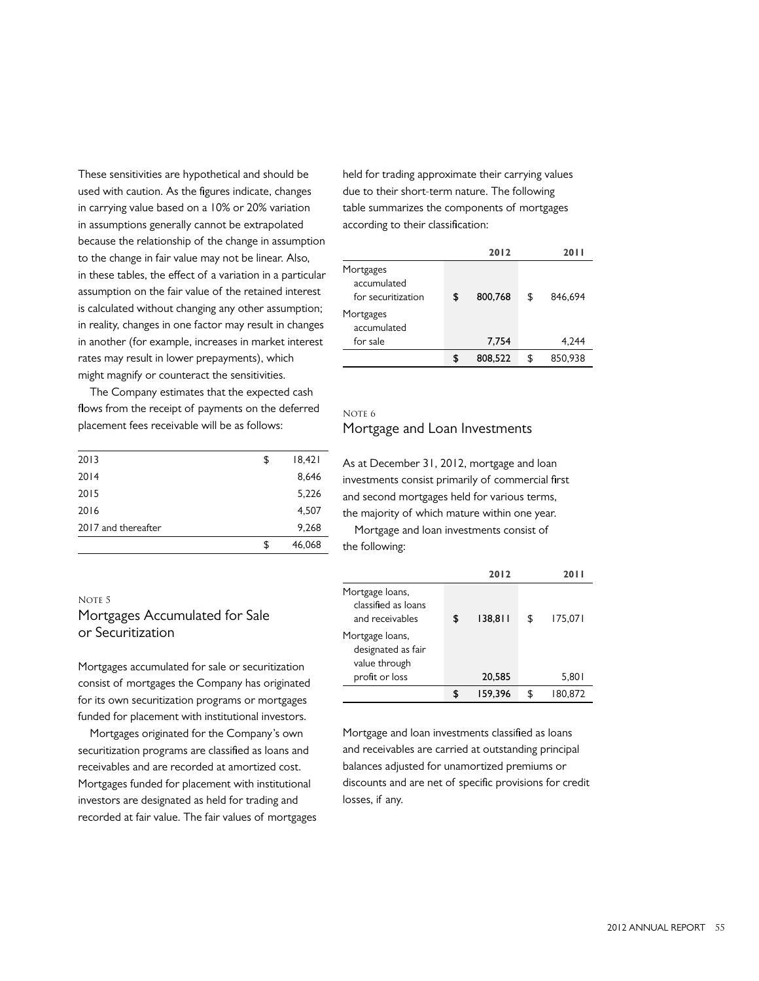These sensitivities are hypothetical and should be used with caution. As the figures indicate, changes in carrying value based on a 10% or 20% variation in assumptions generally cannot be extrapolated because the relationship of the change in assumption to the change in fair value may not be linear. Also, in these tables, the effect of a variation in a particular assumption on the fair value of the retained interest is calculated without changing any other assumption; in reality, changes in one factor may result in changes in another (for example, increases in market interest rates may result in lower prepayments), which might magnify or counteract the sensitivities.

The Company estimates that the expected cash flows from the receipt of payments on the deferred placement fees receivable will be as follows:

| 2013                | \$<br>18,421 |
|---------------------|--------------|
| 2014                | 8,646        |
| 2015                | 5,226        |
| 2016                | 4,507        |
| 2017 and thereafter | 9,268        |
|                     | \$<br>46,068 |

## Note 5 Mortgages Accumulated for Sale or Securitization

Mortgages accumulated for sale or securitization consist of mortgages the Company has originated for its own securitization programs or mortgages funded for placement with institutional investors.

Mortgages originated for the Company's own securitization programs are classified as loans and receivables and are recorded at amortized cost. Mortgages funded for placement with institutional investors are designated as held for trading and recorded at fair value. The fair values of mortgages held for trading approximate their carrying values due to their short-term nature. The following table summarizes the components of mortgages according to their classification:

|                                                | 2012          | 20 I I        |
|------------------------------------------------|---------------|---------------|
| Mortgages<br>accumulated<br>for securitization | \$<br>800,768 | \$<br>846.694 |
| Mortgages<br>accumulated                       |               |               |
| for sale                                       | 7,754         | 4,244         |
|                                                | \$<br>808,522 | \$<br>850.938 |

### Note 6

## Mortgage and Loan Investments

As at December 31, 2012, mortgage and loan investments consist primarily of commercial first and second mortgages held for various terms, the majority of which mature within one year. Mortgage and loan investments consist of the following:

|                                                           |   | 2012    | 20 L I        |
|-----------------------------------------------------------|---|---------|---------------|
| Mortgage Ioans,<br>classified as loans<br>and receivables | S | 138.811 | \$<br>175,071 |
| Mortgage loans,<br>designated as fair<br>value through    |   |         |               |
| profit or loss                                            |   | 20,585  | 5,801         |
|                                                           |   | 159.396 | \$<br>180.872 |

Mortgage and loan investments classified as loans and receivables are carried at outstanding principal balances adjusted for unamortized premiums or discounts and are net of specific provisions for credit losses, if any.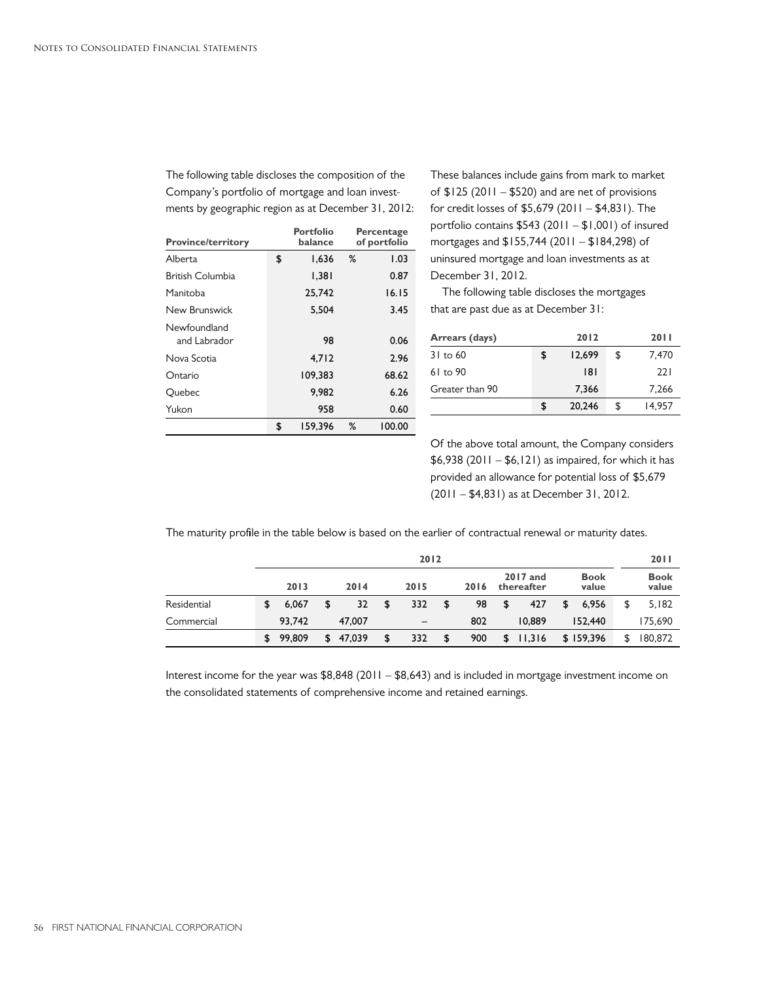The following table discloses the composition of the Company's portfolio of mortgage and loan investments by geographic region as at December 31, 2012:

| <b>Province/territory</b>    | <b>Portfolio</b><br>balance |   | <b>Percentage</b><br>of portfolio |
|------------------------------|-----------------------------|---|-----------------------------------|
| Alberta                      | \$<br>1,636                 | % | 1.03                              |
| <b>British Columbia</b>      | 1,381                       |   | 0.87                              |
| Manitoba                     | 25.742                      |   | 16.15                             |
| New Brunswick                | 5.504                       |   | 3.45                              |
| Newfoundland<br>and Labrador | 98                          |   | 0.06                              |
| Nova Scotia                  | 4,712                       |   | 2.96                              |
| Ontario                      | 109.383                     |   | 68.62                             |
| Quebec                       | 9.982                       |   | 6.26                              |
| Yukon                        | 958                         |   | 0.60                              |
|                              | \$<br>159.396               | % | 100.00                            |

These balances include gains from mark to market of  $$125 (2011 - $520)$  and are net of provisions for credit losses of \$5,679 (2011 – \$4,831). The portfolio contains \$543 (2011 – \$1,001) of insured mortgages and \$155,744 (2011 – \$184,298) of uninsured mortgage and loan investments as at December 31, 2012.

The following table discloses the mortgages that are past due as at December 31:

|    | 2012   |    | 20 I I |
|----|--------|----|--------|
| \$ | 12.699 | S  | 7.470  |
|    | 181    |    | 221    |
|    | 7.366  |    | 7.266  |
| £. | 20,246 | £. | 14.957 |
|    |        |    |        |

Of the above total amount, the Company considers \$6,938 (2011 – \$6,121) as impaired, for which it has provided an allowance for potential loss of \$5,679 (2011 – \$4,831) as at December 31, 2012.

The maturity profile in the table below is based on the earlier of contractual renewal or maturity dates.

|             | 2012 |        |   |          |              |                          |    |                        |    |                      |    |                      |    | 2011    |
|-------------|------|--------|---|----------|--------------|--------------------------|----|------------------------|----|----------------------|----|----------------------|----|---------|
|             |      | 2013   |   | 2014     | 2015<br>2016 |                          |    | 2017 and<br>thereafter |    | <b>Book</b><br>value |    | <b>Book</b><br>value |    |         |
| Residential | S.   | 6.067  | S | 32       | \$           | 332                      | \$ | 98                     | \$ | 427                  | \$ | 6.956                | \$ | 5,182   |
| Commercial  |      | 93.742 |   | 47,007   |              | $\overline{\phantom{m}}$ |    | 802                    |    | 10.889               |    | 152,440              |    | 175.690 |
|             | S.   | 99,809 |   | \$47,039 | \$           | 332                      | \$ | 900                    |    | \$11,316             |    | \$159,396            | S. | 180.872 |

Interest income for the year was \$8,848 (2011 – \$8,643) and is included in mortgage investment income on the consolidated statements of comprehensive income and retained earnings.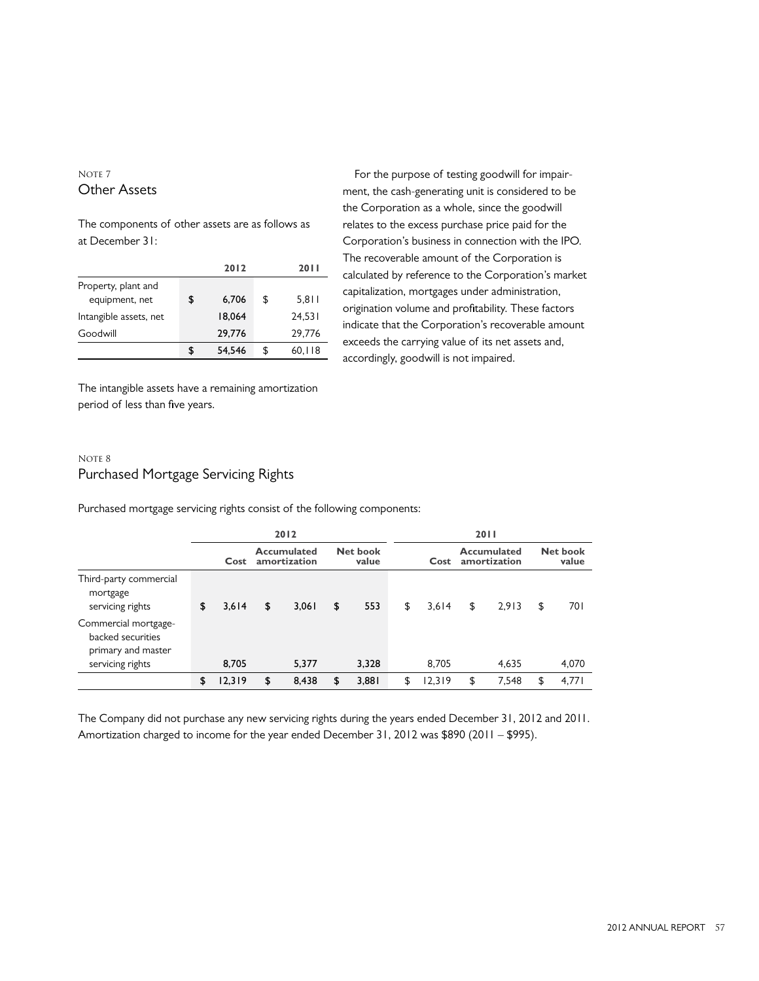## NOTE<sub>7</sub> Other Assets

The components of other assets are as follows as at December 31:

|                                       |    | 2012   | 20 I I       |
|---------------------------------------|----|--------|--------------|
| Property, plant and<br>equipment, net | \$ | 6.706  | \$<br>5,811  |
| Intangible assets, net                |    | 18.064 | 24,531       |
| Goodwill                              |    | 29,776 | 29,776       |
|                                       | S  | 54.546 | \$<br>60,118 |

The intangible assets have a remaining amortization period of less than five years.

## Note 8 Purchased Mortgage Servicing Rights

Purchased mortgage servicing rights consist of the following components:

|                                                                 | 2012 |        |    |                                                                |    |       |      |                                    | 2011        |                          |       |
|-----------------------------------------------------------------|------|--------|----|----------------------------------------------------------------|----|-------|------|------------------------------------|-------------|--------------------------|-------|
|                                                                 |      | Cost   |    | <b>Net book</b><br><b>Accumulated</b><br>amortization<br>value |    |       | Cost | <b>Accumulated</b><br>amortization |             | <b>Net book</b><br>value |       |
| Third-party commercial<br>mortgage<br>servicing rights          | \$   | 3,614  | \$ | 3,061                                                          | \$ | 553   | \$   | 3.614                              | \$<br>2.913 | \$                       | 701   |
| Commercial mortgage-<br>backed securities<br>primary and master |      |        |    |                                                                |    |       |      |                                    |             |                          |       |
| servicing rights                                                |      | 8,705  |    | 5,377                                                          |    | 3,328 |      | 8.705                              | 4,635       |                          | 4,070 |
|                                                                 | \$   | 12,319 | \$ | 8,438                                                          | \$ | 3,881 | \$   | 12.319                             | \$<br>7,548 | S                        | 4,771 |

The Company did not purchase any new servicing rights during the years ended December 31, 2012 and 2011. Amortization charged to income for the year ended December 31, 2012 was \$890 (2011 – \$995).

For the purpose of testing goodwill for impairment, the cash-generating unit is considered to be the Corporation as a whole, since the goodwill relates to the excess purchase price paid for the Corporation's business in connection with the IPO. The recoverable amount of the Corporation is calculated by reference to the Corporation's market capitalization, mortgages under administration, origination volume and profitability. These factors indicate that the Corporation's recoverable amount exceeds the carrying value of its net assets and, accordingly, goodwill is not impaired.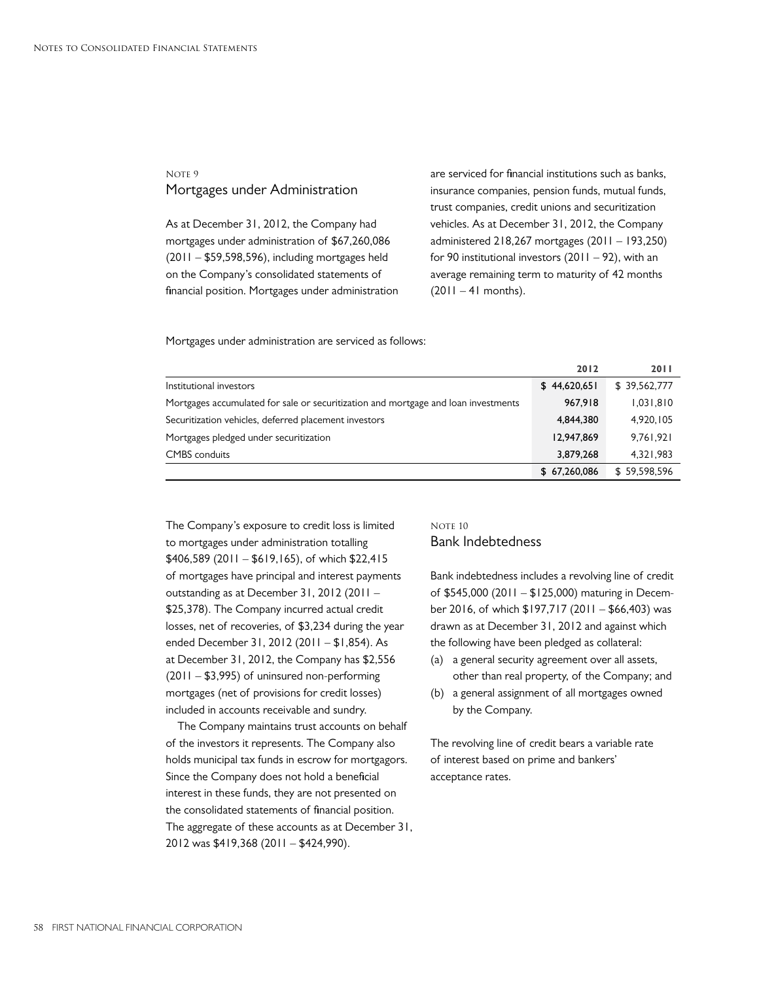## NOTE<sub>9</sub> Mortgages under Administration

As at December 31, 2012, the Company had mortgages under administration of \$67,260,086 (2011 – \$59,598,596), including mortgages held on the Company's consolidated statements of financial position. Mortgages under administration are serviced for financial institutions such as banks, insurance companies, pension funds, mutual funds, trust companies, credit unions and securitization vehicles. As at December 31, 2012, the Company administered 218,267 mortgages (2011 – 193,250) for 90 institutional investors  $(2011 - 92)$ , with an average remaining term to maturity of 42 months  $(2011 - 41$  months).

Mortgages under administration are serviced as follows:

|                                                                                    | 2012         | <b>2011</b>  |
|------------------------------------------------------------------------------------|--------------|--------------|
| Institutional investors                                                            | \$44,620,651 | \$39,562,777 |
| Mortgages accumulated for sale or securitization and mortgage and loan investments | 967.918      | 1,031,810    |
| Securitization vehicles, deferred placement investors                              | 4,844,380    | 4,920,105    |
| Mortgages pledged under securitization                                             | 12,947,869   | 9,761,921    |
| <b>CMBS</b> conduits                                                               | 3,879,268    | 4,321,983    |
|                                                                                    | \$67,260,086 | \$59,598,596 |

The Company's exposure to credit loss is limited to mortgages under administration totalling \$406,589 (2011 – \$619,165), of which \$22,415 of mortgages have principal and interest payments outstanding as at December 31, 2012 (2011 – \$25,378). The Company incurred actual credit losses, net of recoveries, of \$3,234 during the year ended December 31, 2012 (2011 – \$1,854). As at December 31, 2012, the Company has \$2,556 (2011 – \$3,995) of uninsured non-performing mortgages (net of provisions for credit losses) included in accounts receivable and sundry.

The Company maintains trust accounts on behalf of the investors it represents. The Company also holds municipal tax funds in escrow for mortgagors. Since the Company does not hold a beneficial interest in these funds, they are not presented on the consolidated statements of financial position. The aggregate of these accounts as at December 31, 2012 was \$419,368 (2011 – \$424,990).

## NOTE 10 Bank Indebtedness

Bank indebtedness includes a revolving line of credit of \$545,000 (2011 – \$125,000) maturing in December 2016, of which \$197,717 (2011 – \$66,403) was drawn as at December 31, 2012 and against which the following have been pledged as collateral:

- (a) a general security agreement over all assets, other than real property, of the Company; and
- (b) a general assignment of all mortgages owned by the Company.

The revolving line of credit bears a variable rate of interest based on prime and bankers' acceptance rates.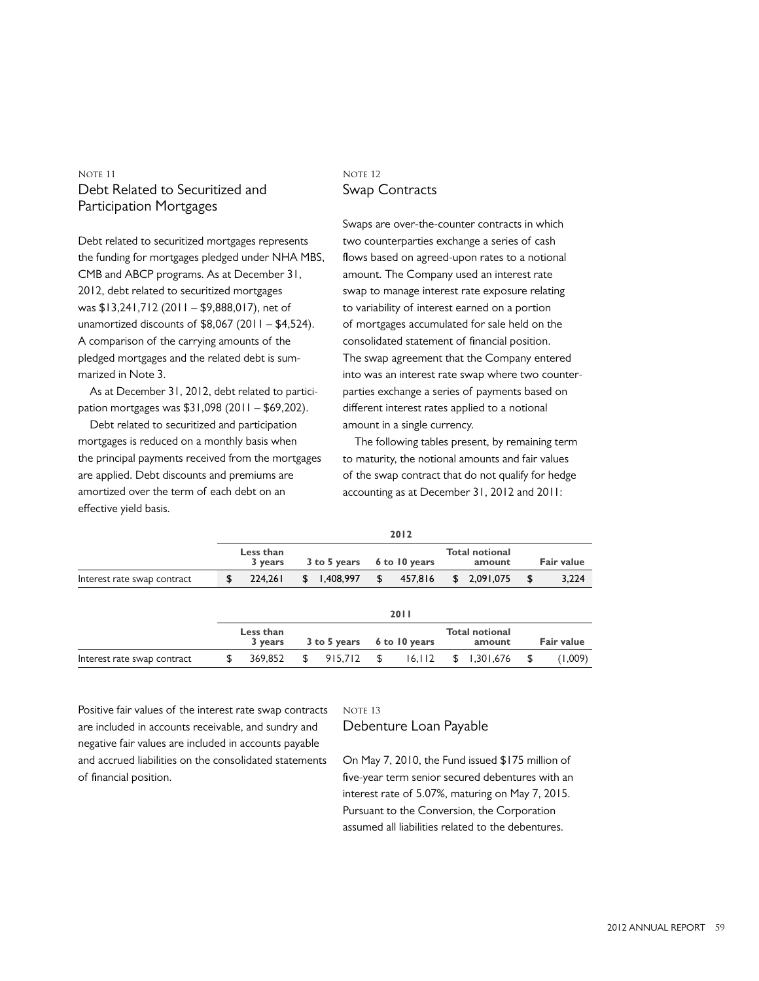## NOTE 11 Debt Related to Securitized and Participation Mortgages

Debt related to securitized mortgages represents the funding for mortgages pledged under NHA MBS, CMB and ABCP programs. As at December 31, 2012, debt related to securitized mortgages was \$13,241,712 (2011 – \$9,888,017), net of unamortized discounts of  $$8,067$  (2011 –  $$4,524$ ). A comparison of the carrying amounts of the pledged mortgages and the related debt is summarized in Note 3.

As at December 31, 2012, debt related to participation mortgages was \$31,098 (2011 – \$69,202).

Debt related to securitized and participation mortgages is reduced on a monthly basis when the principal payments received from the mortgages are applied. Debt discounts and premiums are amortized over the term of each debt on an effective yield basis.

## NOTE<sub>12</sub> Swap Contracts

Swaps are over-the-counter contracts in which two counterparties exchange a series of cash flows based on agreed-upon rates to a notional amount. The Company used an interest rate swap to manage interest rate exposure relating to variability of interest earned on a portion of mortgages accumulated for sale held on the consolidated statement of financial position. The swap agreement that the Company entered into was an interest rate swap where two counterparties exchange a series of payments based on different interest rates applied to a notional amount in a single currency.

The following tables present, by remaining term to maturity, the notional amounts and fair values of the swap contract that do not qualify for hedge accounting as at December 31, 2012 and 2011:

|                             |                      |                 | 2012          |                                 |                   |
|-----------------------------|----------------------|-----------------|---------------|---------------------------------|-------------------|
|                             | Less than<br>3 years | 3 to 5 years    | 6 to 10 years | <b>Total notional</b><br>amount | <b>Fair value</b> |
| Interest rate swap contract | \$<br>224.261        | \$<br>1,408,997 | \$<br>457.816 | \$<br>2,091,075                 | \$<br>3,224       |
|                             |                      |                 |               |                                 |                   |
|                             |                      |                 | 2011          |                                 |                   |
|                             | Less than<br>3 years | 3 to 5 years    | 6 to 10 years | <b>Total notional</b><br>amount | <b>Fair value</b> |

Interest rate swap contract \$ 369,852 \$ 915,712 \$ 16,112 \$ 1,301,676 \$ (1,009)

Positive fair values of the interest rate swap contracts are included in accounts receivable, and sundry and negative fair values are included in accounts payable and accrued liabilities on the consolidated statements of financial position.

## NOTE 13 Debenture Loan Payable

On May 7, 2010, the Fund issued \$175 million of five-year term senior secured debentures with an interest rate of 5.07%, maturing on May 7, 2015. Pursuant to the Conversion, the Corporation assumed all liabilities related to the debentures.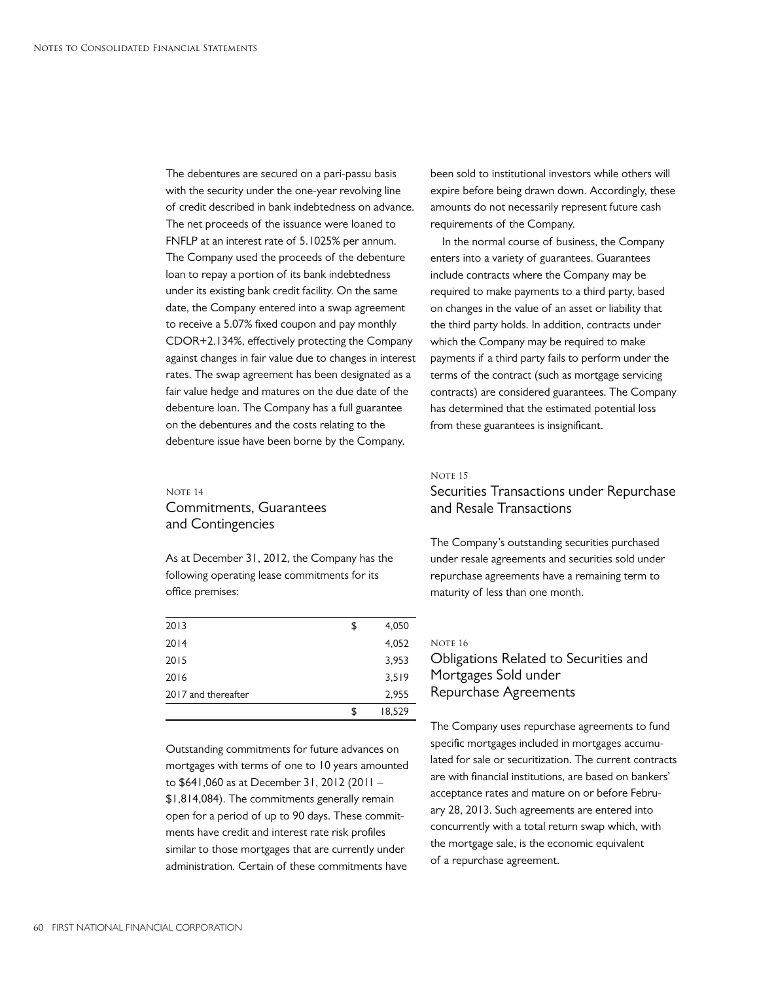The debentures are secured on a pari-passu basis with the security under the one-year revolving line of credit described in bank indebtedness on advance. The net proceeds of the issuance were loaned to FNFLP at an interest rate of 5.1025% per annum. The Company used the proceeds of the debenture loan to repay a portion of its bank indebtedness under its existing bank credit facility. On the same date, the Company entered into a swap agreement to receive a 5.07% fixed coupon and pay monthly CDOR+2.134%, effectively protecting the Company against changes in fair value due to changes in interest rates. The swap agreement has been designated as a fair value hedge and matures on the due date of the debenture loan. The Company has a full guarantee on the debentures and the costs relating to the debenture issue have been borne by the Company.

## NOTE<sub>14</sub> Commitments, Guarantees and Contingencies

As at December 31, 2012, the Company has the following operating lease commitments for its office premises:

| 2013                | \$<br>4,050  |
|---------------------|--------------|
| 2014                | 4,052        |
| 2015                | 3,953        |
| 2016                | 3,519        |
| 2017 and thereafter | 2,955        |
|                     | \$<br>18,529 |
|                     |              |

Outstanding commitments for future advances on mortgages with terms of one to 10 years amounted to \$641,060 as at December 31, 2012 (2011 – \$1,814,084). The commitments generally remain open for a period of up to 90 days. These commitments have credit and interest rate risk profiles similar to those mortgages that are currently under administration. Certain of these commitments have

been sold to institutional investors while others will expire before being drawn down. Accordingly, these amounts do not necessarily represent future cash requirements of the Company.

In the normal course of business, the Company enters into a variety of guarantees. Guarantees include contracts where the Company may be required to make payments to a third party, based on changes in the value of an asset or liability that the third party holds. In addition, contracts under which the Company may be required to make payments if a third party fails to perform under the terms of the contract (such as mortgage servicing contracts) are considered guarantees. The Company has determined that the estimated potential loss from these guarantees is insignificant.

#### Note 15

## Securities Transactions under Repurchase and Resale Transactions

The Company's outstanding securities purchased under resale agreements and securities sold under repurchase agreements have a remaining term to maturity of less than one month.

#### NOTE 16

## Obligations Related to Securities and Mortgages Sold under Repurchase Agreements

The Company uses repurchase agreements to fund specific mortgages included in mortgages accumulated for sale or securitization. The current contracts are with financial institutions, are based on bankers' acceptance rates and mature on or before February 28, 2013. Such agreements are entered into concurrently with a total return swap which, with the mortgage sale, is the economic equivalent of a repurchase agreement.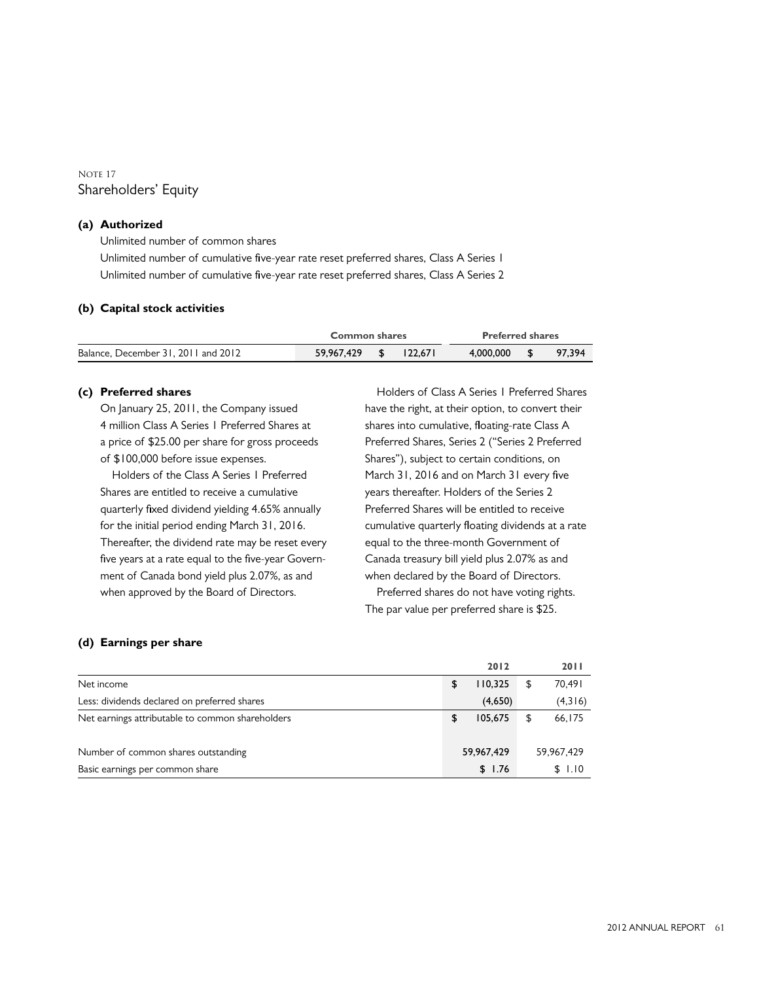## NOTE<sub>17</sub> Shareholders' Equity

## **(a) Authorized**

Unlimited number of common shares

Unlimited number of cumulative five-year rate reset preferred shares, Class A Series 1 Unlimited number of cumulative five-year rate reset preferred shares, Class A Series 2

## **(b) Capital stock activities**

|                                     | <b>Common shares</b>  |  | <b>Preferred shares</b> |  |        |  |  |
|-------------------------------------|-----------------------|--|-------------------------|--|--------|--|--|
| Balance, December 31, 2011 and 2012 | 59.967.429 \$ 122.671 |  | $4.000.000$ \$          |  | 97.394 |  |  |

## **(c) Preferred shares**

On January 25, 2011, the Company issued 4 million Class A Series 1 Preferred Shares at a price of \$25.00 per share for gross proceeds of \$100,000 before issue expenses.

Holders of the Class A Series 1 Preferred Shares are entitled to receive a cumulative quarterly fixed dividend yielding 4.65% annually for the initial period ending March 31, 2016. Thereafter, the dividend rate may be reset every five years at a rate equal to the five-year Government of Canada bond yield plus 2.07%, as and when approved by the Board of Directors.

Holders of Class A Series 1 Preferred Shares have the right, at their option, to convert their shares into cumulative, floating-rate Class A Preferred Shares, Series 2 ("Series 2 Preferred Shares"), subject to certain conditions, on March 31, 2016 and on March 31 every five years thereafter. Holders of the Series 2 Preferred Shares will be entitled to receive cumulative quarterly floating dividends at a rate equal to the three-month Government of Canada treasury bill yield plus 2.07% as and when declared by the Board of Directors.

Preferred shares do not have voting rights. The par value per preferred share is \$25.

## **(d) Earnings per share**

|                                                  | 2012       | 2011         |
|--------------------------------------------------|------------|--------------|
| Net income                                       | 110.325    | \$<br>70,491 |
| Less: dividends declared on preferred shares     | (4,650)    | (4,316)      |
| Net earnings attributable to common shareholders | 105.675    | \$<br>66,175 |
| Number of common shares outstanding              | 59,967,429 | 59,967,429   |
| Basic earnings per common share                  | \$1.76     | \$1.10       |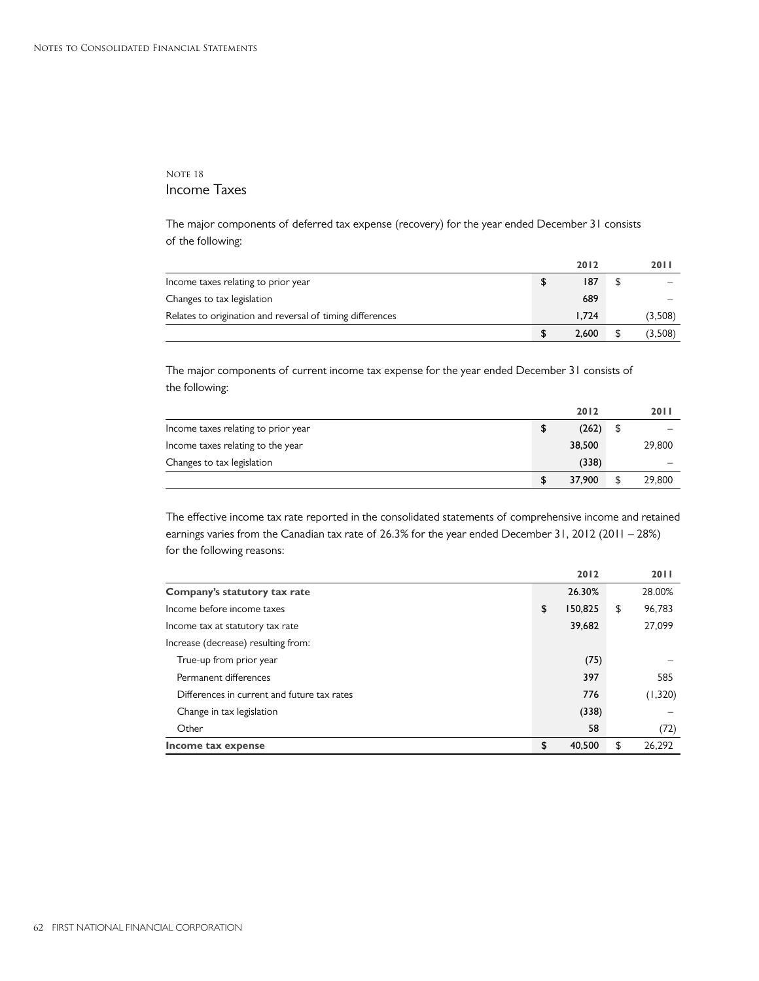## NOTE 18 Income Taxes

The major components of deferred tax expense (recovery) for the year ended December 31 consists of the following:

|                                                           | 2012  | 20 I I  |
|-----------------------------------------------------------|-------|---------|
| Income taxes relating to prior year                       | 187   | \$      |
| Changes to tax legislation                                | 689   |         |
| Relates to origination and reversal of timing differences | 1.724 | (3,508) |
|                                                           | 2,600 | (3,508) |

The major components of current income tax expense for the year ended December 31 consists of the following:

|                                     | 2012   |     | <b>2011</b> |
|-------------------------------------|--------|-----|-------------|
| Income taxes relating to prior year | (262)  | -\$ |             |
| Income taxes relating to the year   | 38,500 |     | 29,800      |
| Changes to tax legislation          | (338)  |     |             |
|                                     | 37,900 | \$  | 29,800      |

The effective income tax rate reported in the consolidated statements of comprehensive income and retained earnings varies from the Canadian tax rate of 26.3% for the year ended December 31, 2012 (2011 – 28%) for the following reasons:

|                                             | 2012          | 2011         |
|---------------------------------------------|---------------|--------------|
| Company's statutory tax rate                | 26.30%        | 28.00%       |
| Income before income taxes                  | \$<br>150,825 | \$<br>96,783 |
| Income tax at statutory tax rate            | 39,682        | 27.099       |
| Increase (decrease) resulting from:         |               |              |
| True-up from prior year                     | (75)          |              |
| Permanent differences                       | 397           | 585          |
| Differences in current and future tax rates | 776           | (1,320)      |
| Change in tax legislation                   | (338)         |              |
| Other                                       | 58            | (72)         |
| Income tax expense                          | \$<br>40,500  | \$<br>26.292 |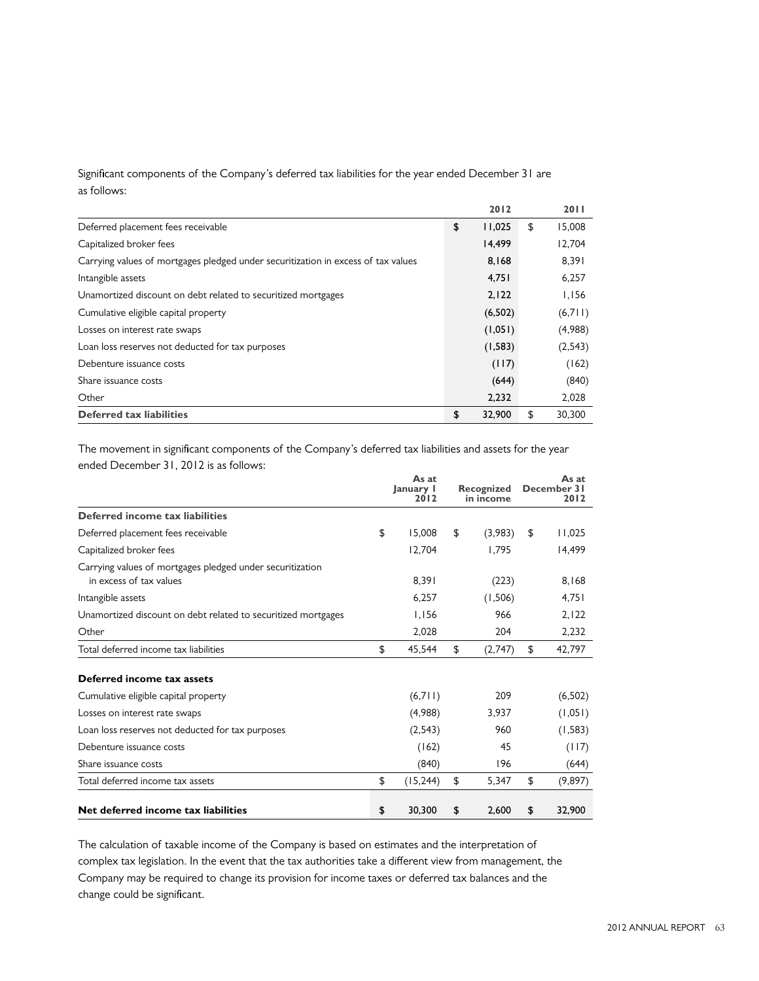Significant components of the Company's deferred tax liabilities for the year ended December 31 are as follows:

|                                                                                   |                           | 2012     | <b>2011</b>  |
|-----------------------------------------------------------------------------------|---------------------------|----------|--------------|
| Deferred placement fees receivable                                                | $\boldsymbol{\mathsf{s}}$ | 11,025   | \$<br>15,008 |
| Capitalized broker fees                                                           |                           | 14,499   | 12,704       |
| Carrying values of mortgages pledged under securitization in excess of tax values |                           | 8,168    | 8,391        |
| Intangible assets                                                                 |                           | 4,751    | 6,257        |
| Unamortized discount on debt related to securitized mortgages                     |                           | 2,122    | 1,156        |
| Cumulative eligible capital property                                              |                           | (6, 502) | (6,711)      |
| Losses on interest rate swaps                                                     |                           | (1,051)  | (4,988)      |
| Loan loss reserves not deducted for tax purposes                                  |                           | (1, 583) | (2, 543)     |
| Debenture issuance costs                                                          |                           | (117)    | (162)        |
| Share issuance costs                                                              |                           | (644)    | (840)        |
| Other                                                                             |                           | 2,232    | 2,028        |
| <b>Deferred tax liabilities</b>                                                   | \$                        | 32,900   | \$<br>30,300 |

The movement in significant components of the Company's deferred tax liabilities and assets for the year ended December 31, 2012 is as follows:

|                                                                                      | As at<br>January I<br>2012 | Recognized<br>in income |         | As at<br>December 31<br>2012 |
|--------------------------------------------------------------------------------------|----------------------------|-------------------------|---------|------------------------------|
| Deferred income tax liabilities                                                      |                            |                         |         |                              |
| Deferred placement fees receivable                                                   | \$<br>15.008               | \$                      | (3,983) | \$<br>11,025                 |
| Capitalized broker fees                                                              | 12.704                     |                         | 1.795   | 14.499                       |
| Carrying values of mortgages pledged under securitization<br>in excess of tax values | 8,391                      |                         | (223)   | 8,168                        |
| Intangible assets                                                                    | 6,257                      |                         | (1,506) | 4.751                        |
| Unamortized discount on debt related to securitized mortgages                        | 1.156                      |                         | 966     | 2,122                        |
| Other                                                                                | 2,028                      |                         | 204     | 2,232                        |
| Total deferred income tax liabilities                                                | \$<br>45,544               | \$                      | (2,747) | \$<br>42,797                 |
| Deferred income tax assets                                                           |                            |                         |         |                              |
| Cumulative eligible capital property                                                 | (6,711)                    |                         | 209     | (6, 502)                     |
| Losses on interest rate swaps                                                        | (4,988)                    |                         | 3,937   | (1,051)                      |
| Loan loss reserves not deducted for tax purposes                                     | (2, 543)                   |                         | 960     | (1, 583)                     |
| Debenture issuance costs                                                             | (162)                      |                         | 45      | (117)                        |
| Share issuance costs                                                                 | (840)                      |                         | 196     | (644)                        |
| Total deferred income tax assets                                                     | \$<br>(15, 244)            | \$                      | 5,347   | \$<br>(9,897)                |
| Net deferred income tax liabilities                                                  | \$<br>30,300               | \$                      | 2,600   | \$<br>32,900                 |

The calculation of taxable income of the Company is based on estimates and the interpretation of complex tax legislation. In the event that the tax authorities take a different view from management, the Company may be required to change its provision for income taxes or deferred tax balances and the change could be significant.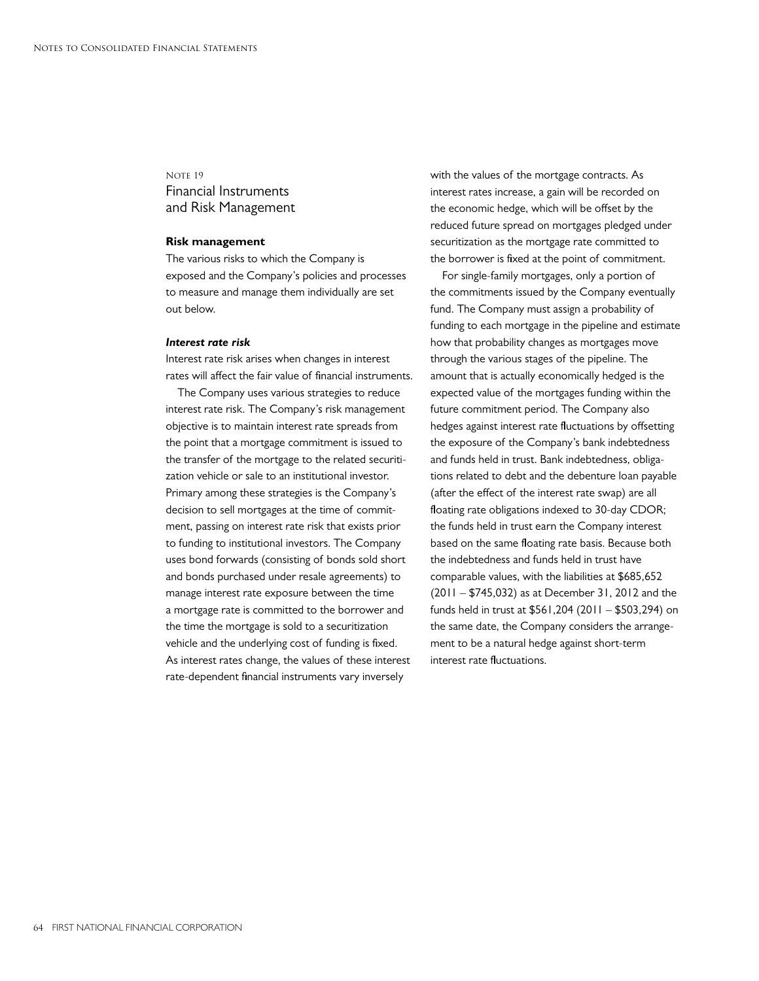## NOTE 19 Financial Instruments and Risk Management

#### **Risk management**

The various risks to which the Company is exposed and the Company's policies and processes to measure and manage them individually are set out below.

#### *Interest rate risk*

Interest rate risk arises when changes in interest rates will affect the fair value of financial instruments.

The Company uses various strategies to reduce interest rate risk. The Company's risk management objective is to maintain interest rate spreads from the point that a mortgage commitment is issued to the transfer of the mortgage to the related securitization vehicle or sale to an institutional investor. Primary among these strategies is the Company's decision to sell mortgages at the time of commitment, passing on interest rate risk that exists prior to funding to institutional investors. The Company uses bond forwards (consisting of bonds sold short and bonds purchased under resale agreements) to manage interest rate exposure between the time a mortgage rate is committed to the borrower and the time the mortgage is sold to a securitization vehicle and the underlying cost of funding is fixed. As interest rates change, the values of these interest rate-dependent financial instruments vary inversely

with the values of the mortgage contracts. As interest rates increase, a gain will be recorded on the economic hedge, which will be offset by the reduced future spread on mortgages pledged under securitization as the mortgage rate committed to the borrower is fixed at the point of commitment.

For single-family mortgages, only a portion of the commitments issued by the Company eventually fund. The Company must assign a probability of funding to each mortgage in the pipeline and estimate how that probability changes as mortgages move through the various stages of the pipeline. The amount that is actually economically hedged is the expected value of the mortgages funding within the future commitment period. The Company also hedges against interest rate fluctuations by offsetting the exposure of the Company's bank indebtedness and funds held in trust. Bank indebtedness, obligations related to debt and the debenture loan payable (after the effect of the interest rate swap) are all floating rate obligations indexed to 30-day CDOR; the funds held in trust earn the Company interest based on the same floating rate basis. Because both the indebtedness and funds held in trust have comparable values, with the liabilities at \$685,652 (2011 – \$745,032) as at December 31, 2012 and the funds held in trust at \$561,204 (2011 – \$503,294) on the same date, the Company considers the arrangement to be a natural hedge against short-term interest rate fluctuations.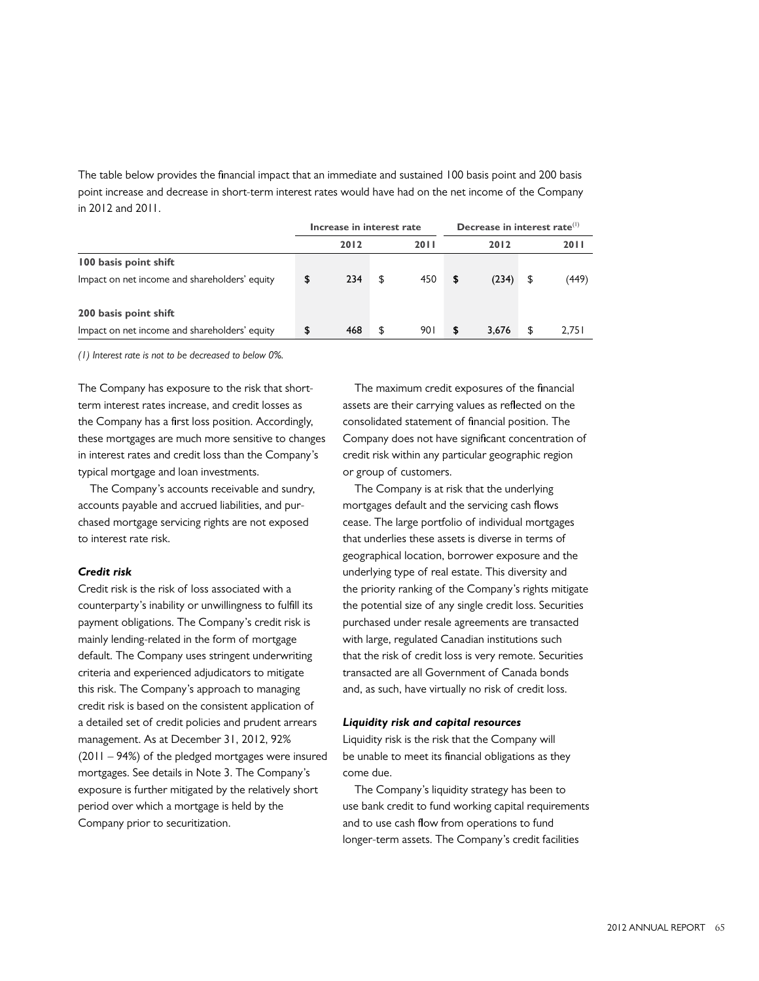The table below provides the financial impact that an immediate and sustained 100 basis point and 200 basis point increase and decrease in short-term interest rates would have had on the net income of the Company in 2012 and 2011.

|                                               | Increase in interest rate |      |    |      | Decrease in interest rate <sup>(1)</sup> |       |    |             |
|-----------------------------------------------|---------------------------|------|----|------|------------------------------------------|-------|----|-------------|
|                                               |                           | 2012 |    | 2011 |                                          | 2012  |    | <b>2011</b> |
| 100 basis point shift                         |                           |      |    |      |                                          |       |    |             |
| Impact on net income and shareholders' equity | \$                        | 234  | \$ | 450  | \$                                       | (234) | \$ | (449)       |
| 200 basis point shift                         |                           |      |    |      |                                          |       |    |             |
| Impact on net income and shareholders' equity | \$                        | 468  | \$ | 901  | S                                        | 3.676 | \$ | 2.751       |

*(1) Interest rate is not to be decreased to below 0%.*

The Company has exposure to the risk that shortterm interest rates increase, and credit losses as the Company has a first loss position. Accordingly, these mortgages are much more sensitive to changes in interest rates and credit loss than the Company's typical mortgage and loan investments.

The Company's accounts receivable and sundry, accounts payable and accrued liabilities, and purchased mortgage servicing rights are not exposed to interest rate risk.

## *Credit risk*

Credit risk is the risk of loss associated with a counterparty's inability or unwillingness to fulfill its payment obligations. The Company's credit risk is mainly lending-related in the form of mortgage default. The Company uses stringent underwriting criteria and experienced adjudicators to mitigate this risk. The Company's approach to managing credit risk is based on the consistent application of a detailed set of credit policies and prudent arrears management. As at December 31, 2012, 92% (2011 – 94%) of the pledged mortgages were insured mortgages. See details in Note 3. The Company's exposure is further mitigated by the relatively short period over which a mortgage is held by the Company prior to securitization.

The maximum credit exposures of the financial assets are their carrying values as reflected on the consolidated statement of financial position. The Company does not have significant concentration of credit risk within any particular geographic region or group of customers.

The Company is at risk that the underlying mortgages default and the servicing cash flows cease. The large portfolio of individual mortgages that underlies these assets is diverse in terms of geographical location, borrower exposure and the underlying type of real estate. This diversity and the priority ranking of the Company's rights mitigate the potential size of any single credit loss. Securities purchased under resale agreements are transacted with large, regulated Canadian institutions such that the risk of credit loss is very remote. Securities transacted are all Government of Canada bonds and, as such, have virtually no risk of credit loss.

#### *Liquidity risk and capital resources*

Liquidity risk is the risk that the Company will be unable to meet its financial obligations as they come due.

The Company's liquidity strategy has been to use bank credit to fund working capital requirements and to use cash flow from operations to fund longer-term assets. The Company's credit facilities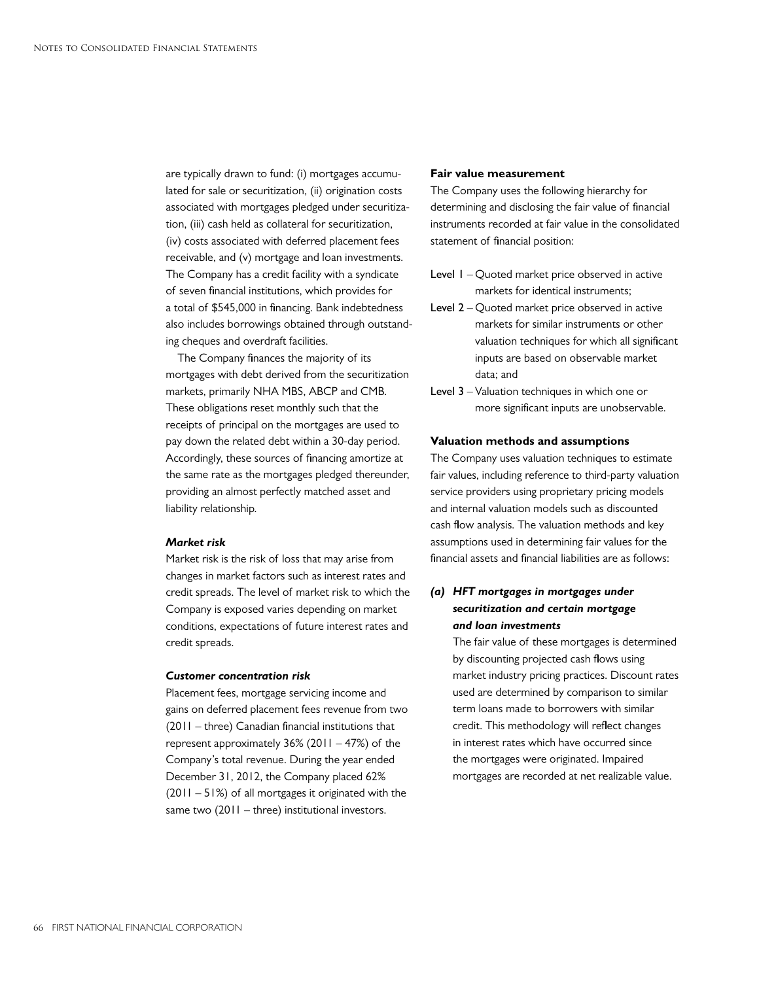are typically drawn to fund: (i) mortgages accumulated for sale or securitization, (ii) origination costs associated with mortgages pledged under securitization, (iii) cash held as collateral for securitization, (iv) costs associated with deferred placement fees receivable, and (v) mortgage and loan investments. The Company has a credit facility with a syndicate of seven financial institutions, which provides for a total of \$545,000 in financing. Bank indebtedness also includes borrowings obtained through outstanding cheques and overdraft facilities.

The Company finances the majority of its mortgages with debt derived from the securitization markets, primarily NHA MBS, ABCP and CMB. These obligations reset monthly such that the receipts of principal on the mortgages are used to pay down the related debt within a 30-day period. Accordingly, these sources of financing amortize at the same rate as the mortgages pledged thereunder, providing an almost perfectly matched asset and liability relationship.

#### *Market risk*

Market risk is the risk of loss that may arise from changes in market factors such as interest rates and credit spreads. The level of market risk to which the Company is exposed varies depending on market conditions, expectations of future interest rates and credit spreads.

#### *Customer concentration risk*

Placement fees, mortgage servicing income and gains on deferred placement fees revenue from two (2011 – three) Canadian financial institutions that represent approximately 36% (2011 – 47%) of the Company's total revenue. During the year ended December 31, 2012, the Company placed 62% (2011 – 51%) of all mortgages it originated with the same two  $(2011 -$  three) institutional investors.

#### **Fair value measurement**

The Company uses the following hierarchy for determining and disclosing the fair value of financial instruments recorded at fair value in the consolidated statement of financial position:

- Level 1 Quoted market price observed in active markets for identical instruments;
- Level 2 Quoted market price observed in active markets for similar instruments or other valuation techniques for which all significant inputs are based on observable market data; and
- Level 3 Valuation techniques in which one or more significant inputs are unobservable.

#### **Valuation methods and assumptions**

The Company uses valuation techniques to estimate fair values, including reference to third-party valuation service providers using proprietary pricing models and internal valuation models such as discounted cash flow analysis. The valuation methods and key assumptions used in determining fair values for the financial assets and financial liabilities are as follows:

## *(a) HFT mortgages in mortgages under securitization and certain mortgage and loan investments*

The fair value of these mortgages is determined by discounting projected cash flows using market industry pricing practices. Discount rates used are determined by comparison to similar term loans made to borrowers with similar credit. This methodology will reflect changes in interest rates which have occurred since the mortgages were originated. Impaired mortgages are recorded at net realizable value.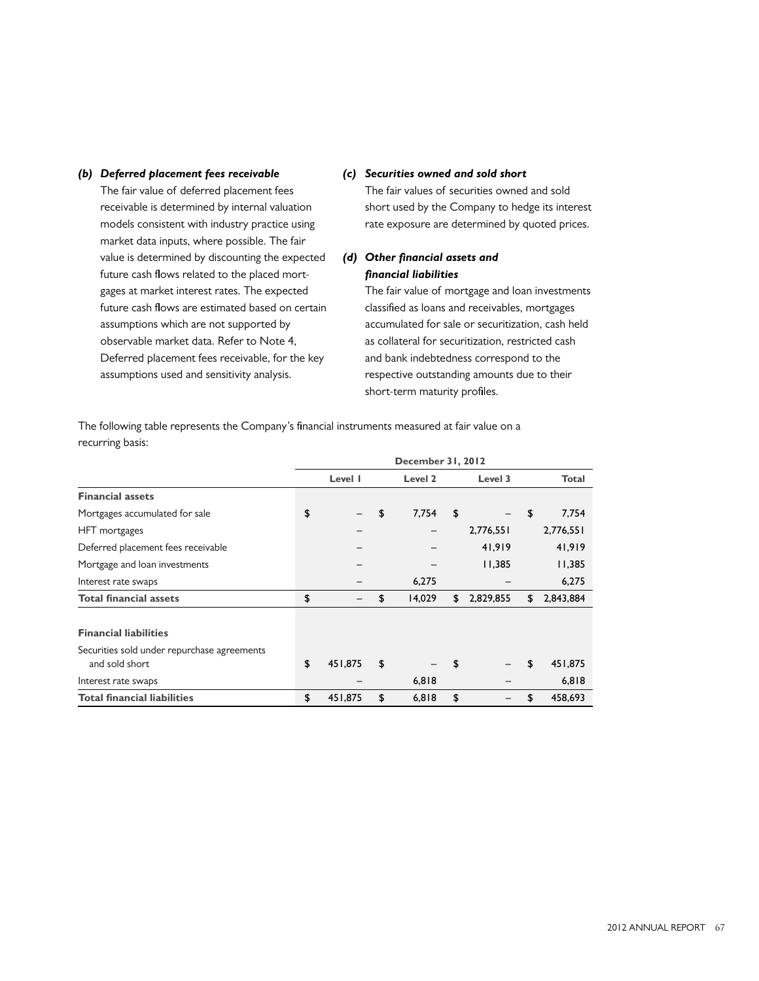## *(b) Deferred placement fees receivable*

The fair value of deferred placement fees receivable is determined by internal valuation models consistent with industry practice using market data inputs, where possible. The fair value is determined by discounting the expected future cash flows related to the placed mortgages at market interest rates. The expected future cash flows are estimated based on certain assumptions which are not supported by observable market data. Refer to Note 4, Deferred placement fees receivable, for the key assumptions used and sensitivity analysis.

#### *(c) Securities owned and sold short*

The fair values of securities owned and sold short used by the Company to hedge its interest rate exposure are determined by quoted prices.

## *(d) Other financial assets and financial liabilities*

The fair value of mortgage and loan investments classified as loans and receivables, mortgages accumulated for sale or securitization, cash held as collateral for securitization, restricted cash and bank indebtedness correspond to the respective outstanding amounts due to their short-term maturity profiles.

The following table represents the Company's financial instruments measured at fair value on a recurring basis:

|                                                               | December 31, 2012 |         |    |         |    |           |            |           |
|---------------------------------------------------------------|-------------------|---------|----|---------|----|-----------|------------|-----------|
|                                                               |                   | Level I |    | Level 2 |    | Level 3   |            | Total     |
| <b>Financial assets</b>                                       |                   |         |    |         |    |           |            |           |
| Mortgages accumulated for sale                                | \$                |         | \$ | 7.754   | \$ |           | $\sqrt{3}$ | 7,754     |
| HFT mortgages                                                 |                   |         |    |         |    | 2,776,551 |            | 2,776,551 |
| Deferred placement fees receivable                            |                   |         |    |         |    | 41,919    |            | 41,919    |
| Mortgage and loan investments                                 |                   |         |    |         |    | 11,385    |            | 11,385    |
| Interest rate swaps                                           |                   |         |    | 6,275   |    |           |            | 6,275     |
| <b>Total financial assets</b>                                 | \$                |         | \$ | 14,029  | \$ | 2,829,855 | \$         | 2,843,884 |
| <b>Financial liabilities</b>                                  |                   |         |    |         |    |           |            |           |
| Securities sold under repurchase agreements<br>and sold short | \$                | 451,875 | \$ |         | \$ |           | \$         | 451,875   |
| Interest rate swaps                                           |                   |         |    | 6,818   |    |           |            | 6,818     |
| <b>Total financial liabilities</b>                            | \$                | 451,875 | \$ | 6,818   | \$ |           | \$         | 458,693   |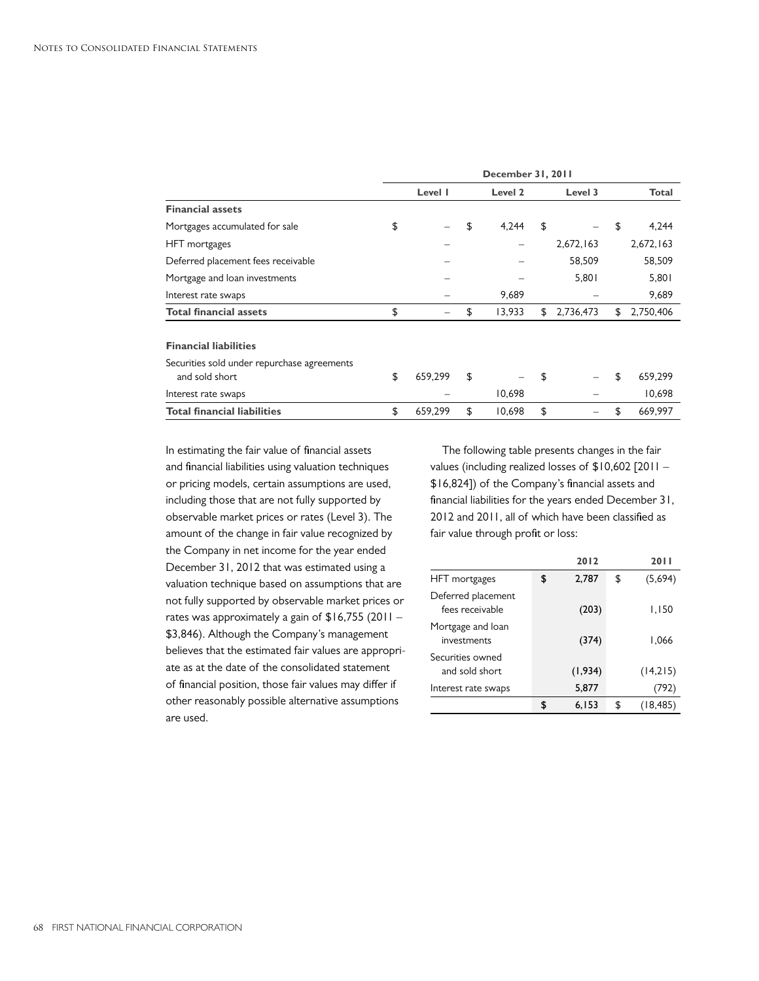|                                                               | December 31, 2011 |         |    |         |    |           |    |              |
|---------------------------------------------------------------|-------------------|---------|----|---------|----|-----------|----|--------------|
|                                                               |                   | Level I |    | Level 2 |    | Level 3   |    | <b>Total</b> |
| <b>Financial assets</b>                                       |                   |         |    |         |    |           |    |              |
| Mortgages accumulated for sale                                | \$                |         | \$ | 4,244   | \$ |           | \$ | 4,244        |
| HFT mortgages                                                 |                   |         |    |         |    | 2,672,163 |    | 2,672,163    |
| Deferred placement fees receivable                            |                   |         |    |         |    | 58,509    |    | 58,509       |
| Mortgage and loan investments                                 |                   |         |    |         |    | 5,801     |    | 5,801        |
| Interest rate swaps                                           |                   |         |    | 9,689   |    |           |    | 9,689        |
| <b>Total financial assets</b>                                 | \$                |         | \$ | 13,933  | \$ | 2,736,473 | \$ | 2,750,406    |
| <b>Financial liabilities</b>                                  |                   |         |    |         |    |           |    |              |
| Securities sold under repurchase agreements<br>and sold short | \$                | 659,299 | \$ |         | \$ |           | \$ | 659,299      |
| Interest rate swaps                                           |                   |         |    | 10,698  |    |           |    | 10,698       |
| <b>Total financial liabilities</b>                            | \$                | 659,299 | \$ | 10,698  | \$ |           | \$ | 669,997      |
|                                                               |                   |         |    |         |    |           |    |              |

In estimating the fair value of financial assets and financial liabilities using valuation techniques or pricing models, certain assumptions are used, including those that are not fully supported by observable market prices or rates (Level 3). The amount of the change in fair value recognized by the Company in net income for the year ended December 31, 2012 that was estimated using a valuation technique based on assumptions that are not fully supported by observable market prices or rates was approximately a gain of \$16,755 (2011 – \$3,846). Although the Company's management believes that the estimated fair values are appropriate as at the date of the consolidated statement of financial position, those fair values may differ if other reasonably possible alternative assumptions are used.

The following table presents changes in the fair values (including realized losses of \$10,602 [2011 – \$16,824]) of the Company's financial assets and financial liabilities for the years ended December 31, 2012 and 2011, all of which have been classified as fair value through profit or loss:

|                                       |    | 2012     | 2011            |
|---------------------------------------|----|----------|-----------------|
| HFT mortgages                         | \$ | 2,787    | \$<br>(5,694)   |
| Deferred placement<br>fees receivable |    | (203)    | I, I50          |
| Mortgage and loan<br>investments      |    | (374)    | 1,066           |
| Securities owned<br>and sold short    |    | (1, 934) | (14,215)        |
| Interest rate swaps                   |    | 5,877    | (792)           |
|                                       | £  | 6.153    | \$<br>(18, 485) |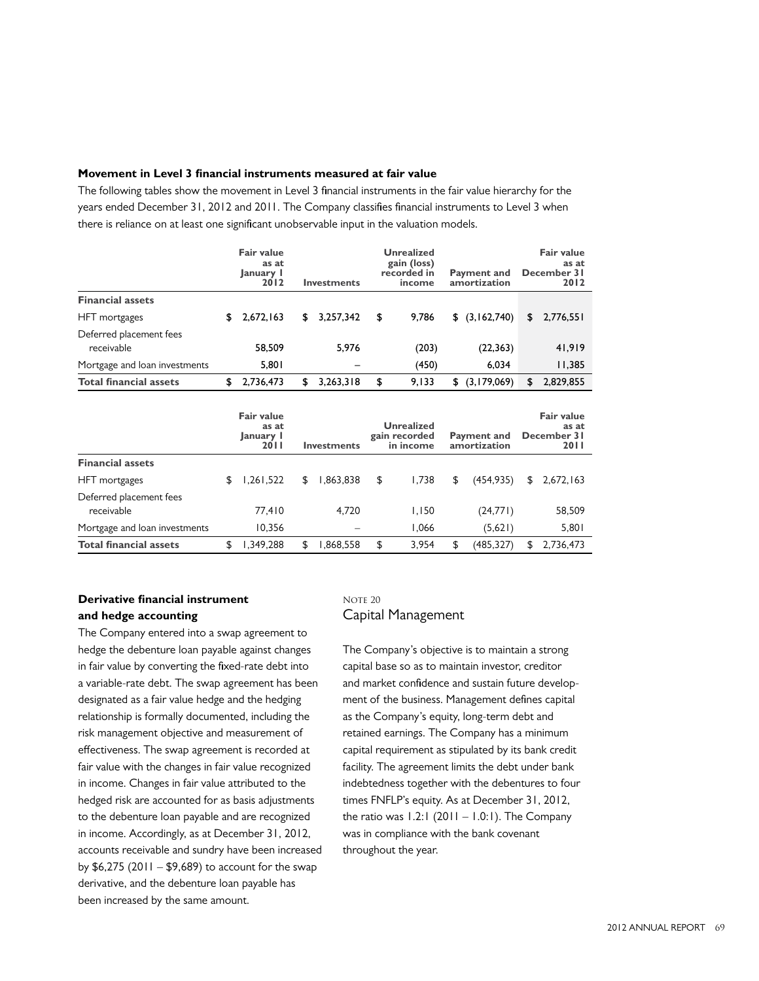#### **Movement in Level 3 financial instruments measured at fair value**

The following tables show the movement in Level 3 financial instruments in the fair value hierarchy for the years ended December 31, 2012 and 2011. The Company classifies financial instruments to Level 3 when there is reliance on at least one significant unobservable input in the valuation models.

|                                       | <b>Fair value</b><br>as at<br>January I<br>2012 | <b>Investments</b> | <b>Unrealized</b><br>gain (loss)<br>recorded in<br>income |       | Payment and<br>amortization | <b>Fair value</b><br>as at<br>December 31<br>2012 |  |
|---------------------------------------|-------------------------------------------------|--------------------|-----------------------------------------------------------|-------|-----------------------------|---------------------------------------------------|--|
| <b>Financial assets</b>               |                                                 |                    |                                                           |       |                             |                                                   |  |
| HFT mortgages                         | \$<br>2,672,163                                 | \$<br>3.257.342    | \$                                                        | 9.786 | \$ (3,162,740)              | 2,776,551<br>\$                                   |  |
| Deferred placement fees<br>receivable | 58,509                                          | 5.976              |                                                           | (203) | (22, 363)                   | 41,919                                            |  |
| Mortgage and loan investments         | 5,801                                           |                    |                                                           | (450) | 6.034                       | 11,385                                            |  |
| <b>Total financial assets</b>         | 2,736,473                                       | 3,263,318          | \$                                                        | 9.133 | (3,179,069)<br>\$           | 2.829.855<br>\$                                   |  |

|                                       |    | Fair value<br>as at<br>January I<br><b>2011</b> |     | <b>Investments</b> | <b>Unrealized</b><br>gain recorded<br>in income | Payment and<br>amortization |     | <b>Fair value</b><br>as at<br>December 31<br>20 I I |
|---------------------------------------|----|-------------------------------------------------|-----|--------------------|-------------------------------------------------|-----------------------------|-----|-----------------------------------------------------|
| <b>Financial assets</b>               |    |                                                 |     |                    |                                                 |                             |     |                                                     |
| HFT mortgages                         | S. | .261.522                                        | \$  | 1,863,838          | \$<br>1.738                                     | \$<br>(454, 935)            | \$  | 2,672,163                                           |
| Deferred placement fees<br>receivable |    | 77,410                                          |     | 4.720              | 1,150                                           | (24, 771)                   |     | 58,509                                              |
| Mortgage and loan investments         |    | 10,356                                          |     |                    | 1.066                                           | (5,621)                     |     | 5,801                                               |
| <b>Total financial assets</b>         |    | .349.288                                        | \$. | .868.558           | \$<br>3.954                                     | \$<br>(485, 327)            | \$. | 2.736.473                                           |

## **Derivative financial instrument and hedge accounting**

The Company entered into a swap agreement to hedge the debenture loan payable against changes in fair value by converting the fixed-rate debt into a variable-rate debt. The swap agreement has been designated as a fair value hedge and the hedging relationship is formally documented, including the risk management objective and measurement of effectiveness. The swap agreement is recorded at fair value with the changes in fair value recognized in income. Changes in fair value attributed to the hedged risk are accounted for as basis adjustments to the debenture loan payable and are recognized in income. Accordingly, as at December 31, 2012, accounts receivable and sundry have been increased by  $$6,275$  (2011 –  $$9,689$ ) to account for the swap derivative, and the debenture loan payable has been increased by the same amount.

## NOTE<sub>20</sub> Capital Management

The Company's objective is to maintain a strong capital base so as to maintain investor, creditor and market confidence and sustain future development of the business. Management defines capital as the Company's equity, long-term debt and retained earnings. The Company has a minimum capital requirement as stipulated by its bank credit facility. The agreement limits the debt under bank indebtedness together with the debentures to four times FNFLP's equity. As at December 31, 2012, the ratio was  $1.2$ :1 (2011 – 1.0:1). The Company was in compliance with the bank covenant throughout the year.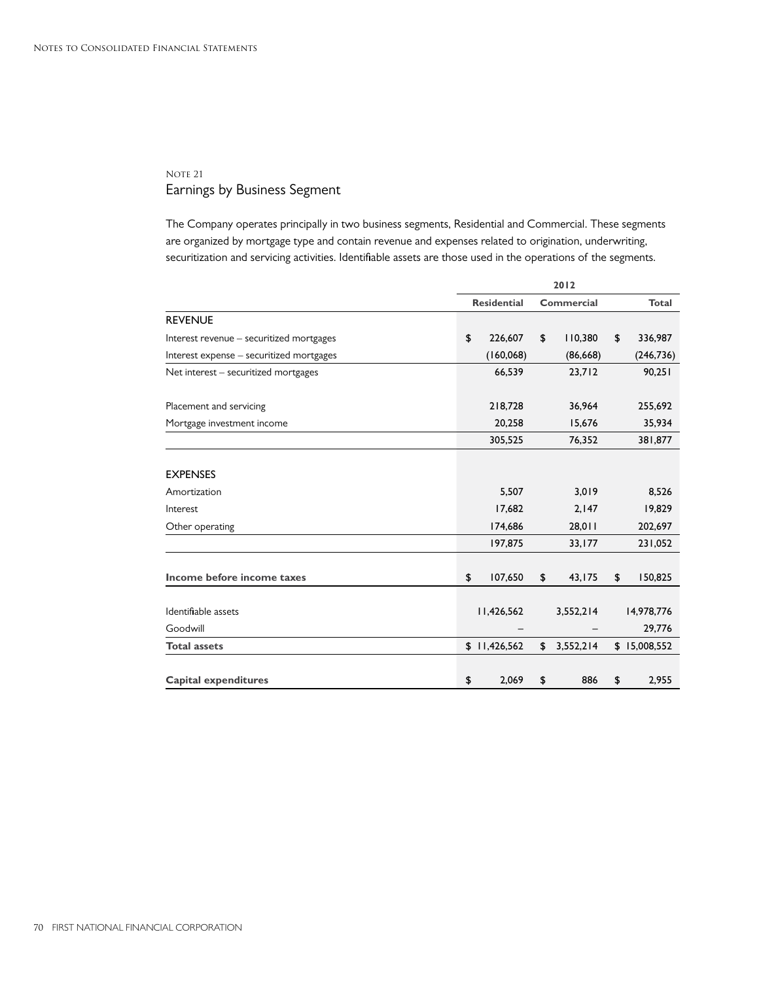## NOTE<sub>21</sub> Earnings by Business Segment

The Company operates principally in two business segments, Residential and Commercial. These segments are organized by mortgage type and contain revenue and expenses related to origination, underwriting, securitization and servicing activities. Identifiable assets are those used in the operations of the segments.

|                                          | 2012               |              |                   |           |    |              |  |
|------------------------------------------|--------------------|--------------|-------------------|-----------|----|--------------|--|
|                                          | <b>Residential</b> |              | <b>Commercial</b> |           |    | <b>Total</b> |  |
| <b>REVENUE</b>                           |                    |              |                   |           |    |              |  |
| Interest revenue - securitized mortgages | \$                 | 226,607      | \$                | 110,380   | \$ | 336,987      |  |
| Interest expense - securitized mortgages |                    | (160,068)    |                   | (86, 668) |    | (246, 736)   |  |
| Net interest - securitized mortgages     |                    | 66,539       |                   | 23,712    |    | 90,251       |  |
| Placement and servicing                  |                    | 218,728      |                   | 36,964    |    | 255,692      |  |
| Mortgage investment income               |                    | 20,258       |                   | 15,676    |    | 35,934       |  |
|                                          |                    | 305,525      |                   | 76,352    |    | 381,877      |  |
| <b>EXPENSES</b>                          |                    |              |                   |           |    |              |  |
| Amortization                             |                    | 5,507        |                   | 3,019     |    | 8,526        |  |
| Interest                                 |                    | 17,682       |                   | 2,147     |    | 19,829       |  |
| Other operating                          |                    | 174,686      |                   | 28,011    |    | 202,697      |  |
|                                          |                    | 197,875      |                   | 33,177    |    | 231,052      |  |
| Income before income taxes               | \$                 | 107.650      | \$                | 43,175    | \$ | 150,825      |  |
|                                          |                    |              |                   |           |    |              |  |
| Identifiable assets                      |                    | 11,426,562   |                   | 3,552,214 |    | 14,978,776   |  |
| Goodwill                                 |                    |              |                   |           |    | 29,776       |  |
| <b>Total assets</b>                      |                    | \$11,426,562 | \$                | 3,552,214 |    | \$15,008,552 |  |
| <b>Capital expenditures</b>              | \$                 | 2,069        | \$                | 886       | \$ | 2,955        |  |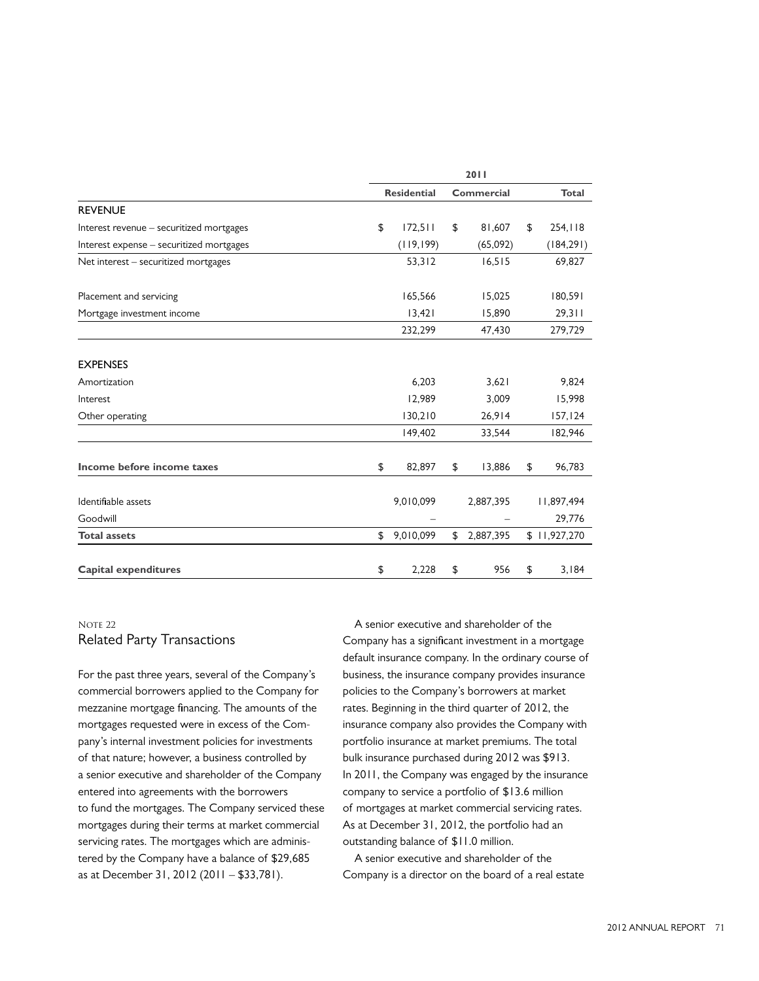|                                          | 2011               |    |            |    |              |  |
|------------------------------------------|--------------------|----|------------|----|--------------|--|
|                                          | <b>Residential</b> |    | Commercial |    | Total        |  |
| <b>REVENUE</b>                           |                    |    |            |    |              |  |
| Interest revenue - securitized mortgages | \$<br>172,511      | \$ | 81,607     | \$ | 254, I 18    |  |
| Interest expense - securitized mortgages | (119, 199)         |    | (65,092)   |    | (184, 291)   |  |
| Net interest - securitized mortgages     | 53,312             |    | 16,515     |    | 69,827       |  |
| Placement and servicing                  | 165,566            |    | 15,025     |    | 180,591      |  |
| Mortgage investment income               | 13,421             |    | 15,890     |    | 29,311       |  |
|                                          | 232,299            |    | 47,430     |    | 279,729      |  |
| <b>EXPENSES</b>                          |                    |    |            |    |              |  |
| Amortization                             | 6,203              |    | 3,621      |    | 9,824        |  |
| Interest                                 | 12,989             |    | 3,009      |    | 15,998       |  |
| Other operating                          | 130,210            |    | 26,914     |    | 157, 124     |  |
|                                          | 149,402            |    | 33,544     |    | 182,946      |  |
| Income before income taxes               | \$<br>82,897       | \$ | 13,886     | \$ | 96,783       |  |
| Identifiable assets                      | 9,010,099          |    | 2,887,395  |    | 11,897,494   |  |
| Goodwill                                 |                    |    |            |    | 29,776       |  |
| <b>Total assets</b>                      | \$<br>9,010,099    | \$ | 2,887,395  |    | \$11,927,270 |  |
|                                          |                    |    |            |    |              |  |
| <b>Capital expenditures</b>              | \$<br>2,228        | \$ | 956        | \$ | 3,184        |  |

# NOTE<sub>22</sub> Related Party Transactions

For the past three years, several of the Company's commercial borrowers applied to the Company for mezzanine mortgage financing. The amounts of the mortgages requested were in excess of the Company's internal investment policies for investments of that nature; however, a business controlled by a senior executive and shareholder of the Company entered into agreements with the borrowers to fund the mortgages. The Company serviced these mortgages during their terms at market commercial servicing rates. The mortgages which are administered by the Company have a balance of \$29,685 as at December 31, 2012 (2011 – \$33,781).

A senior executive and shareholder of the Company has a significant investment in a mortgage default insurance company. In the ordinary course of business, the insurance company provides insurance policies to the Company's borrowers at market rates. Beginning in the third quarter of 2012, the insurance company also provides the Company with portfolio insurance at market premiums. The total bulk insurance purchased during 2012 was \$913. In 2011, the Company was engaged by the insurance company to service a portfolio of \$13.6 million of mortgages at market commercial servicing rates. As at December 31, 2012, the portfolio had an outstanding balance of \$11.0 million.

A senior executive and shareholder of the Company is a director on the board of a real estate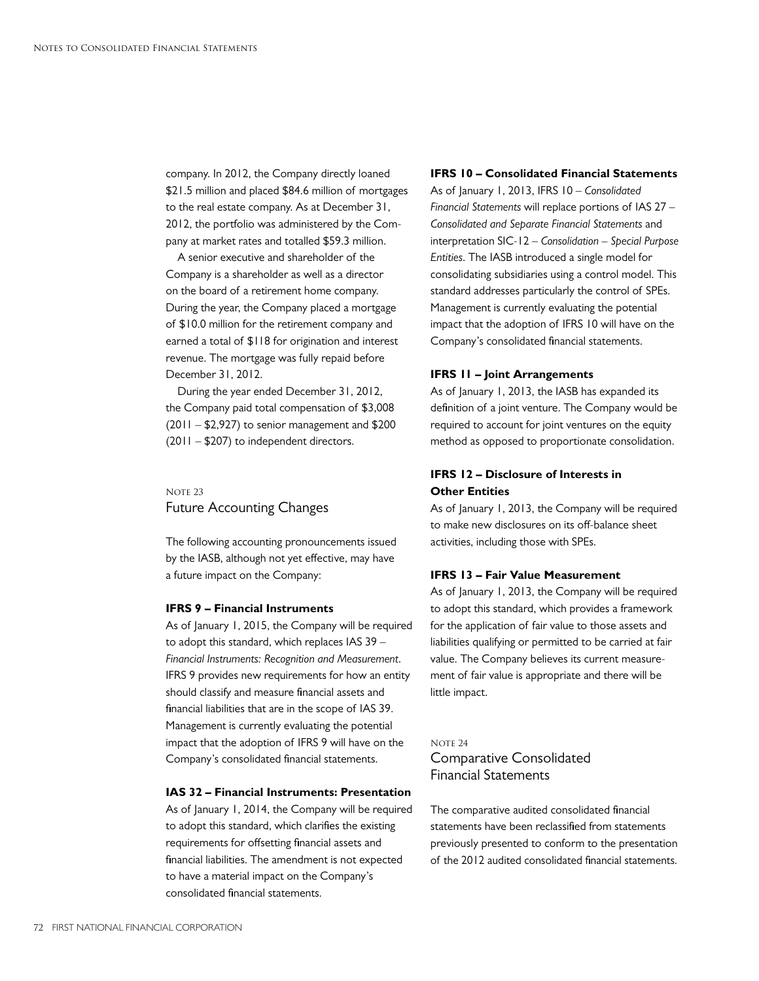company. In 2012, the Company directly loaned \$21.5 million and placed \$84.6 million of mortgages to the real estate company. As at December 31, 2012, the portfolio was administered by the Company at market rates and totalled \$59.3 million.

A senior executive and shareholder of the Company is a shareholder as well as a director on the board of a retirement home company. During the year, the Company placed a mortgage of \$10.0 million for the retirement company and earned a total of \$118 for origination and interest revenue. The mortgage was fully repaid before December 31, 2012.

During the year ended December 31, 2012, the Company paid total compensation of \$3,008 (2011 – \$2,927) to senior management and \$200 (2011 – \$207) to independent directors.

# NOTE<sub>23</sub> Future Accounting Changes

The following accounting pronouncements issued by the IASB, although not yet effective, may have a future impact on the Company:

#### **IFRS 9 – Financial Instruments**

As of January 1, 2015, the Company will be required to adopt this standard, which replaces IAS 39 – *Financial Instruments: Recognition and Measurement*. IFRS 9 provides new requirements for how an entity should classify and measure financial assets and financial liabilities that are in the scope of IAS 39. Management is currently evaluating the potential impact that the adoption of IFRS 9 will have on the Company's consolidated financial statements.

## **IAS 32 – Financial Instruments: Presentation**

As of January 1, 2014, the Company will be required to adopt this standard, which clarifies the existing requirements for offsetting financial assets and financial liabilities. The amendment is not expected to have a material impact on the Company's consolidated financial statements.

## **IFRS 10 – Consolidated Financial Statements**

As of January 1, 2013, IFRS 10 – *Consolidated Financial Statements* will replace portions of IAS 27 – *Consolidated and Separate Financial Statements* and interpretation SIC-12 – *Consolidation – Special Purpose Entities*. The IASB introduced a single model for consolidating subsidiaries using a control model. This standard addresses particularly the control of SPEs. Management is currently evaluating the potential impact that the adoption of IFRS 10 will have on the Company's consolidated financial statements.

#### **IFRS 11 – Joint Arrangements**

As of January 1, 2013, the JASB has expanded its definition of a joint venture. The Company would be required to account for joint ventures on the equity method as opposed to proportionate consolidation.

## **IFRS 12 – Disclosure of Interests in Other Entities**

As of January 1, 2013, the Company will be required to make new disclosures on its off-balance sheet activities, including those with SPEs.

#### **IFRS 13 – Fair Value Measurement**

As of January 1, 2013, the Company will be required to adopt this standard, which provides a framework for the application of fair value to those assets and liabilities qualifying or permitted to be carried at fair value. The Company believes its current measurement of fair value is appropriate and there will be little impact.

#### NOTE<sub>24</sub>

Comparative Consolidated Financial Statements

The comparative audited consolidated financial statements have been reclassified from statements previously presented to conform to the presentation of the 2012 audited consolidated financial statements.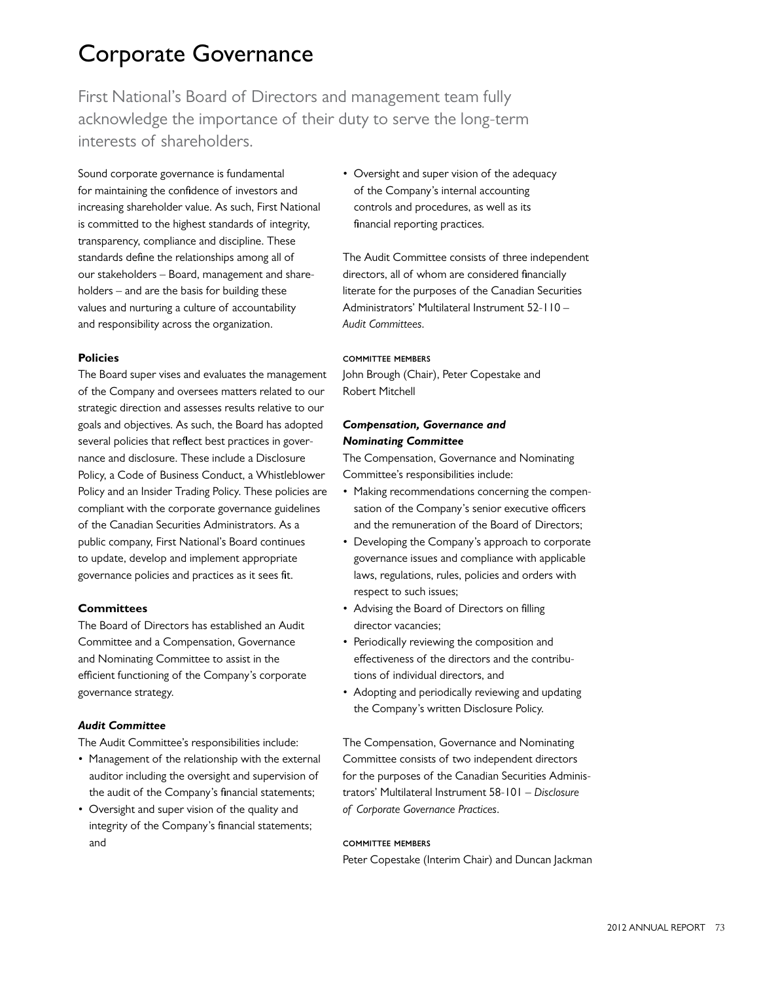# Corporate Governance

First National's Board of Directors and management team fully acknowledge the importance of their duty to serve the long-term interests of shareholders.

Sound corporate governance is fundamental for maintaining the confidence of investors and increasing shareholder value. As such, First National is committed to the highest standards of integrity, transparency, compliance and discipline. These standards define the relationships among all of our stakeholders – Board, management and shareholders – and are the basis for building these values and nurturing a culture of accountability and responsibility across the organization.

### **Policies**

The Board super vises and evaluates the management of the Company and oversees matters related to our strategic direction and assesses results relative to our goals and objectives. As such, the Board has adopted several policies that reflect best practices in governance and disclosure. These include a Disclosure Policy, a Code of Business Conduct, a Whistleblower Policy and an Insider Trading Policy. These policies are compliant with the corporate governance guidelines of the Canadian Securities Administrators. As a public company, First National's Board continues to update, develop and implement appropriate governance policies and practices as it sees fit.

## **Committees**

The Board of Directors has established an Audit Committee and a Compensation, Governance and Nominating Committee to assist in the efficient functioning of the Company's corporate governance strategy.

#### *Audit Committee*

The Audit Committee's responsibilities include:

- Management of the relationship with the external auditor including the oversight and supervision of the audit of the Company's financial statements;
- Oversight and super vision of the quality and integrity of the Company's financial statements; and

• Oversight and super vision of the adequacy of the Company's internal accounting controls and procedures, as well as its financial reporting practices.

The Audit Committee consists of three independent directors, all of whom are considered financially literate for the purposes of the Canadian Securities Administrators' Multilateral Instrument 52-110 – *Audit Committees*.

#### Committee Members

John Brough (Chair), Peter Copestake and Robert Mitchell

# *Compensation, Governance and Nominating Committee*

The Compensation, Governance and Nominating Committee's responsibilities include:

- Making recommendations concerning the compensation of the Company's senior executive officers and the remuneration of the Board of Directors;
- Developing the Company's approach to corporate governance issues and compliance with applicable laws, regulations, rules, policies and orders with respect to such issues;
- Advising the Board of Directors on filling director vacancies;
- Periodically reviewing the composition and effectiveness of the directors and the contributions of individual directors, and
- Adopting and periodically reviewing and updating the Company's written Disclosure Policy.

The Compensation, Governance and Nominating Committee consists of two independent directors for the purposes of the Canadian Securities Administrators' Multilateral Instrument 58-101 – *Disclosure of Corporate Governance Practices*.

#### Committee Members

Peter Copestake (Interim Chair) and Duncan Jackman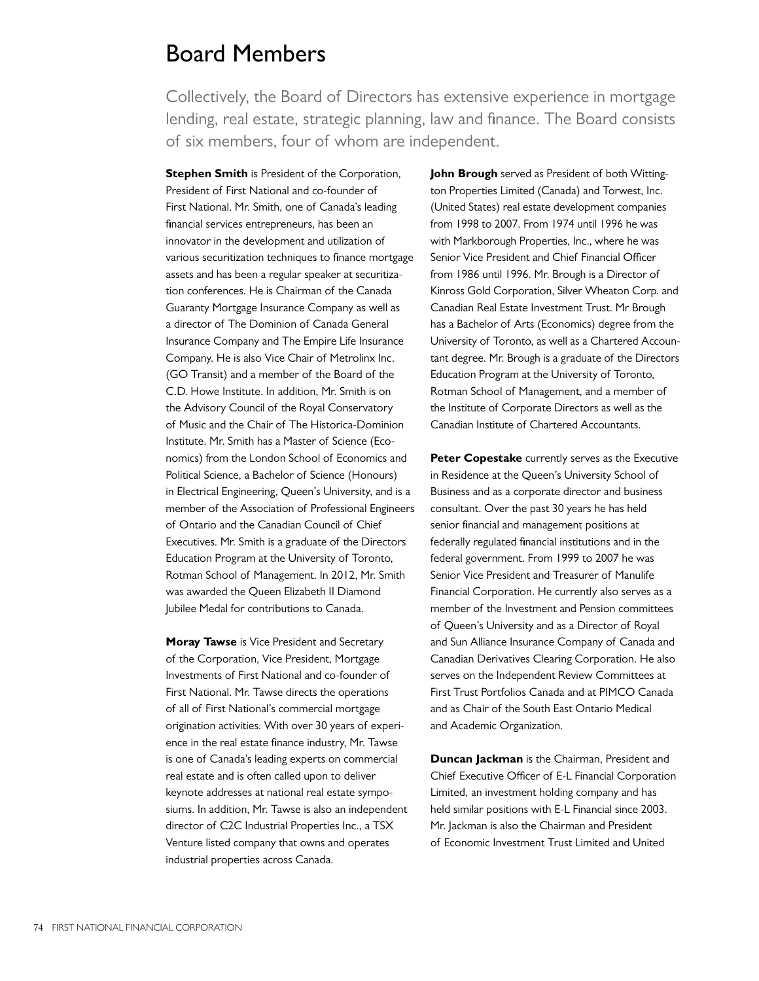# Board Members

Collectively, the Board of Directors has extensive experience in mortgage lending, real estate, strategic planning, law and finance. The Board consists of six members, four of whom are independent.

**Stephen Smith** is President of the Corporation, President of First National and co-founder of First National. Mr. Smith, one of Canada's leading financial services entrepreneurs, has been an innovator in the development and utilization of various securitization techniques to finance mortgage assets and has been a regular speaker at securitization conferences. He is Chairman of the Canada Guaranty Mortgage Insurance Company as well as a director of The Dominion of Canada General Insurance Company and The Empire Life Insurance Company. He is also Vice Chair of Metrolinx Inc. (GO Transit) and a member of the Board of the C.D. Howe Institute. In addition, Mr. Smith is on the Advisory Council of the Royal Conservatory of Music and the Chair of The Historica-Dominion Institute. Mr. Smith has a Master of Science (Economics) from the London School of Economics and Political Science, a Bachelor of Science (Honours) in Electrical Engineering, Queen's University, and is a member of the Association of Professional Engineers of Ontario and the Canadian Council of Chief Executives. Mr. Smith is a graduate of the Directors Education Program at the University of Toronto, Rotman School of Management. In 2012, Mr. Smith was awarded the Queen Elizabeth II Diamond Jubilee Medal for contributions to Canada.

**Moray Tawse** is Vice President and Secretary of the Corporation, Vice President, Mortgage Investments of First National and co-founder of First National. Mr. Tawse directs the operations of all of First National's commercial mortgage origination activities. With over 30 years of experience in the real estate finance industry, Mr. Tawse is one of Canada's leading experts on commercial real estate and is often called upon to deliver keynote addresses at national real estate symposiums. In addition, Mr. Tawse is also an independent director of C2C Industrial Properties Inc., a TSX Venture listed company that owns and operates industrial properties across Canada.

**John Brough** served as President of both Wittington Properties Limited (Canada) and Torwest, Inc. (United States) real estate development companies from 1998 to 2007. From 1974 until 1996 he was with Markborough Properties, Inc., where he was Senior Vice President and Chief Financial Officer from 1986 until 1996. Mr. Brough is a Director of Kinross Gold Corporation, Silver Wheaton Corp. and Canadian Real Estate Investment Trust. Mr Brough has a Bachelor of Arts (Economics) degree from the University of Toronto, as well as a Chartered Accountant degree. Mr. Brough is a graduate of the Directors Education Program at the University of Toronto, Rotman School of Management, and a member of the Institute of Corporate Directors as well as the Canadian Institute of Chartered Accountants.

**Peter Copestake** currently serves as the Executive in Residence at the Queen's University School of Business and as a corporate director and business consultant. Over the past 30 years he has held senior financial and management positions at federally regulated financial institutions and in the federal government. From 1999 to 2007 he was Senior Vice President and Treasurer of Manulife Financial Corporation. He currently also serves as a member of the Investment and Pension committees of Queen's University and as a Director of Royal and Sun Alliance Insurance Company of Canada and Canadian Derivatives Clearing Corporation. He also serves on the Independent Review Committees at First Trust Portfolios Canada and at PIMCO Canada and as Chair of the South East Ontario Medical and Academic Organization.

**Duncan Jackman** is the Chairman, President and Chief Executive Officer of E-L Financial Corporation Limited, an investment holding company and has held similar positions with E-L Financial since 2003. Mr. Jackman is also the Chairman and President of Economic Investment Trust Limited and United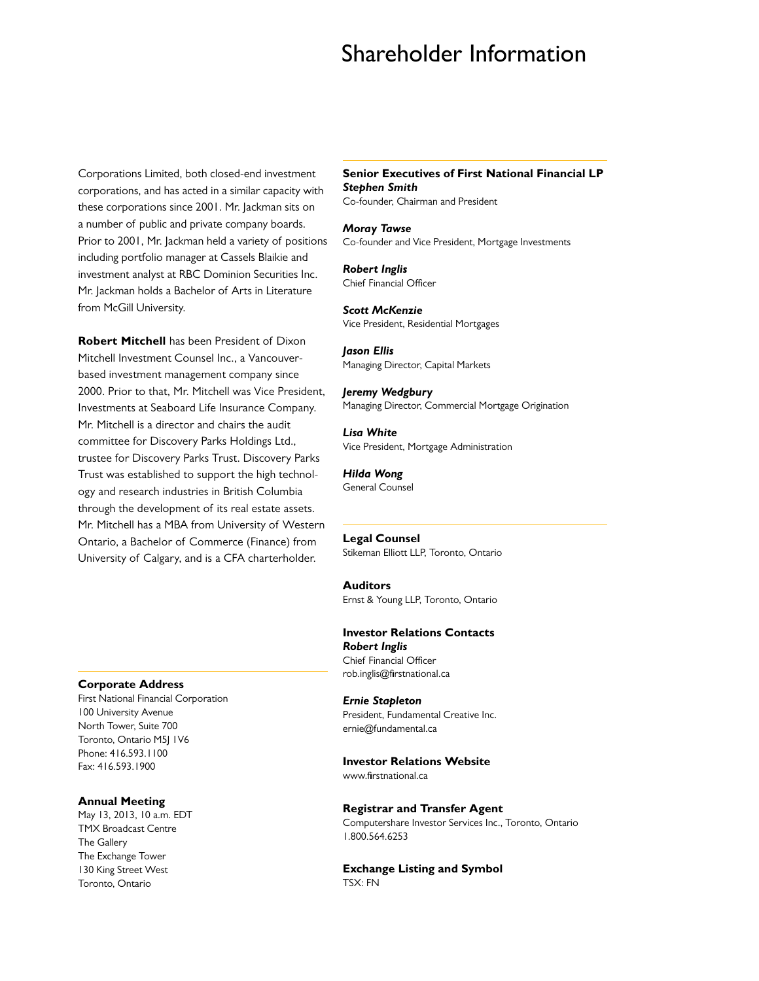# Shareholder Information

Corporations Limited, both closed-end investment corporations, and has acted in a similar capacity with these corporations since 2001. Mr. Jackman sits on a number of public and private company boards. Prior to 2001, Mr. Jackman held a variety of positions including portfolio manager at Cassels Blaikie and investment analyst at RBC Dominion Securities Inc. Mr. Jackman holds a Bachelor of Arts in Literature from McGill University.

**Robert Mitchell** has been President of Dixon Mitchell Investment Counsel Inc., a Vancouverbased investment management company since 2000. Prior to that, Mr. Mitchell was Vice President, Investments at Seaboard Life Insurance Company. Mr. Mitchell is a director and chairs the audit committee for Discovery Parks Holdings Ltd., trustee for Discovery Parks Trust. Discovery Parks Trust was established to support the high technology and research industries in British Columbia through the development of its real estate assets. Mr. Mitchell has a MBA from University of Western Ontario, a Bachelor of Commerce (Finance) from University of Calgary, and is a CFA charterholder.

### **Corporate Address**

First National Financial Corporation 100 University Avenue North Tower, Suite 700 Toronto, Ontario M5J IV6 Phone: 416.593.1100 Fax: 416.593.1900

#### **Annual Meeting**

May 13, 2013, 10 a.m. EDT TMX Broadcast Centre The Gallery The Exchange Tower 130 King Street West Toronto, Ontario

# **Senior Executives of First National Financial LP** *Stephen Smith*

Co-founder, Chairman and President

#### *Moray Tawse*

Co-founder and Vice President, Mortgage Investments

## *Robert Inglis*

Chief Financial Officer

### *Scott McKenzie*

Vice President, Residential Mortgages

## *Jason Ellis*

Managing Director, Capital Markets

#### *Jeremy Wedgbury*

Managing Director, Commercial Mortgage Origination

## *Lisa White* Vice President, Mortgage Administration

*Hilda Wong*

General Counsel

## **Legal Counsel**

Stikeman Elliott LLP, Toronto, Ontario

#### **Auditors**

Ernst & Young LLP, Toronto, Ontario

# **Investor Relations Contacts**

*Robert Inglis* Chief Financial Officer rob.inglis@firstnational.ca

#### *Ernie Stapleton*

President, Fundamental Creative Inc. ernie@fundamental.ca

## **Investor Relations Website**

www.firstnational.ca

#### **Registrar and Transfer Agent**

Computershare Investor Services Inc., Toronto, Ontario 1.800.564.6253

**Exchange Listing and Symbol** TSX: FN